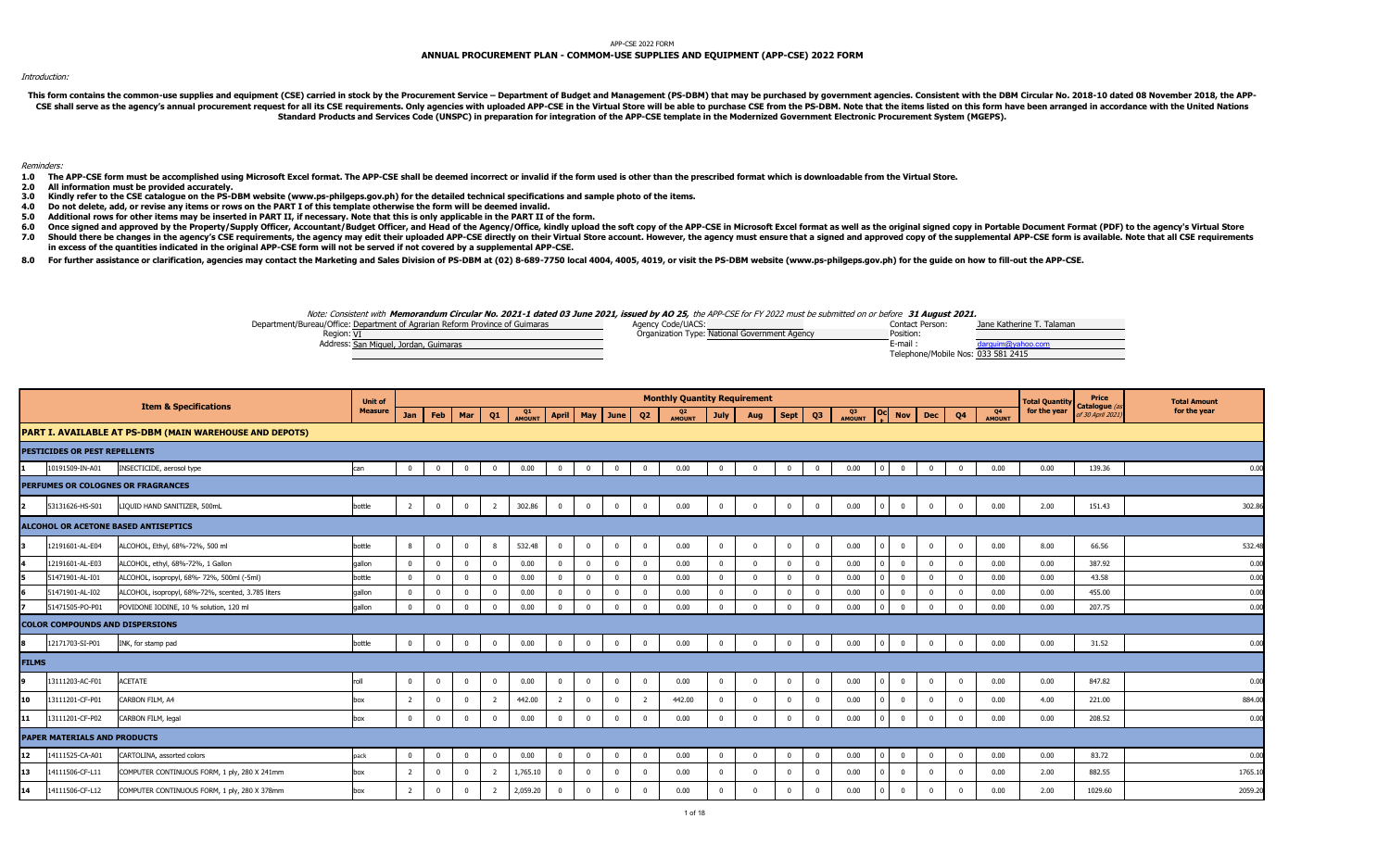## APP-CSE 2022 FORM

# ANNUAL PROCUREMENT PLAN - COMMOM-USE SUPPLIES AND EQUIPMENT (APP-CSE) 2022 FORM

## Introduction:

This form contains the common-use supplies and equipment (CSE) carried in stock by the Procurement Service - Department of Budget and Management (PS-DBM) that may be purchased by government agencies. Consistent with the DB CSE shall serve as the agency's annual procurement request for all its CSE requirements. Only agencies with uploaded APP-CSE in the Virtual Store will be able to purchase CSE from the PS-DBM. Note that the items listed on Standard Products and Services Code (UNSPC) in preparation for integration of the APP-CSE template in the Modernized Government Electronic Procurement System (MGEPS).

## Reminders:

- 1.0 The APP-CSE form must be accomplished using Microsoft Excel format. The APP-CSE shall be deemed incorrect or invalid if the form used is other than the prescribed format which is downloadable from the Virtual Store.
- 2.0 All information must be provided accurately.<br>3.0 Kindly refer to the CSE catalogue on the PS-D
- 3.0 Kindly refer to the CSE catalogue on the PS-DBM website (www.ps-philgeps.gov.ph) for the detailed technical specifications and sample photo of the items.
- 4.0 Do not delete, add, or revise any items or rows on the PART I of this template otherwise the form will be deemed invalid.
- 5.0 Additional rows for other items may be inserted in PART II, if necessary. Note that this is only applicable in the PART II of the form.
- 6.0 Once signed and approved by the Property/Supply Officer, Accountant/Budget Officer, and Head of the Agency/Office, kindly upload the soft copy of the APP-CSE in Microsoft Excel format as well as the original signed cop
- 7.0 Should there be changes in the agency's CSE requirements, the agency may edit their uploaded APP-CSE directly on their Virtual Store account. However, the agency must ensure that a signed and approved copy of the suppl in excess of the quantities indicated in the original APP-CSE form will not be served if not covered by a supplemental APP-CSE.
- 8.0 For further assistance or clarification, agencies may contact the Marketing and Sales Division of PS-DBM at (02) 8-689-7750 local 4004, 4005, 4019, or visit the PS-DBM website (www.ps-philgeps.gov.ph) for the guide on



|                |                                        |                                                         | <b>Unit of</b> |                |                |                |                |              |                         |                    |                |                | <b>Monthly Quantity Requirement</b> |                |                |                |                |              |          |              |                         |                |              | <b>Total Quantity</b> | <b>Price</b>                     | <b>Total Amount</b> |
|----------------|----------------------------------------|---------------------------------------------------------|----------------|----------------|----------------|----------------|----------------|--------------|-------------------------|--------------------|----------------|----------------|-------------------------------------|----------------|----------------|----------------|----------------|--------------|----------|--------------|-------------------------|----------------|--------------|-----------------------|----------------------------------|---------------------|
|                |                                        | <b>Item &amp; Specifications</b>                        | <b>Measure</b> | Jan            | Feb            | Mar            | Q1             | Q1<br>AMOUNT |                         | April   May   June |                | Q2             | Q2<br>AMOUNT                        | July           | Aug            | <b>Sept</b>    | Q3             | Q3<br>AMOUNT |          |              | Oc Nov Dec              | Q <sub>4</sub> | Q4<br>AMOUNT | for the year          | Catalogue (a<br>of 30 April 2021 | for the year        |
|                |                                        | PART I. AVAILABLE AT PS-DBM (MAIN WAREHOUSE AND DEPOTS) |                |                |                |                |                |              |                         |                    |                |                |                                     |                |                |                |                |              |          |              |                         |                |              |                       |                                  |                     |
|                | PESTICIDES OR PEST REPELLENTS          |                                                         |                |                |                |                |                |              |                         |                    |                |                |                                     |                |                |                |                |              |          |              |                         |                |              |                       |                                  |                     |
|                | 10191509-IN-A01                        | INSECTICIDE, aerosol type                               | can            | $\mathbf 0$    | $\overline{0}$ | $\Omega$       | $\mathbf{0}$   | 0.00         | $\overline{0}$          | $\overline{0}$     | $\mathbf{0}$   | $^{\circ}$     | 0.00                                | $\mathbf{0}$   | $\overline{0}$ | $\overline{0}$ | $\overline{0}$ | 0.00         | <b>0</b> | $\mathbf{0}$ | $\overline{0}$          | $\mathbf 0$    | 0.00         | 0.00                  | 139.36                           | 0.00                |
|                |                                        | PERFUMES OR COLOGNES OR FRAGRANCES                      |                |                |                |                |                |              |                         |                    |                |                |                                     |                |                |                |                |              |          |              |                         |                |              |                       |                                  |                     |
| $\overline{2}$ | 53131626-HS-S01                        | LIQUID HAND SANITIZER, 500mL                            | bottle         | $\overline{2}$ | $\overline{0}$ | $\mathbf{0}$   | $\overline{2}$ | 302.86       | $\overline{0}$          | $\overline{0}$     | $\mathbf 0$    | $\mathbf{0}$   | 0.00                                | $\mathbf 0$    | $\overline{0}$ | $\overline{0}$ | $\mathbf{0}$   | 0.00         | - 0      | $\mathbf{0}$ | $\overline{0}$          | $\mathbf{0}$   | 0.00         | 2.00                  | 151.43                           | 302.86              |
|                |                                        | ALCOHOL OR ACETONE BASED ANTISEPTICS                    |                |                |                |                |                |              |                         |                    |                |                |                                     |                |                |                |                |              |          |              |                         |                |              |                       |                                  |                     |
|                | 12191601-AL-E04                        | ALCOHOL, Ethyl, 68%-72%, 500 ml                         | bottle         | 8              | $\Omega$       | $\Omega$       | 8              | 532.48       | $\mathbf 0$             | $\Omega$           | $\mathbf{0}$   | $\Omega$       | 0.00                                | $\mathbf 0$    | $\Omega$       | $\mathbf 0$    | $\overline{0}$ | 0.00         |          | $\mathbf 0$  | $\overline{0}$          | $\mathbf 0$    | 0.00         | 8.00                  | 66.56                            | 532.48              |
|                | 12191601-AL-E03                        | ALCOHOL, ethyl, 68%-72%, 1 Gallon                       | qallon         | $\mathbf 0$    | $\Omega$       |                | $\mathbf 0$    | 0.00         | $\overline{\mathbf{0}}$ | $\Omega$           | $\Omega$       | $\Omega$       | 0.00                                | $\mathbf 0$    | $\overline{0}$ | $\overline{0}$ | $\overline{0}$ | 0.00         |          | $\mathbf{0}$ | $\overline{0}$          | $\mathbf 0$    | 0.00         | 0.00                  | 387.92                           | 0.00                |
|                | 51471901-AL-I01                        | ALCOHOL, isopropyl, 68%- 72%, 500ml (-5ml)              | bottle         | $\mathbf 0$    | $\mathbf 0$    |                | $\mathbf 0$    | 0.00         | $\Omega$                | $\mathbf{0}$       | $\Omega$       | $\Omega$       | 0.00                                | $\bf{0}$       | $\Omega$       | $\mathbf 0$    | $\overline{0}$ | 0.00         |          | $^{\circ}$   | $\overline{0}$          | $\overline{0}$ | 0.00         | 0.00                  | 43.58                            | 0.00                |
|                | 51471901-AL-I02                        | ALCOHOL, isopropyl, 68%-72%, scented, 3.785 liters      | qallon         | $^{\circ}$     | $\mathbf 0$    |                | $\mathbf{0}$   | 0.00         | $\Omega$                | $\Omega$           |                |                | 0.00                                | $\mathbf 0$    | $\Omega$       | $\mathbf 0$    | $\mathbf{0}$   | 0.00         |          | $\mathbf{0}$ | $\overline{0}$          | $\mathbf 0$    | 0.00         | 0.00                  | 455.00                           | 0.00                |
|                | 51471505-PO-P01                        | POVIDONE IODINE, 10 % solution, 120 ml                  | gallon         | $\Omega$       | $\overline{0}$ | $\Omega$       | $\Omega$       | 0.00         | $\overline{0}$          | $\Omega$           | $\Omega$       |                | 0.00                                | $\Omega$       | $\Omega$       | $\Omega$       | $\Omega$       | 0.00         |          | $\mathbf{0}$ | $\Omega$                | $\Omega$       | 0.00         | 0.00                  | 207.75                           | 0.00                |
|                | <b>COLOR COMPOUNDS AND DISPERSIONS</b> |                                                         |                |                |                |                |                |              |                         |                    |                |                |                                     |                |                |                |                |              |          |              |                         |                |              |                       |                                  |                     |
| 8              | 12171703-SI-P01                        | INK, for stamp pad                                      | bottle         | $\mathbf 0$    | $\overline{0}$ | $\mathbf{0}$   | $\mathbf{0}$   | 0.00         | $\overline{0}$          | $\overline{0}$     | $\mathbf 0$    | $\Omega$       | 0.00                                | $\mathbf 0$    | $\overline{0}$ | $\overline{0}$ | $\mathbf 0$    | 0.00         | - 0      | $\mathbf{0}$ | $\overline{0}$          | $\mathbf{0}$   | 0.00         | 0.00                  | 31.52                            | 0.00                |
| <b>FILMS</b>   |                                        |                                                         |                |                |                |                |                |              |                         |                    |                |                |                                     |                |                |                |                |              |          |              |                         |                |              |                       |                                  |                     |
|                | 13111203-AC-F01                        | <b>ACETATE</b>                                          | roll           | $^{\circ}$     | $\overline{0}$ | $\overline{0}$ | $\overline{0}$ | 0.00         | $\overline{\mathbf{0}}$ | $\bf{0}$           | $\overline{0}$ | $\mathbf{0}$   | 0.00                                | $\overline{0}$ | $\overline{0}$ | $\overline{0}$ | $\mathbf{0}$   | 0.00         |          | $\mathbf{0}$ | $\overline{\mathbf{0}}$ | $\mathbf{0}$   | 0.00         | 0.00                  | 847.82                           | 0.00                |
| 10             | 13111201-CF-P01                        | CARBON FILM, A4                                         | box            | $\overline{2}$ | $\Omega$       |                | -2             | 442.00       | $\overline{2}$          | $\Omega$           | $\Omega$       | $\overline{2}$ | 442.00                              | $\mathbf 0$    | $\Omega$       | $\Omega$       | $\overline{0}$ | 0.00         |          | $\mathbf{0}$ | $\Omega$                | $\mathbf 0$    | 0.00         | 4.00                  | 221.00                           | 884.00              |
| 11             | 13111201-CF-P02                        | CARBON FILM, legal                                      | box            | $\Omega$       | $\mathbf{0}$   | $\Omega$       | $\mathbf{0}$   | 0.00         | $\Omega$                | $\Omega$           | $\Omega$       |                | 0.00                                | $\overline{0}$ | $\Omega$       | $\overline{0}$ | $\Omega$       | 0.00         |          | $\mathbf{0}$ | $\overline{\mathbf{0}}$ | $\Omega$       | 0.00         | 0.00                  | 208.52                           | 0.00                |
|                | <b>PAPER MATERIALS AND PRODUCTS</b>    |                                                         |                |                |                |                |                |              |                         |                    |                |                |                                     |                |                |                |                |              |          |              |                         |                |              |                       |                                  |                     |
| 12             | 14111525-CA-A01                        | CARTOLINA, assorted colors                              | pack           | $^{\circ}$     | $\mathbf{0}$   | $\Omega$       | $\bf{0}$       | 0.00         | $\overline{0}$          | $\overline{0}$     | $\mathbf{0}$   | $^{\circ}$     | 0.00                                | $\bf{0}$       | $\overline{0}$ | $\mathbf 0$    | $\overline{0}$ | 0.00         |          | $\mathbf{0}$ | $\overline{\mathbf{0}}$ | $\overline{0}$ | 0.00         | 0.00                  | 83.72                            | 0.00                |
| 13             | 14111506-CF-L11                        | COMPUTER CONTINUOUS FORM, 1 ply, 280 X 241mm            | box            |                | $\mathbf 0$    |                | 2              | 1,765.10     |                         | $\Omega$           | $\Omega$       |                | 0.00                                | $\mathbf 0$    | $\Omega$       | $\Omega$       | $\overline{0}$ | 0.00         |          | $^{\circ}$   | $\Omega$                | $\Omega$       | 0.00         | 2.00                  | 882.55                           | 1765.10             |
| 14             | 14111506-CF-L12                        | COMPUTER CONTINUOUS FORM, 1 ply, 280 X 378mm            | box            |                | $\mathbf 0$    |                |                | 2,059.20     | $\mathbf 0$             | $\overline{0}$     | $\Omega$       |                | 0.00                                | $\mathbf{0}$   | $\Omega$       | $\overline{0}$ | $\Omega$       | 0.00         |          | $\mathbf{0}$ | $\overline{0}$          | $\Omega$       | 0.00         | 2.00                  | 1029.60                          | 2059.20             |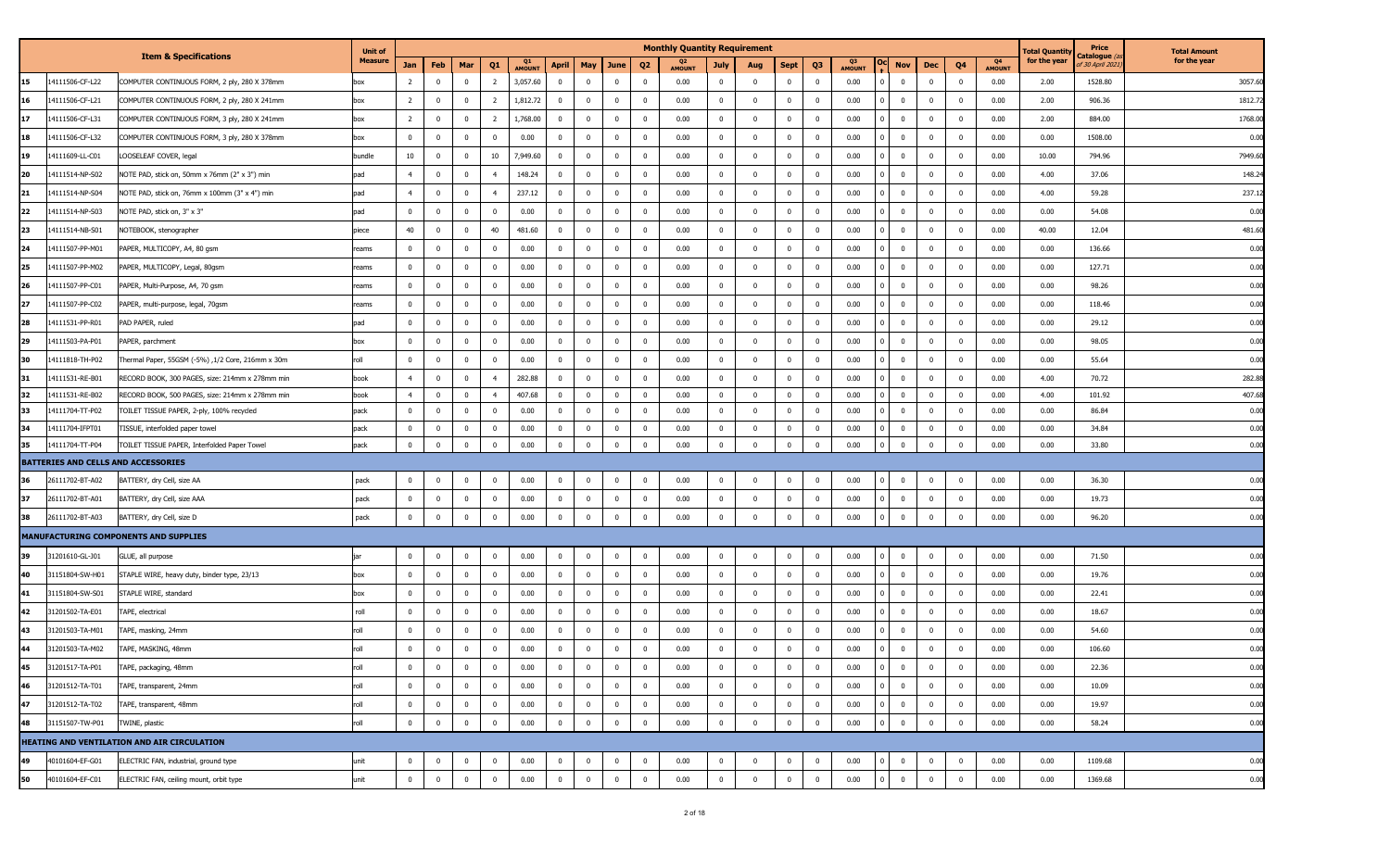|    |                 |                                                   | <b>Unit of</b> |                |                         |                |                         |              |                |                         |                         |                | <b>Monthly Quantity Requirement</b> |                |                         |                |                         |                                       |                |                |                     | <b>Total Quantit</b> | Price                           | <b>Total Amount</b> |
|----|-----------------|---------------------------------------------------|----------------|----------------|-------------------------|----------------|-------------------------|--------------|----------------|-------------------------|-------------------------|----------------|-------------------------------------|----------------|-------------------------|----------------|-------------------------|---------------------------------------|----------------|----------------|---------------------|----------------------|---------------------------------|---------------------|
|    |                 | <b>Item &amp; Specifications</b>                  | <b>Measure</b> | Jan            | Feb                     | Mar            | Q <sub>1</sub>          | Q1<br>AMOUNT | <b>April</b>   | May                     | June                    | Q <sub>2</sub> | Q2<br><b>AMOUNT</b>                 | July           | Aug                     | <b>Sept</b>    | Q <sub>3</sub>          | Q3<br><b>Nov</b><br><b>AMOUNT</b>     | Dec            | Q4             | Q4<br><b>AMOUNT</b> | for the year         | Catalogue (<br>of 30 April 202. | for the year        |
| 15 | 14111506-CF-L22 | COMPUTER CONTINUOUS FORM, 2 ply, 280 X 378mm      | box            | 2              | $\mathbf 0$             | $\overline{0}$ | $\overline{2}$          | 3,057.60     | $^{\circ}$     | $\mathbf 0$             | $\mathbf 0$             | $\overline{0}$ | 0.00                                | $\overline{0}$ | $\overline{\mathbf{0}}$ | $\mathbf{0}$   | $\overline{\mathbf{0}}$ | 0.00<br>$^{\circ}$                    | $\mathbf 0$    | $\mathbf{0}$   | 0.00                | 2.00                 | 1528.80                         | 3057.60             |
| 16 | 14111506-CF-L21 | COMPUTER CONTINUOUS FORM, 2 ply, 280 X 241mm      | box            | $\overline{2}$ | $\mathbf 0$             | $\mathbf 0$    | $\overline{2}$          | 1,812.72     | $^{\circ}$     | $\bf{0}$                | 0                       | $\overline{0}$ | 0.00                                | $\overline{0}$ | $\overline{0}$          | $\overline{0}$ | $\overline{\mathbf{0}}$ | 0.00<br>$^{\circ}$                    | $\bf{0}$       | $^{\circ}$     | 0.00                | 2.00                 | 906.36                          | 1812.72             |
| 17 | 14111506-CF-L31 | COMPUTER CONTINUOUS FORM, 3 ply, 280 X 241mm      | box            | $\overline{2}$ | $\overline{0}$          | $\overline{0}$ | $\overline{2}$          | 1,768.00     | $\Omega$       | $\mathbf 0$             | $\mathbf 0$             | $\overline{0}$ | 0.00                                | $\mathbf 0$    | $\Omega$                | $\mathbf{0}$   | $\Omega$                | 0.00<br>$\Omega$                      | $\bf{0}$       | $^{\circ}$     | 0.00                | 2.00                 | 884.00                          | 1768.00             |
| 18 | 14111506-CF-L32 | COMPUTER CONTINUOUS FORM, 3 ply, 280 X 378mm      | box            | $\mathbf 0$    | $\overline{\mathbf{0}}$ | 0              | $\overline{\mathbf{0}}$ | 0.00         | $\overline{0}$ | $\overline{0}$          | 0                       | $\overline{0}$ | 0.00                                | $\mathbf{0}$   | $\overline{\mathbf{0}}$ | $\mathbf{0}$   | $\overline{\mathbf{0}}$ | 0.00<br>$^{\circ}$                    | $\bf{0}$       | $^{\circ}$     | 0.00                | 0.00                 | 1508.00                         | 0.00                |
| 19 | 14111609-LL-C01 | LOOSELEAF COVER, legal                            | bundle         | 10             | $\overline{0}$          | $\mathbf 0$    | 10                      | 7,949.60     | $\mathbf{0}$   | $\mathbf 0$             | $^{\circ}$              | $\overline{0}$ | 0.00                                | $\mathbf 0$    | $\overline{0}$          | $\mathbf{0}$   | $\overline{0}$          | 0.00<br>$\overline{0}$                | $\mathbf{0}$   | $\mathbf 0$    | 0.00                | 10.00                | 794.96                          | 7949.60             |
| 20 | 14111514-NP-S02 | NOTE PAD, stick on, 50mm x 76mm (2" x 3") min     | pad            | $\overline{4}$ | $\overline{0}$          | 0              | $\overline{4}$          | 148.24       | $^{\circ}$     | $\mathbf 0$             | 0                       | $\overline{0}$ | 0.00                                | $\mathbf{0}$   | $\overline{0}$          | $\mathbf{0}$   | $\overline{0}$          | 0.00<br>$^{\circ}$                    | $\bf{0}$       | $^{\circ}$     | 0.00                | 4.00                 | 37.06                           | 148.24              |
| 21 | 14111514-NP-S04 | NOTE PAD, stick on, 76mm x 100mm (3" x 4") min    | pad            | $\overline{4}$ | $\overline{\mathbf{0}}$ | $\mathbf 0$    | $\overline{4}$          | 237.12       | $\mathbf 0$    | $\mathbf 0$             | $^{\circ}$              | $\overline{0}$ | 0.00                                | $\mathbf 0$    | $\overline{0}$          | $\mathbf{0}$   | $\overline{0}$          | 0.00<br>$\overline{0}$<br>$^{\circ}$  | $\mathbf{0}$   | $^{\circ}$     | 0.00                | 4.00                 | 59.28                           | 237.12              |
| 22 | 14111514-NP-S03 | NOTE PAD, stick on, 3" x 3"                       | pad            | $^{\circ}$     | $\overline{\mathbf{0}}$ | $\mathbf 0$    | $\overline{\mathbf{0}}$ | 0.00         | $\mathbf 0$    | $\overline{0}$          | 0                       | $\overline{0}$ | 0.00                                | $\bf{0}$       | $\overline{\mathbf{0}}$ | $\mathbf{0}$   | $\overline{0}$          | 0.00<br>$^{\circ}$                    | $\bf{0}$       | $^{\circ}$     | 0.00                | 0.00                 | 54.08                           | 0.00                |
| 23 | 14111514-NB-S01 | NOTEBOOK, stenographer                            | piece          | 40             | $\overline{\mathbf{0}}$ | $\overline{0}$ | 40                      | 481.60       | $\mathbf 0$    | $\overline{0}$          | $\mathbf 0$             | $\overline{0}$ | 0.00                                | $\mathbf 0$    | $\overline{0}$          | $\mathbf{0}$   | $\overline{0}$          | 0.00<br>$^{\circ}$                    | $\bf{0}$       | $^{\circ}$     | 0.00                | 40.00                | 12.04                           | 481.60              |
| 24 | 14111507-PP-M01 | PAPER, MULTICOPY, A4, 80 gsm                      | reams          | $^{\circ}$     | $\overline{\mathbf{0}}$ | $\overline{0}$ | $\overline{\mathbf{0}}$ | 0.00         | $^{\circ}$     | $\overline{0}$          | $^{\circ}$              | $\overline{0}$ | 0.00                                | $\bf{0}$       | $\overline{0}$          | $\overline{0}$ | $\overline{\mathbf{0}}$ | 0.00<br>$^{\circ}$                    | $\bf{0}$       | $^{\circ}$     | 0.00                | 0.00                 | 136.66                          | 0.00                |
| 25 | 14111507-PP-M02 | PAPER, MULTICOPY, Legal, 80gsm                    | reams          | $^{\circ}$     | $\overline{\mathbf{0}}$ | $\mathbf 0$    | $\mathbf 0$             | 0.00         | $^{\circ}$     | $\mathbf 0$             | $^{\circ}$              | $\overline{0}$ | 0.00                                | $\mathbf 0$    | $\overline{0}$          | $\mathbf{0}$   | $\overline{0}$          | 0.00<br>$\Omega$                      | $\bf{0}$       | $^{\circ}$     | 0.00                | 0.00                 | 127.71                          | 0.00                |
| 26 | 14111507-PP-C01 | PAPER, Multi-Purpose, A4, 70 gsm                  | reams          | $\mathbf 0$    | $\overline{\mathbf{0}}$ | $^{\circ}$     | $\overline{\mathbf{0}}$ | 0.00         | $\mathbf 0$    | $\mathbf 0$             | $\mathbf 0$             | $\overline{0}$ | 0.00                                | $\overline{0}$ | $\overline{\mathbf{0}}$ | $\mathbf{0}$   | - 0                     | 0.00<br>$^{\circ}$                    | $\bf{0}$       | $^{\circ}$     | 0.00                | 0.00                 | 98.26                           | 0.00                |
| 27 | 14111507-PP-C02 | PAPER, multi-purpose, legal, 70gsm                | reams          | $^{\circ}$     | $\overline{\mathbf{0}}$ | $\overline{0}$ | $\mathbf 0$             | 0.00         | $\mathbf 0$    | $\overline{0}$          | $\mathbf 0$             | $\overline{0}$ | 0.00                                | $\mathbf{0}$   | $\overline{\mathbf{0}}$ | $\mathbf{0}$   | $\overline{\mathbf{0}}$ | 0.00<br>$\mathbf 0$                   | $\bf{0}$       | $^{\circ}$     | 0.00                | 0.00                 | 118.46                          | 0.00                |
| 28 | 14111531-PP-R01 | PAD PAPER, ruled                                  | pad            | $^{\circ}$     | $\overline{\mathbf{0}}$ | $\mathbf 0$    | $\overline{0}$          | 0.00         | $\mathbf 0$    | $\overline{0}$          | $\mathbf 0$             | $\overline{0}$ | 0.00                                | $\mathbf 0$    | $\overline{0}$          | $\mathbf{0}$   | $\overline{\mathbf{0}}$ | 0.00<br>$\mathbf 0$                   | $\mathbf 0$    | $^{\circ}$     | 0.00                | 0.00                 | 29.12                           | 0.00                |
| 29 | 14111503-PA-P01 | PAPER, parchment                                  | box            | $\mathbf 0$    | $\overline{\mathbf{0}}$ | $\mathbf 0$    | $\bf{0}$                | 0.00         | $\mathbf 0$    | $\bf{0}$                | $\mathbf 0$             | $\overline{0}$ | 0.00                                | $\mathbf 0$    | $\overline{\mathbf{0}}$ | $\overline{0}$ | $\overline{0}$          | 0.00<br>$\mathbf 0$<br>n I            | $\bf{0}$       | $^{\circ}$     | 0.00                | 0.00                 | 98.05                           | 0.00                |
| 30 | 14111818-TH-P02 | Thermal Paper, 55GSM (-5%), 1/2 Core, 216mm x 30m | roll           | $^{\circ}$     | 0                       | $^{\circ}$     | $\overline{\mathbf{0}}$ | 0.00         | $^{\circ}$     | $\overline{0}$          | $\mathbf 0$             | $\overline{0}$ | 0.00                                | $\mathbf 0$    | $\overline{\mathbf{0}}$ | $\mathbf{0}$   | - 0                     | 0.00<br>$\Omega$                      | $\bf{0}$       | $\Omega$       | 0.00                | 0.00                 | 55.64                           | 0.00                |
| 31 | 14111531-RE-B01 | RECORD BOOK, 300 PAGES, size: 214mm x 278mm min   | book           | $\overline{4}$ | $\overline{\mathbf{0}}$ | $\overline{0}$ | $\overline{4}$          | 282.88       | $\overline{0}$ | $\overline{0}$          | $^{\circ}$              | $\overline{0}$ | 0.00                                | $\mathbf{0}$   | $\overline{\mathbf{0}}$ | $\mathbf{0}$   | $\overline{0}$          | 0.00<br>$\mathbf 0$                   | $\bf{0}$       | $^{\circ}$     | 0.00                | 4.00                 | 70.72                           | 282.88              |
| 32 | 14111531-RE-B02 | RECORD BOOK, 500 PAGES, size: 214mm x 278mm min   | book           | $\overline{4}$ | $\overline{0}$          | $\mathbf 0$    | $\overline{4}$          | 407.68       | $\mathbf 0$    | $\mathbf 0$             | $^{\circ}$              | $\overline{0}$ | 0.00                                | $\overline{0}$ | $\overline{\mathbf{0}}$ | $\mathbf{0}$   | $\overline{\mathbf{0}}$ | 0.00<br>$^{\circ}$                    | $\mathbf{0}$   | $\mathbf{0}$   | 0.00                | 4.00                 | 101.92                          | 407.68              |
| 33 | 14111704-TT-P02 | TOILET TISSUE PAPER, 2-ply, 100% recycled         | pack           | $^{\circ}$     | $\overline{\mathbf{0}}$ | $\mathbf 0$    | $\overline{\mathbf{0}}$ | 0.00         | $\mathbf 0$    | $\overline{0}$          | 0                       | $\overline{0}$ | 0.00                                | $\overline{0}$ | $\overline{0}$          | $\overline{0}$ | $\overline{0}$          | 0.00<br>$^{\circ}$                    | $\bf{0}$       | $^{\circ}$     | 0.00                | 0.00                 | 86.84                           | 0.00                |
| 34 | 14111704-IFPT01 | TISSUE, interfolded paper towel                   | pack           | $^{\circ}$     | $\mathbf{0}$            | 0              | $\overline{\mathbf{0}}$ | 0.00         | $^{\circ}$     | $\overline{0}$          | $\mathbf 0$             | $^{\circ}$     | 0.00                                | $\mathbf{0}$   | $\overline{\mathbf{0}}$ | $\mathbf{0}$   | $\mathbf 0$             | 0.00<br>$\Omega$                      | $\mathbf 0$    | $^{\circ}$     | 0.00                | 0.00                 | 34.84                           | 0.00                |
| 35 | 14111704-TT-P04 | TOILET TISSUE PAPER, Interfolded Paper Towel      | pack           | $\bf{0}$       | $\overline{\mathbf{0}}$ | $\mathbf 0$    | $\overline{\mathbf{0}}$ | 0.00         | $^{\circ}$     | $\overline{0}$          | $\mathbf 0$             | $\overline{0}$ | 0.00                                | $\bf{0}$       | $\overline{\mathbf{0}}$ | $\overline{0}$ | $\overline{0}$          | 0.00<br>$\Omega$                      | $\bf{0}$       | $^{\circ}$     | 0.00                | 0.00                 | 33.80                           | 0.00                |
|    |                 | BATTERIES AND CELLS AND ACCESSORIES               |                |                |                         |                |                         |              |                |                         |                         |                |                                     |                |                         |                |                         |                                       |                |                |                     |                      |                                 |                     |
| 36 | 26111702-BT-A02 | BATTERY, dry Cell, size AA                        | pack           | $^{\circ}$     | $\overline{\mathbf{0}}$ | 0              | $\overline{\mathbf{0}}$ | 0.00         | $^{\circ}$     | $\overline{0}$          | $\mathbf 0$             | $^{\circ}$     | 0.00                                | $\mathbf 0$    | $\overline{\mathbf{0}}$ | $\overline{0}$ | $\overline{\mathbf{0}}$ | 0.00<br>$\Omega$                      | $\bf{0}$       | $\Omega$       | 0.00                | 0.00                 | 36.30                           | 0.00                |
| 37 | 26111702-BT-A01 | BATTERY, dry Cell, size AAA                       | pack           | $\mathbf 0$    | $\overline{\mathbf{0}}$ | $\mathbf 0$    | $\bf{0}$                | 0.00         | $\mathbf 0$    | $\overline{\mathbf{0}}$ | $\mathbf 0$             | $\overline{0}$ | 0.00                                | $\overline{0}$ | $\overline{0}$          | $\mathbf{0}$   | $\overline{\mathbf{0}}$ | 0.00<br>$\mathbf 0$<br>$\overline{0}$ | $\bf{0}$       | $^{\circ}$     | 0.00                | 0.00                 | 19.73                           | 0.00                |
| 38 | 26111702-BT-A03 | BATTERY, dry Cell, size D                         | pack           | $\bf{0}$       | $\overline{0}$          | $\mathbf 0$    | $\overline{\mathbf{0}}$ | 0.00         | $\mathbf 0$    | $\mathbf{0}$            | $\mathbf 0$             | $\overline{0}$ | 0.00                                | $\mathbf 0$    | $\overline{\mathbf{0}}$ | $\mathbf 0$    | $\overline{\mathbf{0}}$ | 0.00<br>$\Omega$                      | $\bf{0}$       | $\Omega$       | 0.00                | 0.00                 | 96.20                           | 0.00                |
|    |                 | MANUFACTURING COMPONENTS AND SUPPLIES             |                |                |                         |                |                         |              |                |                         |                         |                |                                     |                |                         |                |                         |                                       |                |                |                     |                      |                                 |                     |
| 39 | 31201610-GL-J01 | GLUE, all purpose                                 | iar            | 0              | 0                       | 0              | $\overline{\mathbf{0}}$ | 0.00         | $^{\circ}$     | $\overline{\mathbf{0}}$ | $\mathbf 0$             | $\overline{0}$ | 0.00                                | $\overline{0}$ | $\overline{\mathbf{0}}$ | $\bf{0}$       | $\overline{0}$          | 0.00<br>$\Omega$                      | $\bf{0}$       | $^{\circ}$     | 0.00                | 0.00                 | 71.50                           | 0.00                |
| 40 | 31151804-SW-H01 | STAPLE WIRE, heavy duty, binder type, 23/13       | box            | $\Omega$       | $\overline{0}$          | $\overline{0}$ | $\mathbf 0$             | 0.00         | $\Omega$       | $\mathbf 0$             | $^{\circ}$              | $\overline{0}$ | 0.00                                | $\overline{0}$ | $\bf{0}$                | $\mathbf{0}$   | $\overline{0}$          | 0.00<br>0<br>$\Omega$                 | $\bf{0}$       | $^{\circ}$     | 0.00                | 0.00                 | 19.76                           | 0.00                |
| 41 | 31151804-SW-S01 | STAPLE WIRE, standard                             | box            | $^{\circ}$     | $\overline{\mathbf{0}}$ | 0              | $\overline{\mathbf{0}}$ | 0.00         | $\overline{0}$ | $\overline{\mathbf{0}}$ | 0                       | $\overline{0}$ | 0.00                                | $\mathbf{0}$   | $\overline{\mathbf{0}}$ | $\overline{0}$ | $\overline{\mathbf{0}}$ | 0.00<br>$^{\circ}$                    | $\bf{0}$       | $^{\circ}$     | 0.00                | 0.00                 | 22.41                           | 0.00                |
| 42 | 31201502-TA-E01 | TAPE, electrical                                  | roll           | $\Omega$       | $\overline{0}$          | $\mathbf 0$    | $\mathbf 0$             | 0.00         | $^{\circ}$     | $\overline{0}$          | $\mathbf 0$             | $\overline{0}$ | 0.00                                | $\overline{0}$ | $\overline{\mathbf{0}}$ | $\mathbf{0}$   | $\overline{0}$          | 0.00<br>$^{\circ}$                    | $\bf{0}$       | $\Omega$       | 0.00                | 0.00                 | 18.67                           | 0.00                |
| 43 | 31201503-TA-M01 | TAPE, masking, 24mm                               | roll           | $^{\circ}$     | $\overline{\mathbf{0}}$ | 0              | $\overline{\mathbf{0}}$ | 0.00         | $^{\circ}$     | $\mathbf 0$             | 0                       | $\overline{0}$ | 0.00                                | $\mathbf 0$    | $\overline{0}$          | $\overline{0}$ | $\overline{\mathbf{0}}$ | 0.00<br>$\Omega$                      | $\bf{0}$       | $^{\circ}$     | 0.00                | 0.00                 | 54.60                           | 0.00                |
| 44 | 31201503-TA-M02 | TAPE, MASKING, 48mm                               | roll           | $\bf{0}$       | $\overline{0}$          | $\mathbf 0$    | $\mathbf 0$             | 0.00         | $^{\circ}$     | $\mathbf 0$             | $\mathbf 0$             | $\overline{0}$ | 0.00                                | $\mathbf{0}$   | $\Omega$                | $\overline{0}$ | $\Omega$                | 0.00<br>0<br>$\Omega$                 | $\mathbf 0$    | $^{\circ}$     | 0.00                | 0.00                 | 106.60                          | 0.00                |
| 45 | 31201517-TA-P01 | TAPE, packaging, 48mm                             | roll           | $\bf{0}$       | $\overline{\mathbf{0}}$ | $\overline{0}$ | $\mathbf 0$             | 0.00         | $\overline{0}$ | $\overline{0}$          | $\overline{0}$          | $\overline{0}$ | 0.00                                | $\overline{0}$ | $\overline{\mathbf{0}}$ | $\mathbf{0}$   | $\overline{\mathbf{0}}$ | 0.00<br>$\Omega$<br>$\mathbf{0}$      | $\mathbf{0}$   | $\overline{0}$ | 0.00                | 0.00                 | 22.36                           | 0.00                |
| 46 | 31201512-TA-T01 | TAPE, transparent, 24mm                           | roll           | $\bf{0}$       | $\overline{\mathbf{0}}$ | $\bf{0}$       | $\mathbf 0$             | 0.00         | $\bf{0}$       | $\bf{0}$                | $\bf{0}$                | $\overline{0}$ | 0.00                                | $\overline{0}$ | $\overline{0}$          | $\mathbf{0}$   | $\overline{0}$          | 0.00<br>$\bf{0}$<br>$\overline{0}$    | $\overline{0}$ | $\overline{0}$ | 0.00                | 0.00                 | 10.09                           | 0.00                |
| 47 | 31201512-TA-T02 | TAPE, transparent, 48mm                           | roll           | $\bf{0}$       | $\overline{\mathbf{0}}$ | $\mathbf 0$    | $\bf{0}$                | 0.00         | $\overline{0}$ | $\overline{0}$          | $\mathbf 0$             | $\overline{0}$ | 0.00                                | $\bf{0}$       | $\overline{\mathbf{0}}$ | $\overline{0}$ | $\overline{\mathbf{0}}$ | 0.00<br>0<br>$^{\circ}$               | $\bf{0}$       | $\overline{0}$ | 0.00                | 0.00                 | 19.97                           | 0.00                |
| 48 | 31151507-TW-P01 | TWINE, plastic                                    | roll           | $\mathbf 0$    | $\overline{0}$          | $\mathbf 0$    | $\mathbf 0$             | 0.00         | $\mathbf 0$    | $\mathbf 0$             | $\mathbf 0$             | $\overline{0}$ | 0.00                                | $\mathbf 0$    | $\overline{\mathbf{0}}$ | $\mathbf 0$    | $\overline{0}$          | 0.00<br>$\Omega$<br>$\mathbf 0$       | $\mathbf 0$    | $\mathbf 0$    | 0.00                | 0.00                 | 58.24                           | 0.00                |
|    |                 | HEATING AND VENTILATION AND AIR CIRCULATION       |                |                |                         |                |                         |              |                |                         |                         |                |                                     |                |                         |                |                         |                                       |                |                |                     |                      |                                 |                     |
| 49 | 40101604-EF-G01 | ELECTRIC FAN, industrial, ground type             | unit           | $^{\circ}$     | $\overline{\mathbf{0}}$ | $\overline{0}$ | $\mathbf 0$             | 0.00         | $\mathbf 0$    | $\mathbf 0$             | $\overline{\mathbf{0}}$ | $\overline{0}$ | 0.00                                | $\mathbf 0$    | $\overline{0}$          | $\overline{0}$ | $\overline{\mathbf{0}}$ | 0.00<br>$\mathbf{0}$<br>$\Omega$      | $\bf{0}$       | $^{\circ}$     | 0.00                | 0.00                 | 1109.68                         | 0.00                |
| 50 | 40101604-EF-C01 | ELECTRIC FAN, ceiling mount, orbit type           | unit           | $\mathbf 0$    | $\overline{\mathbf{0}}$ | $\mathbf 0$    | $\mathbf 0$             | 0.00         | $\mathbf 0$    | $\mathbf 0$             | $\mathbf 0$             | $\mathbf 0$    | 0.00                                | $\overline{0}$ | $\overline{\mathbf{0}}$ | $\mathbf 0$    | $\overline{\mathbf{0}}$ | 0.00<br>$\overline{0}$<br>$\mathbf 0$ | $\overline{0}$ | $\mathbf 0$    | 0.00                | 0.00                 | 1369.68                         | 0.00                |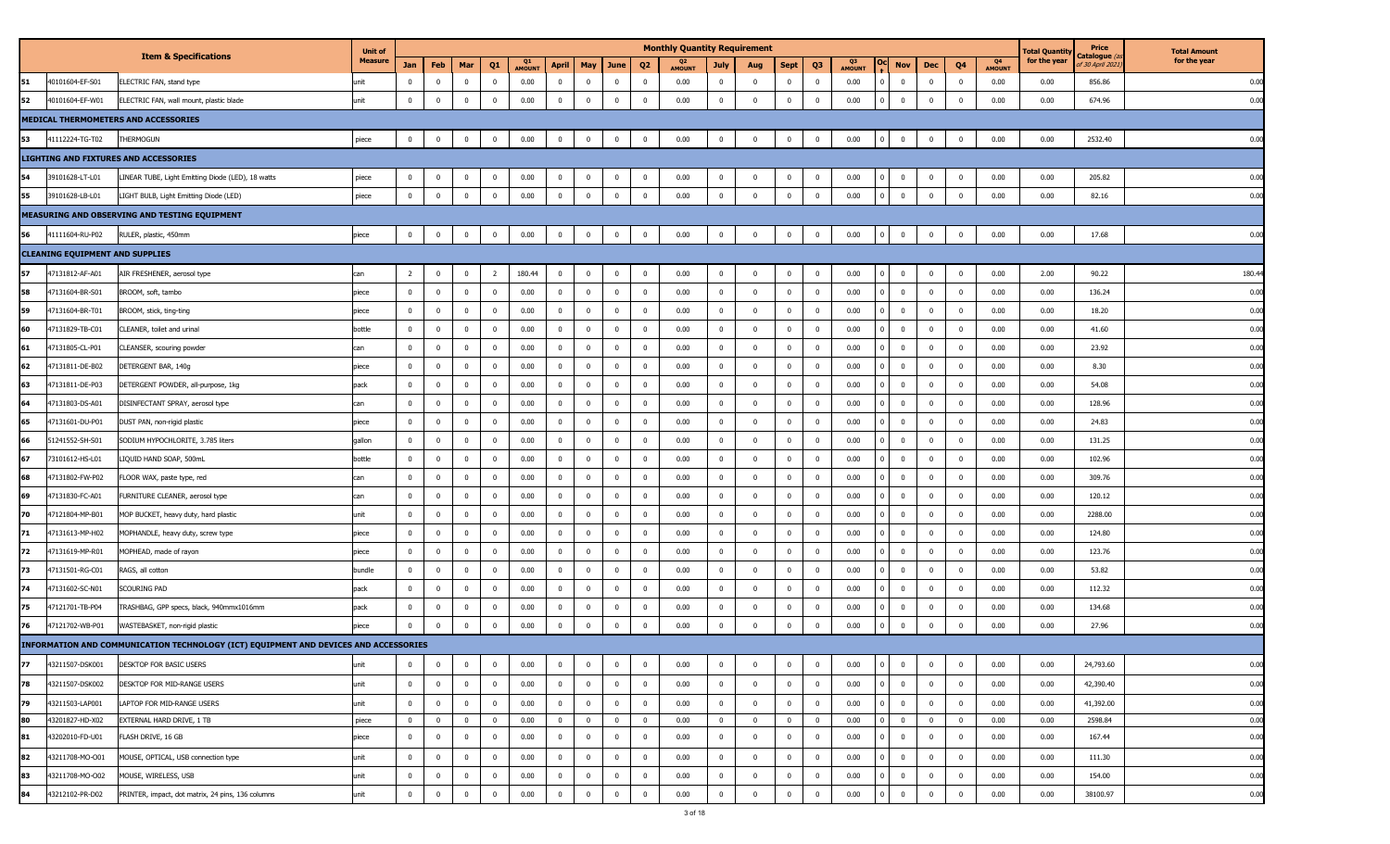|    |                                        |                                                                                      | <b>Unit of</b> |                |                         |                         |                |                     |                |                         |             |                | <b>Monthly Quantity Requirement</b> |                |                         |                |                         |                     |                |              |                |                                 | Total Quantit <sub>)</sub> | Price                                   | <b>Total Amount</b> |
|----|----------------------------------------|--------------------------------------------------------------------------------------|----------------|----------------|-------------------------|-------------------------|----------------|---------------------|----------------|-------------------------|-------------|----------------|-------------------------------------|----------------|-------------------------|----------------|-------------------------|---------------------|----------------|--------------|----------------|---------------------------------|----------------------------|-----------------------------------------|---------------------|
|    |                                        | <b>Item &amp; Specifications</b>                                                     | <b>Measure</b> | Jan            | Feb                     | Mar                     | Q <sub>1</sub> | Q1<br><b>AMOUNT</b> | <b>April</b>   | May                     | June        | Q <sub>2</sub> | Q2<br><b>AMOUNT</b>                 | July           | Aug                     | <b>Sept</b>    | Q3                      | Q3<br><b>AMOUNT</b> | <b>Nov</b>     | Dec          | Q <sub>4</sub> | Q <sub>4</sub><br><b>AMOUNT</b> | for the year               | Catalogue <i>(</i> a<br>f 30 April 2021 | for the year        |
| 51 | 40101604-EF-S01                        | ELECTRIC FAN, stand type                                                             | ınit           | $\Omega$       | $\mathbf{0}$            | $\bf{0}$                | $\mathbf{0}$   | 0.00                | $\mathbf{0}$   | $\bf{0}$                | $\mathbf 0$ | $\overline{0}$ | 0.00                                | $\mathbf{0}$   | $\mathbf 0$             | $\mathbf{0}$   | $\overline{0}$          | 0.00                | $\mathbf 0$    | $\mathbf 0$  | $\Omega$       | 0.00                            | 0.00                       | 856.86                                  | 0.00                |
| 52 | 40101604-EF-W01                        | ELECTRIC FAN, wall mount, plastic blade                                              | unit           | $\bf{0}$       | $\overline{\mathbf{0}}$ | $\bf{0}$                | $\mathbf 0$    | 0.00                | $\mathbf 0$    | $\overline{\mathbf{0}}$ | 0           | $\overline{0}$ | 0.00                                | $\overline{0}$ | $\mathbf 0$             | $\overline{0}$ | $\overline{0}$          | 0.00                | $\mathbf 0$    | $^{\circ}$   | $\mathbf{0}$   | 0.00                            | 0.00                       | 674.96                                  | 0.00                |
|    |                                        | MEDICAL THERMOMETERS AND ACCESSORIES                                                 |                |                |                         |                         |                |                     |                |                         |             |                |                                     |                |                         |                |                         |                     |                |              |                |                                 |                            |                                         |                     |
| 53 | 41112224-TG-T02                        | <b>HERMOGUN</b>                                                                      | piece          | $\bf{0}$       | $\mathbf 0$             | $\bf{0}$                | $\bf{0}$       | 0.00                | $\bf{0}$       | $\overline{\mathbf{0}}$ | $\mathbf 0$ | $\mathbf 0$    | 0.00                                | $\overline{0}$ | $\mathbf 0$             | $\overline{0}$ | $\pmb{0}$               | 0.00                | $\mathbf 0$    | $\mathbf 0$  | $\overline{0}$ | 0.00                            | 0.00                       | 2532.40                                 | 0.00                |
|    |                                        | <b>LIGHTING AND FIXTURES AND ACCESSORIES</b>                                         |                |                |                         |                         |                |                     |                |                         |             |                |                                     |                |                         |                |                         |                     |                |              |                |                                 |                            |                                         |                     |
| 54 | 39101628-LT-L01                        | LINEAR TUBE, Light Emitting Diode (LED), 18 watts                                    | piece          | $\bf{0}$       | $\overline{\mathbf{0}}$ | $\mathbf{0}$            | $\overline{0}$ | 0.00                | $\mathbf{0}$   | $\overline{0}$          | 0           | $\overline{0}$ | 0.00                                | $\overline{0}$ | $\overline{\mathbf{0}}$ | $\overline{0}$ | $\mathbf{0}$            | 0.00                | $\bf{0}$       | $\mathbf 0$  | $^{\circ}$     | 0.00                            | 0.00                       | 205.82                                  | 0.00                |
| 55 | 39101628-LB-L01                        | LIGHT BULB, Light Emitting Diode (LED)                                               | piece          | $\bf{0}$       | $\overline{\mathbf{0}}$ | $\bf{0}$                | $\overline{0}$ | 0.00                | $\bf{0}$       | $\overline{\mathbf{0}}$ | $\mathbf 0$ | $\overline{0}$ | 0.00                                | $\overline{0}$ | $\overline{0}$          | $\mathbf 0$    | $\overline{0}$          | 0.00                | $\mathbf 0$    | $\mathbf 0$  | $\overline{0}$ | 0.00                            | 0.00                       | 82.16                                   | 0.00                |
|    |                                        | MEASURING AND OBSERVING AND TESTING EQUIPMENT                                        |                |                |                         |                         |                |                     |                |                         |             |                |                                     |                |                         |                |                         |                     |                |              |                |                                 |                            |                                         |                     |
| 56 | 41111604-RU-P02                        | RULER, plastic, 450mm                                                                | piece          | $\mathbf{0}$   | $\overline{0}$          | $\bf{0}$                | $\bf{0}$       | 0.00                | $\bf{0}$       | $\overline{\mathbf{0}}$ | $\mathbf 0$ | $\overline{0}$ | 0.00                                | $\overline{0}$ | $\overline{0}$          | $\overline{0}$ | $\overline{0}$          | 0.00                | $\mathbf 0$    | $\mathbf 0$  | $\mathbf{0}$   | 0.00                            | 0.00                       | 17.68                                   | 0.00                |
|    | <b>CLEANING EQUIPMENT AND SUPPLIES</b> |                                                                                      |                |                |                         |                         |                |                     |                |                         |             |                |                                     |                |                         |                |                         |                     |                |              |                |                                 |                            |                                         |                     |
| 57 | 47131812-AF-A01                        | AIR FRESHENER, aerosol type                                                          | can            | $\overline{2}$ | $\overline{\mathbf{0}}$ | $\mathbf 0$             | $\overline{2}$ | 180.44              | $\bf{0}$       | $\overline{\mathbf{0}}$ | 0           | $\overline{0}$ | 0.00                                | $\overline{0}$ | $\overline{\mathbf{0}}$ | $\overline{0}$ | $\overline{0}$          | 0.00                | $\mathbf 0$    | $^{\circ}$   | $\Omega$       | 0.00                            | 2.00                       | 90.22                                   | 180.44              |
| 58 | 47131604-BR-S01                        | BROOM, soft, tambo                                                                   | piece          | $\mathbf 0$    | $\overline{\mathbf{0}}$ | $\overline{0}$          | $\mathbf 0$    | 0.00                | $\bf{0}$       | $\overline{0}$          | $\mathbf 0$ | $\overline{0}$ | 0.00                                | $\overline{0}$ | $\overline{0}$          | $\mathbf{0}$   | $\overline{0}$          | 0.00                | $\mathbf 0$    | $\mathbf 0$  | $\mathbf{0}$   | 0.00                            | 0.00                       | 136.24                                  | 0.00                |
| 59 | 47131604-BR-T01                        | BROOM, stick, ting-ting                                                              | piece          | $\mathbf 0$    | $\overline{\mathbf{0}}$ | $\mathbf 0$             | $\mathbf{0}$   | 0.00                | $\mathbf{0}$   | $\overline{0}$          | 0           | $^{\circ}$     | 0.00                                | $\mathbf{0}$   | $\mathbf 0$             | $\mathbf 0$    | $\overline{0}$          | 0.00                | $\overline{0}$ | $^{\circ}$   | $\Omega$       | 0.00                            | 0.00                       | 18.20                                   | 0.00                |
| 60 | 47131829-TB-C01                        | CLEANER, toilet and urinal                                                           | bottle         | $\mathbf 0$    | $\overline{\mathbf{0}}$ | $\mathbf 0$             | $\overline{0}$ | 0.00                | $\bf{0}$       | $\overline{0}$          | $\mathbf 0$ | $\overline{0}$ | 0.00                                | $\mathbf{0}$   | $\mathbf 0$             | $\mathbf{0}$   | $\overline{0}$          | 0.00                | $\mathbf 0$    | $\Omega$     | $\mathbf{0}$   | 0.00                            | 0.00                       | 41.60                                   | 0.00                |
| 61 | 47131805-CL-P01                        | CLEANSER, scouring powder                                                            | can            | $\Omega$       | $\overline{\mathbf{0}}$ | $\overline{0}$          | $\Omega$       | 0.00                | $\Omega$       | $\overline{\mathbf{0}}$ | $\mathbf 0$ | $\Omega$       | 0.00                                | $\Omega$       | $\mathbf{0}$            | $\mathbf 0$    | $\Omega$                | 0.00                | $\mathbf{0}$   |              |                | 0.00                            | 0.00                       | 23.92                                   | 0.00                |
| 62 | 47131811-DE-B02                        | DETERGENT BAR, 140g                                                                  | piece          | $\mathbf 0$    | $\overline{\mathbf{0}}$ | $\overline{0}$          | $\overline{0}$ | 0.00                | $\bf{0}$       | $\overline{\mathbf{0}}$ | $\mathbf 0$ | $\overline{0}$ | 0.00                                | $\overline{0}$ | $\overline{0}$          | $\overline{0}$ | $\overline{0}$          | 0.00                | $\mathbf 0$    | $^{\circ}$   | $\mathbf{0}$   | 0.00                            | 0.00                       | 8.30                                    | 0.00                |
| 63 | 47131811-DE-P03                        | DETERGENT POWDER, all-purpose, 1kg                                                   | pack           | $\mathbf 0$    | $\overline{\mathbf{0}}$ | $\overline{0}$          | $\mathbf{0}$   | 0.00                | $\bf{0}$       | $\overline{0}$          | $\mathbf 0$ | $\overline{0}$ | 0.00                                | $\overline{0}$ | $\mathbf 0$             | $\overline{0}$ | $\overline{\mathbf{0}}$ | 0.00                | $\mathbf 0$    | $\mathbf{0}$ |                | 0.00                            | 0.00                       | 54.08                                   | 0.00                |
| 64 | 47131803-DS-A01                        | DISINFECTANT SPRAY, aerosol type                                                     | can            | $\mathbf{0}$   | $\overline{\mathbf{0}}$ | $\bf{0}$                | $\mathbf{0}$   | 0.00                | $\bf{0}$       | $\overline{\mathbf{0}}$ | 0           | $\overline{0}$ | 0.00                                | $\overline{0}$ | $\overline{0}$          | $\bf{0}$       | $\overline{0}$          | 0.00                | $\mathbf 0$    | $^{\circ}$   | $^{\circ}$     | 0.00                            | 0.00                       | 128.96                                  | 0.00                |
| 65 | 47131601-DU-P01                        | DUST PAN, non-rigid plastic                                                          | piece          | $\mathbf 0$    | $\overline{0}$          | $\mathbf 0$             | $\overline{0}$ | 0.00                | $\bf{0}$       | $\overline{0}$          | $\mathbf 0$ | $\overline{0}$ | 0.00                                | $\overline{0}$ | $\mathbf 0$             | $\overline{0}$ | $\overline{0}$          | 0.00                | $\mathbf 0$    | $^{\circ}$   | $\Omega$       | 0.00                            | 0.00                       | 24.83                                   | 0.00                |
| 66 | 51241552-SH-S01                        | SODIUM HYPOCHLORITE, 3.785 liters                                                    | gallon         | $\mathbf 0$    | $\overline{\mathbf{0}}$ | $\overline{0}$          | $\overline{0}$ | 0.00                | $\bf{0}$       | $\overline{\mathbf{0}}$ | $\mathbf 0$ | $\overline{0}$ | 0.00                                | $\overline{0}$ | $\overline{0}$          | $\overline{0}$ | $\mathbf{0}$            | 0.00                | $\mathbf 0$    | $^{\circ}$   | $\overline{0}$ | 0.00                            | 0.00                       | 131.25                                  | 0.00                |
| 67 | 73101612-HS-L01                        | LIQUID HAND SOAP, 500mL                                                              | bottle         | $\mathbf 0$    | $\overline{\mathbf{0}}$ | $\overline{0}$          | $\Omega$       | 0.00                | $\bf{0}$       | $\overline{0}$          | 0           | $\overline{0}$ | 0.00                                | $\mathbf{0}$   | $\mathbf{0}$            | $\mathbf{0}$   | $\overline{\mathbf{0}}$ | 0.00                | $\mathbf 0$    | $^{\circ}$   | $\Omega$       | 0.00                            | 0.00                       | 102.96                                  | 0.00                |
| 68 | 47131802-FW-P02                        | FLOOR WAX, paste type, red                                                           | can            | $\bf{0}$       | $\overline{\mathbf{0}}$ | $\bf{0}$                | $\mathbf{0}$   | 0.00                | $\bf{0}$       | $\overline{\mathbf{0}}$ | 0           | $\overline{0}$ | 0.00                                | $\overline{0}$ | $\overline{0}$          | $\bf{0}$       | $\mathbf 0$             | 0.00                | $\mathbf 0$    | $^{\circ}$   | $\mathbf{0}$   | 0.00                            | 0.00                       | 309.76                                  | 0.00                |
| 69 | 47131830-FC-A01                        | FURNITURE CLEANER, aerosol type                                                      | can            | $\mathbf 0$    | $\mathbf 0$             | $\bf{0}$                | $\mathbf{0}$   | 0.00                | $\bf{0}$       | $\overline{0}$          | $\mathbf 0$ | $\overline{0}$ | 0.00                                | $\mathbf{0}$   | $\overline{0}$          | $\overline{0}$ | $\overline{0}$          | 0.00                | $\mathbf 0$    | $^{\circ}$   | $\mathbf{0}$   | 0.00                            | 0.00                       | 120.12                                  | 0.00                |
| 70 | 47121804-MP-B01                        | MOP BUCKET, heavy duty, hard plastic                                                 | unit           | $\mathbf 0$    | $\overline{\mathbf{0}}$ | $\overline{0}$          | $\mathbf{0}$   | 0.00                | $\mathbf{0}$   | $\bf{0}$                | $\mathbf 0$ | $\overline{0}$ | 0.00                                | $\overline{0}$ | $\overline{0}$          | $\overline{0}$ | $\mathbf 0$             | 0.00                | $\mathbf 0$    | $^{\circ}$   | $\mathbf{0}$   | 0.00                            | 0.00                       | 2288.00                                 | 0.00                |
| 71 | 47131613-MP-H02                        | MOPHANDLE, heavy duty, screw type                                                    | piece          | $\mathbf 0$    | $\mathbf 0$             | $\bf{0}$                | $\mathbf{0}$   | 0.00                | $\mathbf{0}$   | $\bf{0}$                | $^{\circ}$  | $\overline{0}$ | 0.00                                | $\mathbf{0}$   | $\mathbf 0$             | $\overline{0}$ | $\overline{\mathbf{0}}$ | 0.00                | $\mathbf 0$    | $^{\circ}$   | $\Omega$       | 0.00                            | 0.00                       | 124.80                                  | 0.00                |
| 72 | 47131619-MP-R01                        | MOPHEAD, made of rayon                                                               | piece          | $\bf{0}$       | $\overline{\mathbf{0}}$ | $\bf{0}$                | $\mathbf{0}$   | 0.00                | $\bf{0}$       | $\overline{\mathbf{0}}$ | 0           | $\overline{0}$ | 0.00                                | $\overline{0}$ | $\overline{\mathbf{0}}$ | $\bf{0}$       | $\overline{0}$          | 0.00                | $\mathbf 0$    | $^{\circ}$   | $\Omega$       | 0.00                            | 0.00                       | 123.76                                  | 0.00                |
| 73 | 47131501-RG-C01                        | RAGS, all cotton                                                                     | bundle         | $\mathbf{0}$   | $\mathbf 0$             | $\overline{0}$          | $\overline{0}$ | 0.00                | $\mathbf 0$    | $\overline{0}$          | $^{\circ}$  | $\overline{0}$ | 0.00                                | $\mathbf{0}$   | $\overline{0}$          | $\overline{0}$ | $\overline{\mathbf{0}}$ | 0.00                | $\mathbf 0$    | $^{\circ}$   | $\mathbf{0}$   | 0.00                            | 0.00                       | 53.82                                   | 0.00                |
| 74 | 47131602-SC-N01                        | Scouring Pad                                                                         | pack           | $\mathbf 0$    | $\overline{\mathbf{0}}$ | $\bf{0}$                | $\mathbf{0}$   | 0.00                | $\mathbf{0}$   | $\overline{0}$          | 0           | $\overline{0}$ | 0.00                                | $\mathbf{0}$   | $\mathbf 0$             | $\bf{0}$       | 0                       | 0.00                | $\mathbf 0$    | $^{\circ}$   | $\mathbf{0}$   | 0.00                            | 0.00                       | 112.32                                  | 0.00                |
| 75 | 47121701-TB-P04                        | TRASHBAG, GPP specs, black, 940mmx1016mm                                             | pack           | $\mathbf 0$    | $\overline{0}$          | $\mathbf{0}$            | $\Omega$       | 0.00                | $^{\circ}$     | $\overline{0}$          | 0           | $^{\circ}$     | 0.00                                | $\mathbf{0}$   | $\Omega$                | $\mathbf{0}$   | $\overline{0}$          | 0.00                | $\mathbf 0$    | $^{\circ}$   | $\Omega$       | 0.00                            | 0.00                       | 134.68                                  | 0.00                |
| 76 | 47121702-WB-P01                        | VASTEBASKET, non-rigid plastic                                                       | piece          | $\bf{0}$       | $\Omega$                | $\bf{0}$                | $\Omega$       | 0.00                | $\bf{0}$       | $\Omega$                | $\pmb{0}$   | $\mathbf 0$    | 0.00                                | $\mathbf 0$    | $\mathbf 0$             | $\bf{0}$       | $\overline{0}$          | 0.00                | $\Omega$       | $^{\circ}$   | $\Omega$       | 0.00                            | 0.00                       | 27.96                                   | 0.00                |
|    |                                        | INFORMATION AND COMMUNICATION TECHNOLOGY (ICT) EQUIPMENT AND DEVICES AND ACCESSORIES |                |                |                         |                         |                |                     |                |                         |             |                |                                     |                |                         |                |                         |                     |                |              |                |                                 |                            |                                         |                     |
| 77 | 43211507-DSK001                        | DESKTOP FOR BASIC USERS                                                              | unit           | $\mathbf 0$    | $\overline{0}$          | $\overline{0}$          | $\mathbf 0$    | 0.00                | $\mathbf{0}$   | $\mathbf 0$             | $\mathbf 0$ | $\overline{0}$ | 0.00                                | $\mathbf{0}$   | $\mathbf{0}$            | $\mathbf{0}$   | $\mathbf{0}$            | 0.00                | $\mathbf 0$    | $\mathbf 0$  | $\overline{0}$ | 0.00                            | 0.00                       | 24,793.60                               | 0.00                |
| 78 | 43211507-DSK002                        | DESKTOP FOR MID-RANGE USERS                                                          | unit           | $\bf{0}$       | $\overline{\mathbf{0}}$ | $\overline{0}$          | $\mathbf{0}$   | 0.00                | $\overline{0}$ | $\overline{\mathbf{0}}$ | $\mathbf 0$ | $\overline{0}$ | 0.00                                | $\overline{0}$ | $\overline{0}$          | $\overline{0}$ | $\mathbf{0}$            | 0.00                | $\bf{0}$       | $\mathbf 0$  | $\overline{0}$ | 0.00                            | 0.00                       | 42,390.40                               | 0.00                |
| 79 | 43211503-LAP001                        | LAPTOP FOR MID-RANGE USERS                                                           | unit           | $\mathbf 0$    | $\overline{0}$          | $\overline{0}$          | $\mathbf 0$    | 0.00                | $\overline{0}$ | $\overline{\mathbf{0}}$ | $\mathbf 0$ | $\overline{0}$ | 0.00                                | $\overline{0}$ | $\mathbf 0$             | $\mathbf{0}$   | $\overline{0}$          | 0.00                | $\mathbf 0$    | $^{\circ}$   | $\overline{0}$ | 0.00                            | 0.00                       | 41,392.00                               | 0.00                |
| 80 | 43201827-HD-X02                        | EXTERNAL HARD DRIVE, 1 TB                                                            | piece          | $\mathbf 0$    | $\overline{0}$          | $\mathbf{0}$            | $\mathbf 0$    | 0.00                | $\mathbf{0}$   | $\overline{0}$          | $\mathbf 0$ | $\overline{0}$ | 0.00                                | $\overline{0}$ | $\overline{0}$          | $\overline{0}$ | $\mathbf{0}$            | 0.00                | $\mathbf 0$    | $\mathbf 0$  | $\overline{0}$ | 0.00                            | 0.00                       | 2598.84                                 | 0.00                |
| 81 | 43202010-FD-U01                        | FLASH DRIVE, 16 GB                                                                   | piece          | $\bf{0}$       | $\overline{\mathbf{0}}$ | $\overline{0}$          | $\mathbf{0}$   | 0.00                | $\overline{0}$ | $\bf{0}$                | $\mathbf 0$ | $\overline{0}$ | 0.00                                | $\mathbf{0}$   | $\bf{0}$                | $\overline{0}$ | $\mathbf{0}$            | 0.00                | $\mathbf 0$    | $\mathbf 0$  | $\overline{0}$ | 0.00                            | 0.00                       | 167.44                                  | 0.00                |
| 82 | 43211708-MO-O01                        | MOUSE, OPTICAL, USB connection type                                                  | unit           | $\mathbf 0$    | $\overline{0}$          | $\bf{0}$                | $\mathbf{0}$   | 0.00                | $\mathbf{0}$   | $\overline{0}$          | $\mathbf 0$ | $\overline{0}$ | 0.00                                | $\overline{0}$ | $\mathbf 0$             | $\mathbf{0}$   | $\mathbf{0}$            | 0.00                | $\bf{0}$       | $^{\circ}$   | $\overline{0}$ | 0.00                            | 0.00                       | 111.30                                  | 0.00                |
| 83 | 43211708-MO-O02                        | MOUSE, WIRELESS, USB                                                                 | unit           | $\mathbf 0$    | $\overline{\mathbf{0}}$ | $\overline{0}$          | $\bf{0}$       | 0.00                | $\mathbf{0}$   | $\overline{0}$          | $\mathbf 0$ | $\overline{0}$ | 0.00                                | $\mathbf{0}$   | $\mathbf{0}$            | $\mathbf{0}$   | $\mathbf 0$             | 0.00                | $\mathbf 0$    | $\mathbf 0$  | $\overline{0}$ | 0.00                            | 0.00                       | 154.00                                  | 0.00                |
| 84 | 43212102-PR-D02                        | PRINTER, impact, dot matrix, 24 pins, 136 columns                                    | unit           | $\bf{0}$       | $\overline{\mathbf{0}}$ | $\overline{\mathbf{0}}$ | $\mathbf{0}$   | 0.00                | $\mathbf 0$    | $\mathbf 0$             | $\pmb{0}$   | $\overline{0}$ | 0.00                                | $\overline{0}$ | $\mathbf 0$             | $\mathbf 0$    | $\overline{0}$          | 0.00                | $\mathbf 0$    | $\mathbf 0$  | $\mathbf 0$    | 0.00                            | 0.00                       | 38100.97                                | 0.00                |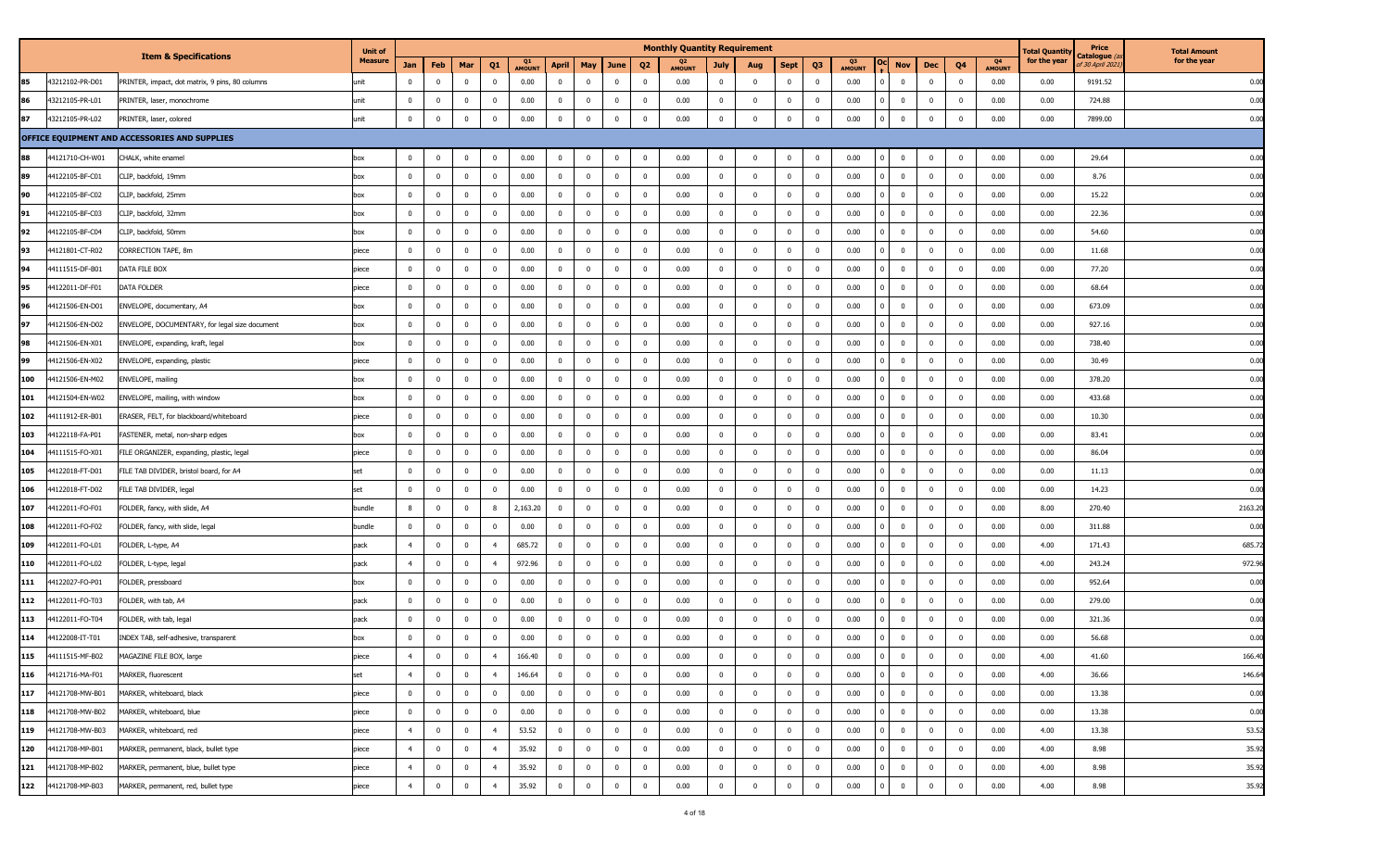|     |                 |                                                 | <b>Unit of</b> |                |                |                |                         |              |                |                |                |                         | <b>Monthly Quantity Requirement</b> |                |                |                |                |              |                         |              |                         |                                 | <b>Total Quantit</b> | Price                                   | <b>Total Amount</b> |
|-----|-----------------|-------------------------------------------------|----------------|----------------|----------------|----------------|-------------------------|--------------|----------------|----------------|----------------|-------------------------|-------------------------------------|----------------|----------------|----------------|----------------|--------------|-------------------------|--------------|-------------------------|---------------------------------|----------------------|-----------------------------------------|---------------------|
|     |                 | <b>Item &amp; Specifications</b>                | <b>Measure</b> | Jan            | Feb            | Mar            | Q <sub>1</sub>          | Q1<br>AMOUNT | <b>April</b>   | May            | June           | Q <sub>2</sub>          | Q <sub>2</sub><br>AMOUNT            | <b>July</b>    | Aug            | <b>Sept</b>    | Q3             | Q3<br>AMOUNT | <b>Nov</b>              | Dec          | Q4                      | Q <sub>4</sub><br><b>AMOUNT</b> | for the year         | C <b>atalogue</b> (a<br>f 30 April 2021 | for the year        |
| 85  | 43212102-PR-D01 | PRINTER, impact, dot matrix, 9 pins, 80 columns | unit           | $^{\circ}$     | $^{\circ}$     | $\mathbf{0}$   | $\overline{0}$          | 0.00         | $\mathbf 0$    | $^{\circ}$     | $\mathbf{0}$   | $\mathbf{0}$            | 0.00                                | $\mathbf 0$    | $\mathbf 0$    | $\mathbf 0$    | $\mathbf 0$    | 0.00         | $\overline{0}$          | $\mathbf 0$  | $\mathbf{0}$            | 0.00                            | 0.00                 | 9191.52                                 | 0.00                |
| 86  | 43212105-PR-L01 | PRINTER, laser, monochrome                      | unit           | $^{\circ}$     | $\overline{0}$ | $\mathbf{0}$   | $\overline{\mathbf{0}}$ | 0.00         | $\overline{0}$ | $\mathbf{0}$   | $\mathbf{0}$   | $\overline{\mathbf{0}}$ | 0.00                                | $\mathbf{0}$   | $\mathbf 0$    | $\mathbf 0$    | $\mathbf 0$    | 0.00         | $\mathbf 0$             | $\bf{0}$     | $\overline{0}$          | 0.00                            | 0.00                 | 724.88                                  | 0.00                |
| 87  | 43212105-PR-L02 | PRINTER, laser, colored                         | unit           | $\mathbf 0$    | $\mathbf 0$    | $\overline{0}$ | $\mathbf 0$             | 0.00         | $\mathbf 0$    | $\Omega$       | $\mathbf{0}$   | $\overline{\mathbf{0}}$ | 0.00                                | $\bf{0}$       | $\mathbf 0$    | $\overline{0}$ | $^{\circ}$     | 0.00         | $\mathbf{0}$            | $\mathbf{0}$ | $\mathbf 0$             | 0.00                            | 0.00                 | 7899.00                                 | 0.00                |
|     |                 | OFFICE EQUIPMENT AND ACCESSORIES AND SUPPLIES   |                |                |                |                |                         |              |                |                |                |                         |                                     |                |                |                |                |              |                         |              |                         |                                 |                      |                                         |                     |
| 88  | 44121710-CH-W01 | CHALK, white enamel                             | box            | $\mathbf{0}$   | $^{\circ}$     | $\overline{0}$ | $\mathbf 0$             | 0.00         | $\mathbf 0$    | $\mathbf 0$    | $\mathbf{0}$   | $\overline{\mathbf{0}}$ | 0.00                                | $\overline{0}$ | $\mathbf 0$    | $\bf{0}$       | $\bf{0}$       | 0.00         | $\mathbf 0$             | $\bf{0}$     | $\overline{0}$          | 0.00                            | 0.00                 | 29.64                                   | 0.00                |
| 89  | 44122105-BF-C01 | CLIP, backfold, 19mm                            | box            | $\bf{0}$       | $\bf{0}$       | $\overline{0}$ | $\overline{\mathbf{0}}$ | 0.00         | $\overline{0}$ | $\bf{0}$       | $\bf{0}$       | $\overline{\mathbf{0}}$ | 0.00                                | $\mathbf{0}$   | $\overline{0}$ | $\bf{0}$       | $\bf{0}$       | 0.00         | $\overline{0}$          | $\bf{0}$     | $\overline{0}$          | 0.00                            | 0.00                 | 8.76                                    | 0.00                |
| 90  | 44122105-BF-C02 | CLIP, backfold, 25mm                            | box            | $\mathbf 0$    | $\overline{0}$ | $\mathbf{0}$   | $\mathbf 0$             | 0.00         | $\mathbf 0$    | $\mathbf{0}$   | $\mathbf{0}$   | $\overline{0}$          | 0.00                                | $\mathbf{0}$   | $\mathbf{0}$   | $\overline{0}$ | $\bf{0}$       | 0.00         | $\overline{0}$          | $\bf{0}$     | $\overline{0}$          | 0.00                            | 0.00                 | 15.22                                   | 0.00                |
| 91  | 44122105-BF-C03 | CLIP, backfold, 32mm                            | box            | $\bf{0}$       | $\overline{0}$ | $\mathbf{0}$   | $\overline{\mathbf{0}}$ | 0.00         | $\overline{0}$ | $\mathbf 0$    | $\bf{0}$       | $\overline{\mathbf{0}}$ | 0.00                                | $\mathbf{0}$   | $\mathbf 0$    | $\mathbf 0$    | $\bf{0}$       | 0.00         | $\overline{0}$          | $\bf{0}$     | $\overline{0}$          | 0.00                            | 0.00                 | 22.36                                   | 0.00                |
| 92  | 44122105-BF-C04 | CLIP, backfold, 50mm                            | box            | $\mathbf 0$    | $\overline{0}$ | $^{\circ}$     | $\overline{\mathbf{0}}$ | 0.00         | $\mathbf 0$    | $\mathbf 0$    | $\mathbf{0}$   | $\overline{\mathbf{0}}$ | 0.00                                | $\mathbf{0}$   | $\mathbf 0$    | $\bf{0}$       | $\mathbf 0$    | 0.00         | $\overline{0}$          | $\mathbf{0}$ | $\mathbf 0$             | 0.00                            | 0.00                 | 54.60                                   | 0.00                |
| 93  | 44121801-CT-R02 | CORRECTION TAPE, 8m                             | piece          | $\bf{0}$       | $\bf{0}$       | $\overline{0}$ | $\overline{\mathbf{0}}$ | 0.00         | $\mathbf 0$    | $\overline{0}$ | $\mathbf{0}$   | $\overline{\mathbf{0}}$ | 0.00                                | $\mathbf{0}$   | $\overline{0}$ | $\bf{0}$       | $\bf{0}$       | 0.00         | $\overline{0}$          | $\mathbf 0$  | $\mathbf{0}$            | 0.00                            | 0.00                 | 11.68                                   | 0.00                |
| 94  | 44111515-DF-B01 | DATA FILE BOX                                   | piece          | $\mathbf 0$    | $\bf{0}$       | $\overline{0}$ | $\overline{\mathbf{0}}$ | 0.00         | $\mathbf 0$    | $^{\circ}$     | $\mathbf{0}$   | $\overline{\mathbf{0}}$ | 0.00                                | $\overline{0}$ | $\mathbf{0}$   | $\bf{0}$       | $\bf{0}$       | 0.00         | $\overline{0}$          | $\bf{0}$     | $\overline{0}$          | 0.00                            | 0.00                 | 77.20                                   | 0.00                |
| 95  | 44122011-DF-F01 | DATA FOLDER                                     | piece          | $\mathbf 0$    | $\mathbf 0$    | $\mathbf{0}$   | $\overline{\mathbf{0}}$ | 0.00         | $\overline{0}$ | $\mathbf 0$    | $\mathbf{0}$   | $\overline{\mathbf{0}}$ | 0.00                                | $\mathbf{0}$   | $\mathbf 0$    | $\mathbf 0$    | $\bf{0}$       | 0.00         | $\overline{0}$          | $\mathbf 0$  | $\overline{0}$          | 0.00                            | 0.00                 | 68.64                                   | 0.00                |
| 96  | 44121506-EN-D01 | ENVELOPE, documentary, A4                       | box            | $\mathbf 0$    | $\overline{0}$ | $\mathbf{0}$   | $\mathbf 0$             | 0.00         | $\mathbf 0$    | $\mathbf{0}$   | $\mathbf{0}$   | $\overline{\mathbf{0}}$ | 0.00                                | $\mathbf{0}$   | $\mathbf{0}$   | $\mathbf 0$    | $\mathbf{0}$   | 0.00         | $\overline{0}$          | $\mathbf 0$  | $\overline{0}$          | 0.00                            | 0.00                 | 673.09                                  | 0.00                |
| 97  | 44121506-EN-D02 | ENVELOPE, DOCUMENTARY, for legal size document  | box            | $\mathbf 0$    | $\bf{0}$       | $\mathbf{0}$   | $\overline{\mathbf{0}}$ | 0.00         | $\mathbf 0$    | $\bf{0}$       | $\bf{0}$       | $\overline{\mathbf{0}}$ | 0.00                                | $\mathbf{0}$   | $\mathbf 0$    | $\overline{0}$ | $\bf{0}$       | 0.00         | $\overline{0}$          | $\bf{0}$     | $\overline{0}$          | 0.00                            | 0.00                 | 927.16                                  | 0.00                |
| 98  | 44121506-EN-X01 | ENVELOPE, expanding, kraft, legal               | box            | $\mathbf 0$    | $\overline{0}$ | $\mathbf{0}$   | $\mathbf 0$             | 0.00         | $\mathbf 0$    | $^{\circ}$     | $\mathbf{0}$   | $\overline{\mathbf{0}}$ | 0.00                                | $\mathbf{0}$   | $\Omega$       | $\bf{0}$       | $\bf{0}$       | 0.00         | $\overline{0}$          | $\bf{0}$     | $\overline{0}$          | 0.00                            | 0.00                 | 738.40                                  | 0.00                |
| 99  | 44121506-EN-X02 | ENVELOPE, expanding, plastic                    | piece          | $\mathbf 0$    | $\mathbf 0$    | $\mathbf{0}$   | $\overline{\mathbf{0}}$ | 0.00         | $\mathbf 0$    | $\mathbf{0}$   | $\mathbf{0}$   | $\overline{\mathbf{0}}$ | 0.00                                | $\mathbf{0}$   | $\mathbf 0$    | $\mathbf 0$    | $\mathbf 0$    | 0.00         | $\overline{0}$          | $\mathbf 0$  | $\mathbf{0}$            | 0.00                            | 0.00                 | 30.49                                   | 0.00                |
| 100 | 44121506-EN-M02 | ENVELOPE, mailing                               | box            | $\mathbf 0$    | $^{\circ}$     | $\mathbf{0}$   | $\overline{\mathbf{0}}$ | 0.00         | $\mathbf 0$    | $^{\circ}$     | $\mathbf{0}$   | $\overline{\mathbf{0}}$ | 0.00                                | $\mathbf{0}$   | $\mathbf 0$    | $\mathbf 0$    | $\mathbf 0$    | 0.00         | $\overline{0}$          | $\mathbf 0$  | $\mathbf{0}$            | 0.00                            | 0.00                 | 378.20                                  | 0.00                |
| 101 | 44121504-EN-W02 | ENVELOPE, mailing, with window                  | box            | $\mathbf 0$    | $\mathbf 0$    | $\mathbf{0}$   | $\overline{\mathbf{0}}$ | 0.00         | $\mathbf 0$    | $\mathbf 0$    | $\mathbf{0}$   | $\overline{\mathbf{0}}$ | 0.00                                | $\mathbf{0}$   | $\mathbf 0$    | $\bf{0}$       | $\mathbf 0$    | 0.00         | $\overline{0}$          | $\bf{0}$     | $\mathbf 0$             | 0.00                            | 0.00                 | 433.68                                  | 0.00                |
| 102 | 44111912-ER-B01 | ERASER, FELT, for blackboard/whiteboard         | piece          | $\bf{0}$       | $\overline{0}$ | $\overline{0}$ | $\overline{\mathbf{0}}$ | 0.00         | $\overline{0}$ | $\mathbf 0$    | $\overline{0}$ | $\overline{\mathbf{0}}$ | 0.00                                | $\mathbf{0}$   | $\mathbf 0$    | $\overline{0}$ | $\bf{0}$       | 0.00         | $\overline{0}$          | $\mathbf 0$  | $\overline{0}$          | 0.00                            | 0.00                 | 10.30                                   | 0.00                |
| 103 | 44122118-FA-P01 | FASTENER, metal, non-sharp edges                | box            | $\mathbf 0$    | $\bf{0}$       | $\overline{0}$ | $\overline{\mathbf{0}}$ | 0.00         | $\mathbf 0$    | $\bf{0}$       | $\mathbf{0}$   | $\overline{\mathbf{0}}$ | 0.00                                | $\overline{0}$ | $\mathbf{0}$   | $\overline{0}$ | $\bf{0}$       | 0.00         | $\overline{\mathbf{0}}$ | $\bf{0}$     | $\mathbf 0$             | 0.00                            | 0.00                 | 83.41                                   | 0.00                |
| 104 | 44111515-FO-X01 | FILE ORGANIZER, expanding, plastic, legal       | piece          | $\mathbf 0$    | $\overline{0}$ | $\mathbf{0}$   | $\overline{\mathbf{0}}$ | 0.00         | $\overline{0}$ | $\mathbf 0$    | $\mathbf{0}$   | $\overline{\mathbf{0}}$ | 0.00                                | $\mathbf{0}$   | $\mathbf 0$    | $\mathbf 0$    | $\bf{0}$       | 0.00         | $\overline{0}$          | $\mathbf{0}$ | $\overline{0}$          | 0.00                            | 0.00                 | 86.04                                   | 0.00                |
| 105 | 44122018-FT-D01 | FILE TAB DIVIDER, bristol board, for A4         | set            | $\mathbf 0$    | $\mathbf 0$    | $\overline{0}$ | $\mathbf 0$             | 0.00         | $\overline{0}$ | $\mathbf 0$    | $\mathbf{0}$   | $\overline{0}$          | 0.00                                | $\mathbf{0}$   | $\Omega$       | $\mathbf 0$    | $\bf{0}$       | 0.00         | $\bf{0}$                | $\mathbf 0$  | $\overline{0}$          | 0.00                            | 0.00                 | 11.13                                   | 0.00                |
| 106 | 44122018-FT-D02 | FILE TAB DIVIDER, legal                         | set            | $\mathbf 0$    | $\bf{0}$       | $\overline{0}$ | $\overline{\mathbf{0}}$ | 0.00         | $\mathbf 0$    | $\bf{0}$       | $\bf{0}$       | $\overline{\mathbf{0}}$ | 0.00                                | $\mathbf{0}$   | $\overline{0}$ | $\bf{0}$       | $\bf{0}$       | 0.00         | $\overline{\mathbf{0}}$ | $\mathbf 0$  | $\overline{0}$          | 0.00                            | 0.00                 | 14.23                                   | 0.00                |
| 107 | 44122011-FO-F01 | FOLDER, fancy, with slide, A4                   | bundle         | 8              | $\overline{0}$ | $\overline{0}$ | 8                       | 2,163.20     | $\mathbf 0$    | $\mathbf{0}$   | $\mathbf{0}$   | $\overline{0}$          | 0.00                                | $\mathbf{0}$   | $\mathbf{0}$   | $\bf{0}$       | $\mathbf 0$    | 0.00         | $\overline{0}$          | $\mathbf 0$  | $\overline{0}$          | 0.00                            | 8.00                 | 270.40                                  | 2163.20             |
| 108 | 44122011-FO-F02 | FOLDER, fancy, with slide, legal                | bundle         | $\mathbf 0$    | $^{\circ}$     | $^{\circ}$     | $\overline{0}$          | 0.00         | $\overline{0}$ | $^{\circ}$     | $\mathbf{0}$   | $\mathbf{0}$            | 0.00                                | $\mathbf{0}$   | $^{\circ}$     | $\mathbf 0$    | $\bf{0}$       | 0.00         | $\mathbf 0$             | $\mathbf{0}$ | $\overline{\mathbf{0}}$ | 0.00                            | 0.00                 | 311.88                                  | 0.00                |
| 109 | 44122011-FO-L01 | FOLDER, L-type, A4                              | pack           | $\overline{4}$ | $^{\circ}$     | $\mathbf{0}$   | $\overline{4}$          | 685.72       | $\overline{0}$ | $^{\circ}$     | $\mathbf{0}$   | $\overline{\mathbf{0}}$ | 0.00                                | $\mathbf{0}$   | $^{\circ}$     | $\mathbf{0}$   | $\mathbf 0$    | 0.00         | $\overline{0}$          | $\mathbf{0}$ | $\mathbf{0}$            | 0.00                            | 4.00                 | 171.43                                  | 685.72              |
| 110 | 44122011-FO-L02 | FOLDER, L-type, legal                           | pack           | $\overline{4}$ | $\overline{0}$ | $\mathbf{0}$   | $\overline{4}$          | 972.96       | $\mathbf 0$    | $\mathbf{0}$   | $\mathbf{0}$   | $\overline{\mathbf{0}}$ | 0.00                                | $\overline{0}$ | $\mathbf 0$    | $\mathbf 0$    | $\bf{0}$       | 0.00         | $\overline{0}$          | $\bf{0}$     | $\mathbf 0$             | 0.00                            | 4.00                 | 243.24                                  | 972.96              |
| 111 | 44122027-FO-P01 | FOLDER, pressboard                              | box            | $\mathbf 0$    | $\overline{0}$ | $\overline{0}$ | $\overline{\mathbf{0}}$ | 0.00         | $\mathbf 0$    | $\mathbf 0$    | $\mathbf{0}$   | $\overline{0}$          | 0.00                                | $\mathbf{0}$   | $\mathbf 0$    | $\bf{0}$       | $\mathbf 0$    | 0.00         | $\overline{0}$          | $\bf{0}$     | $\mathbf 0$             | 0.00                            | 0.00                 | 952.64                                  | 0.00                |
| 112 | 44122011-FO-T03 | FOLDER, with tab, A4                            | pack           | $\mathbf 0$    | $^{\circ}$     | $\mathbf{0}$   | $\overline{0}$          | 0.00         | $\mathbf 0$    | $^{\circ}$     | $\mathbf{0}$   | $\overline{\mathbf{0}}$ | 0.00                                | $\mathbf{0}$   | $^{\circ}$     | $\mathbf 0$    | $\mathbf 0$    | 0.00         | $\overline{0}$          | $\mathbf 0$  | $\mathbf{0}$            | 0.00                            | 0.00                 | 279.00                                  | 0.00                |
| 113 | 44122011-FO-T04 | FOLDER, with tab, legal                         | pack           | $\mathbf 0$    | $^{\circ}$     | $\mathbf{0}$   | $\overline{\mathbf{0}}$ | 0.00         | $\mathbf 0$    | $^{\circ}$     | $\mathbf{0}$   | $\overline{\mathbf{0}}$ | 0.00                                | $\mathbf{0}$   | $\mathbf 0$    | $\mathbf 0$    | $\mathbf 0$    | 0.00         | $\overline{0}$          | $\mathbf 0$  | $\mathbf{0}$            | 0.00                            | 0.00                 | 321.36                                  | 0.00                |
| 114 | 44122008-IT-T01 | INDEX TAB, self-adhesive, transparent           | box            | $\mathbf 0$    | $\overline{0}$ | $\overline{0}$ | $\overline{0}$          | 0.00         | $\overline{0}$ | $\mathbf 0$    | $\mathbf{0}$   | $\overline{\mathbf{0}}$ | 0.00                                | $\mathbf{0}$   | $\mathbf 0$    | $\bf{0}$       | $\mathbf 0$    | 0.00         | $\overline{0}$          | $\bf{0}$     | $\mathbf 0$             | 0.00                            | 0.00                 | 56.68                                   | 0.00                |
| 115 | 44111515-MF-B02 | MAGAZINE FILE BOX, large                        | лесе           |                | $\mathbf 0$    | 0              |                         | 166.40       | $\pmb{0}$      | $\overline{0}$ | $\mathbf 0$    | $\overline{0}$          | 0.00                                | 0              | $^{\circ}$     |                |                | 0.00         | $\pmb{0}$               |              | $\mathbf 0$             | 0.00                            | 4.00                 | 41.60                                   | 166.40              |
| 116 | 44121716-MA-F01 | MARKER, fluorescent                             | set            | $\overline{4}$ | $\overline{0}$ | $\overline{0}$ | $\overline{4}$          | 146.64       | $\mathbf 0$    | $\mathbf 0$    | $\overline{0}$ | $\overline{\mathbf{0}}$ | 0.00                                | $\mathbf{0}$   | $\mathbf 0$    | $\bf{0}$       | $\mathbf 0$    | 0.00         | $\overline{0}$          | $\mathbf{0}$ | $\mathbf 0$             | 0.00                            | 4.00                 | 36.66                                   | 146.64              |
| 117 | 44121708-MW-B01 | MARKER, whiteboard, black                       | piece          | $\mathbf 0$    | $\bf{0}$       | $\bf{0}$       | $\overline{\mathbf{0}}$ | 0.00         | $\bf{0}$       | $\bf{0}$       | $\overline{0}$ | $\overline{\mathbf{0}}$ | 0.00                                | $\mathbf{0}$   | $\overline{0}$ | $\bf{0}$       | $\bf{0}$       | 0.00         | $\bf{0}$                | $\mathbf{0}$ | $\overline{0}$          | 0.00                            | 0.00                 | 13.38                                   | 0.00                |
| 118 | 44121708-MW-B02 | MARKER, whiteboard, blue                        | piece          | $\mathbf 0$    | $\bf{0}$       | $\overline{0}$ | $\overline{\mathbf{0}}$ | 0.00         | $\mathbf 0$    | $\overline{0}$ | $\overline{0}$ | $\overline{0}$          | 0.00                                | $\overline{0}$ | $\mathbf 0$    | $\bf{0}$       | $\overline{0}$ | 0.00         | $\overline{0}$          | $\mathbf{0}$ | $\mathbf 0$             | 0.00                            | 0.00                 | 13.38                                   | 0.00                |
| 119 | 44121708-MW-B03 | MARKER, whiteboard, red                         | piece          | $\overline{4}$ | $\bf{0}$       | $\bf{0}$       | $\overline{4}$          | 53.52        | $\bf{0}$       | $\bf{0}$       | $\overline{0}$ | $\overline{0}$          | 0.00                                | $\mathbf{0}$   | $\bf{0}$       | $\overline{0}$ | $\bf{0}$       | 0.00         | $\bf{0}$                | $\mathbf{0}$ | $\overline{\mathbf{0}}$ | 0.00                            | 4.00                 | 13.38                                   | 53.52               |
| 120 | 44121708-MP-B01 | MARKER, permanent, black, bullet type           | piece          | $\overline{4}$ | $\bf{0}$       | $\overline{0}$ | $\overline{4}$          | 35.92        | $\overline{0}$ | $\overline{0}$ | $\overline{0}$ | $\overline{\mathbf{0}}$ | 0.00                                | $\mathbf{0}$   | $\mathbf{0}$   | $\overline{0}$ | $\overline{0}$ | 0.00         | $\overline{0}$          | $\mathbf{0}$ | $\overline{\mathbf{0}}$ | 0.00                            | 4.00                 | 8.98                                    | 35.92               |
| 121 | 44121708-MP-B02 | MARKER, permanent, blue, bullet type            | piece          | $\overline{4}$ | $\bf{0}$       | $\overline{0}$ | $\overline{4}$          | 35.92        | $\mathbf 0$    | $\bf{0}$       | $\overline{0}$ | $\overline{\mathbf{0}}$ | 0.00                                | $\mathbf{0}$   | $\overline{0}$ | $\bf{0}$       | $\overline{0}$ | 0.00         | $\overline{0}$          | $\bf{0}$     | $\overline{0}$          | 0.00                            | 4.00                 | 8.98                                    | 35.92               |
| 122 | 44121708-MP-B03 | MARKER, permanent, red, bullet type             | piece          | $\overline{4}$ | $\bf{0}$       | $\overline{0}$ | $\overline{4}$          | 35.92        | $\bf{0}$       | $\bf{0}$       | $\overline{0}$ | $\overline{0}$          | 0.00                                | $\bf{0}$       | $\overline{0}$ | $\bf{0}$       | $\overline{0}$ | 0.00         | $\bf{0}$                | $\mathbf{0}$ | $\overline{0}$          | 0.00                            | 4.00                 | 8.98                                    | 35.92               |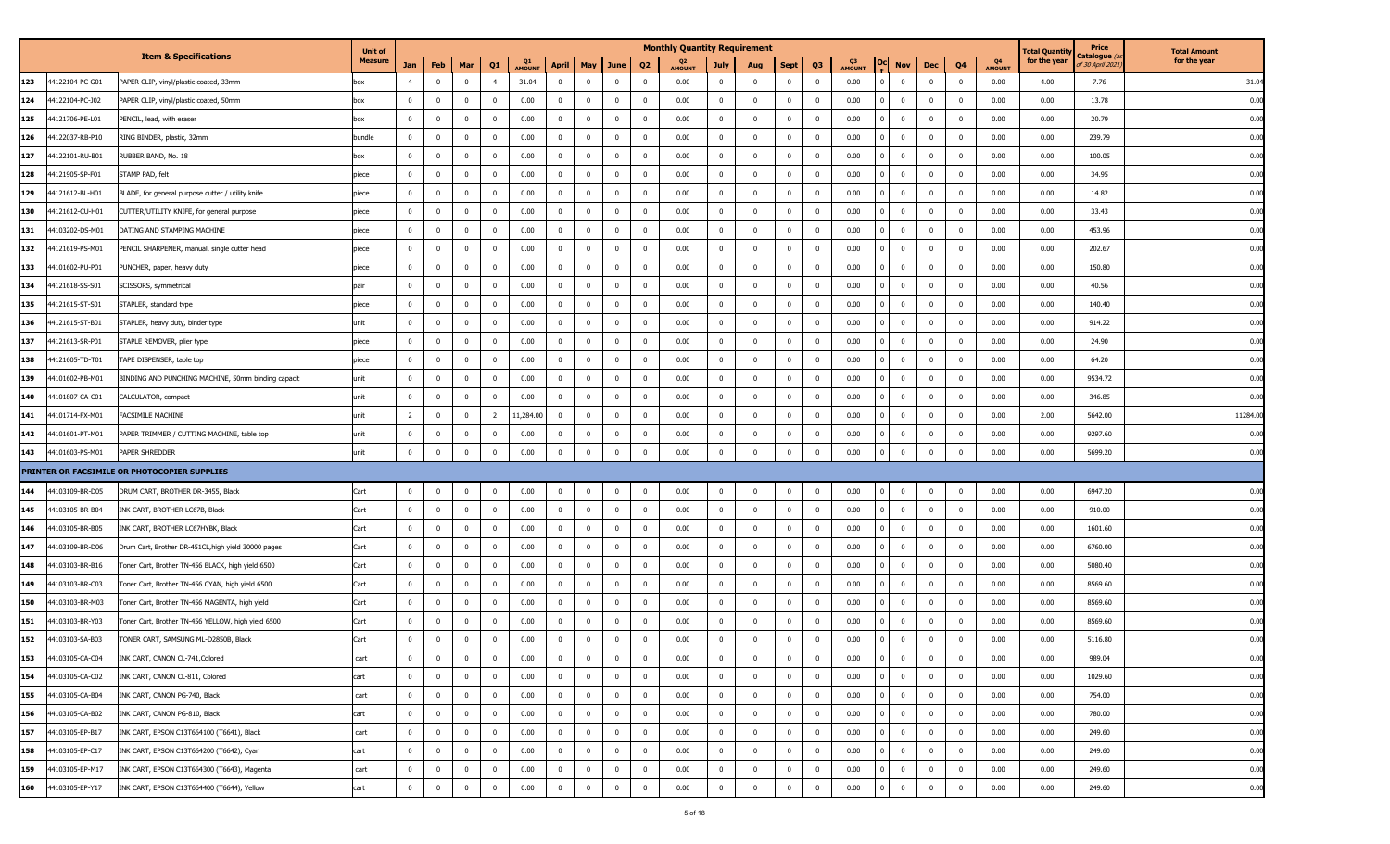|                        |                                                     | <b>Unit of</b> |                |                |                |                         |                     |                |                         |                |                         | <b>Monthly Quantity Requirement</b> |                |                |                |                |                     |                         |                                         |                |                     | l'otal Quantity | Price                            | <b>Total Amount</b> |
|------------------------|-----------------------------------------------------|----------------|----------------|----------------|----------------|-------------------------|---------------------|----------------|-------------------------|----------------|-------------------------|-------------------------------------|----------------|----------------|----------------|----------------|---------------------|-------------------------|-----------------------------------------|----------------|---------------------|-----------------|----------------------------------|---------------------|
|                        | <b>Item &amp; Specifications</b>                    | <b>Measure</b> | Jan            | Feb            | Mar            | Q <sub>1</sub>          | Q1<br><b>AMOUN1</b> | April          | May                     | June           | Q <sub>2</sub>          | Q2<br><b>AMOUNT</b>                 | July           | Aug            | Sept           | Q <sub>3</sub> | Q3<br><b>AMOUNT</b> | Nov                     | Q <sub>4</sub><br>Dec                   |                | Q4<br><b>AMOUNT</b> | for the year    | Catalogue (a<br>of 30 April 2021 | for the year        |
| 123<br>4122104-PC-G01  | PAPER CLIP, vinyl/plastic coated, 33mm              | XOC            | 4              | $\overline{0}$ | $\mathbf 0$    | $\overline{4}$          | 31.04               | $\mathbf{0}$   | $\mathbf{0}$            | $\mathbf 0$    | $\overline{\mathbf{0}}$ | 0.00                                | $\overline{0}$ | $\mathbf{0}$   | $\bf{0}$       | $\mathbf 0$    | 0.00                | $\mathbf 0$             | $\mathbf{0}$<br>$\mathbf{0}$            |                | 0.00                | 4.00            | 7.76                             | 31.04               |
| 44122104-PC-J02<br>124 | PAPER CLIP, vinyl/plastic coated, 50mm              | box            | $\overline{0}$ | $\overline{0}$ | $\mathbf{0}$   | $\overline{\mathbf{0}}$ | 0.00                | $\overline{0}$ | $\overline{0}$          | $\bf{0}$       | $\overline{\mathbf{0}}$ | 0.00                                | $\overline{0}$ | $\overline{0}$ | $\bf{0}$       | $\bf{0}$       | 0.00                | $\bf{0}$                | $\bf{0}$<br>$\overline{0}$              |                | 0.00                | 0.00            | 13.78                            | 0.00                |
| 125<br>4121706-PE-L01  | PENCIL, lead, with eraser                           | box            | $\mathbf{0}$   | $\overline{0}$ | $\mathbf 0$    | $\overline{\mathbf{0}}$ | 0.00                | $\mathbf{0}$   | $\mathbf{0}$            | $\bf{0}$       | $\overline{\mathbf{0}}$ | 0.00                                | $\overline{0}$ | $\mathbf{0}$   | $\bf{0}$       | $^{\circ}$     | 0.00                | $\overline{0}$          | $\bf{0}$<br>$\mathbf{0}$                |                | 0.00                | 0.00            | 20.79                            | 0.00                |
| 126<br>4122037-RB-P10  | RING BINDER, plastic, 32mm                          | bundle         | $\overline{0}$ | $\mathbf{0}$   | $\bf{0}$       | $\overline{\mathbf{0}}$ | 0.00                | $\overline{0}$ | $\mathbf 0$             | $\bf{0}$       | $\overline{\mathbf{0}}$ | 0.00                                | $\overline{0}$ | $\mathbf{0}$   | $\overline{0}$ | 0              | 0.00                | $\overline{0}$          | $\mathbf{0}$<br>$\overline{0}$          |                | 0.00                | 0.00            | 239.79                           | 0.00                |
| 127<br>4122101-RU-B01  | RUBBER BAND, No. 18                                 | XOC            | $\overline{0}$ | $\bf{0}$       | $\bf{0}$       | $\overline{\mathbf{0}}$ | 0.00                | $\mathbf 0$    | $\mathbf 0$             | $\bf{0}$       | $\overline{\mathbf{0}}$ | 0.00                                | $\overline{0}$ | $\Omega$       | $\mathbf 0$    | $\Omega$       | 0.00                | $\mathbf 0$             | $\overline{0}$<br>$\mathbf 0$           |                | 0.00                | 0.00            | 100.05                           | 0.00                |
| 4121905-SP-F01<br>128  | STAMP PAD, felt                                     | piece          | $\mathbf{0}$   | $\overline{0}$ | $\mathbf{0}$   | $\overline{\mathbf{0}}$ | 0.00                | $\overline{0}$ | $\mathbf{0}$            | $\overline{0}$ | $\overline{\mathbf{0}}$ | 0.00                                | $\overline{0}$ | $\overline{0}$ | $\bf{0}$       | $\mathbf 0$    | 0.00                | $\overline{\mathbf{0}}$ | $\overline{0}$<br>$\bf{0}$              |                | 0.00                | 0.00            | 34.95                            | 0.00                |
| 129<br>4121612-BL-H01  | BLADE, for general purpose cutter / utility knife   | piece          | $\mathbf{0}$   | $\overline{0}$ | $\mathbf 0$    | $\overline{0}$          | 0.00                | $\overline{0}$ | $\mathbf{0}$            | $\mathbf 0$    | $\overline{\mathbf{0}}$ | 0.00                                | $\mathbf{0}$   | $\overline{0}$ | $\mathbf 0$    | $^{\circ}$     | 0.00                | $\overline{0}$          | $\mathbf 0$<br>$\overline{0}$           |                | 0.00                | 0.00            | 14.82                            | 0.00                |
| 130<br>4121612-CU-H01  | CUTTER/UTILITY KNIFE, for general purpose           | piece          | $\mathbf 0$    | $\mathbf 0$    | $\bf{0}$       | $\overline{\mathbf{0}}$ | 0.00                | $\overline{0}$ | $\mathbf 0$             | $\bf{0}$       | $\overline{\mathbf{0}}$ | 0.00                                | $\overline{0}$ | $\mathbf{0}$   | $\mathbf 0$    | 0              | 0.00                | $\overline{\mathbf{0}}$ | $\overline{0}$<br>$\mathbf{0}$          |                | 0.00                | 0.00            | 33.43                            | 0.00                |
| 131<br>4103202-DS-M01  | DATING AND STAMPING MACHINE                         | viece          | $^{\circ}$     | $\mathbf 0$    | $\mathbf 0$    | $\overline{\mathbf{0}}$ | 0.00                | $\mathbf 0$    | $\mathbf 0$             | $\mathbf 0$    | $\overline{\mathbf{0}}$ | 0.00                                | $\overline{0}$ | $\Omega$       | $\mathbf 0$    | $\Omega$       | 0.00                | $\overline{0}$          | $\mathbf{0}$<br>$\overline{0}$          |                | 0.00                | 0.00            | 453.96                           | 0.00                |
| 132<br>4121619-PS-M01  | PENCIL SHARPENER, manual, single cutter head        | piece          | $\overline{0}$ | $\overline{0}$ | $\bf{0}$       | $\overline{\mathbf{0}}$ | 0.00                | $\overline{0}$ | $\mathbf{0}$            | $\bf{0}$       | $\overline{\mathbf{0}}$ | 0.00                                | $\overline{0}$ | $\overline{0}$ | $\bf{0}$       | $^{\circ}$     | 0.00                | $\overline{\mathbf{0}}$ | $\mathbf{0}$<br>$\overline{0}$          |                | 0.00                | 0.00            | 202.67                           | 0.00                |
| 133<br>14101602-PU-P01 | PUNCHER, paper, heavy duty                          | piece          | $\mathbf 0$    | $\overline{0}$ | $\mathbf 0$    | $\overline{0}$          | 0.00                | $\overline{0}$ | $\mathbf{0}$            | $\mathbf 0$    | $\overline{\mathbf{0}}$ | 0.00                                | $\overline{0}$ | $\overline{0}$ | $\mathbf 0$    | $\Omega$       | 0.00                | $\mathbf 0$             | $\mathbf 0$<br>$\overline{0}$           |                | 0.00                | 0.00            | 150.80                           | 0.00                |
| 134<br>4121618-SS-S01  | SCISSORS, symmetrical                               | air            | $\mathbf{0}$   | $\mathbf{0}$   | $\bf{0}$       | $\overline{\mathbf{0}}$ | 0.00                | $\mathbf{0}$   | $\mathbf 0$             | $\bf{0}$       | $\mathbf{0}$            | 0.00                                | $\bf{0}$       | $\mathbf{0}$   | $\mathbf 0$    | 0              | 0.00                | $\overline{0}$          | $\mathbf{0}$<br>$^{\circ}$              |                | 0.00                | 0.00            | 40.56                            | 0.00                |
| 135<br>4121615-ST-S01  | STAPLER, standard type                              | viece          | $\mathbf{0}$   | $\mathbf{0}$   | $\mathbf 0$    | $\overline{\mathbf{0}}$ | 0.00                | $\mathbf 0$    | $\mathbf 0$             | $\mathbf 0$    | $\overline{\mathbf{0}}$ | 0.00                                | $\overline{0}$ | $\mathbf{0}$   | $\mathbf 0$    | $^{\circ}$     | 0.00                | $\overline{0}$          | $\overline{0}$<br>$\mathbf{0}$          |                | 0.00                | 0.00            | 140.40                           | 0.00                |
| 136<br>4121615-ST-B01  | STAPLER, heavy duty, binder type                    | unit           | $\mathbf{0}$   | $\overline{0}$ | $\bf{0}$       | $\overline{\mathbf{0}}$ | 0.00                | $\mathbf 0$    | $\mathbf{0}$            | $\bf{0}$       | $\overline{\mathbf{0}}$ | 0.00                                | $\mathbf{0}$   | $\mathbf{0}$   | $\bf{0}$       | $^{\circ}$     | 0.00                | $\overline{0}$          | $\bf{0}$<br>$\mathbf{0}$                |                | 0.00                | 0.00            | 914.22                           | 0.00                |
| 137<br>44121613-SR-P01 | STAPLE REMOVER, plier type                          | piece          | $\mathbf{0}$   | $\mathbf{0}$   | $\mathbf{0}$   | $\overline{\mathbf{0}}$ | 0.00                | $\mathbf 0$    | $\mathbf 0$             | $\mathbf 0$    | $\overline{\mathbf{0}}$ | 0.00                                | $\mathbf{0}$   | $\mathbf{0}$   | $\mathbf 0$    | $\mathbf 0$    | 0.00                | $\mathbf 0$             | $\bf{0}$<br>$\mathbf{0}$                |                | 0.00                | 0.00            | 24.90                            | 0.00                |
| 138<br>4121605-TD-T01  | TAPE DISPENSER, table top                           | piece          | $\mathbf{0}$   | $\mathbf{0}$   | $\mathbf 0$    | $\overline{\mathbf{0}}$ | 0.00                | $\mathbf 0$    | $\mathbf 0$             | $\mathbf 0$    | $\overline{\mathbf{0}}$ | 0.00                                | $\overline{0}$ | $\mathbf{0}$   | $\mathbf 0$    | $^{\circ}$     | 0.00                | $\overline{0}$          | $\overline{0}$<br>$\mathbf{0}$          |                | 0.00                | 0.00            | 64.20                            | 0.00                |
| 139<br>44101602-PB-M01 | BINDING AND PUNCHING MACHINE, 50mm binding capacit  | unit           | $\mathbf{0}$   | $\mathbf{0}$   | $\mathbf{0}$   | $\overline{\mathbf{0}}$ | 0.00                | $\overline{0}$ | $\mathbf 0$             | $\bf{0}$       | $\overline{\mathbf{0}}$ | 0.00                                | $\mathbf{0}$   | $\mathbf{0}$   | $\mathbf 0$    | $^{\circ}$     | 0.00                | $\overline{0}$          | $\overline{0}$<br>$\mathbf{0}$          |                | 0.00                | 0.00            | 9534.72                          | 0.00                |
| 140<br>44101807-CA-C01 | CALCULATOR, compact                                 | unit           | 0              | $\mathbf 0$    | $^{\circ}$     | $\overline{\mathbf{0}}$ | 0.00                | $\mathbf 0$    | $\overline{0}$          | $\mathbf 0$    | $\Omega$                | 0.00                                | $\bf{0}$       | $\Omega$       | $\overline{0}$ |                | 0.00                | $\overline{0}$          | $\overline{\mathbf{0}}$<br>$\mathbf{0}$ |                | 0.00                | 0.00            | 346.85                           | 0.00                |
| 141<br>44101714-FX-M01 | FACSIMILE MACHINE                                   | unit           | $\overline{2}$ | $\overline{0}$ | $\mathbf{0}$   | $\overline{2}$          | 11,284.00           | $\overline{0}$ | $\mathbf 0$             | $\overline{0}$ | $\overline{\mathbf{0}}$ | 0.00                                | $\mathbf{0}$   | $\overline{0}$ | $\mathbf 0$    | $\mathbf 0$    | 0.00                | $\mathbf 0$             | $\mathbf{0}$<br>$\mathbf{0}$            |                | 0.00                | 2.00            | 5642.00                          | 11284.00            |
| 142<br>4101601-PT-M01  | PAPER TRIMMER / CUTTING MACHINE, table top          | ınit           | $\mathbf{0}$   | $\mathbf{0}$   | $\mathbf 0$    | $\overline{\mathbf{0}}$ | 0.00                | $\overline{0}$ | $\mathbf 0$             | $\mathbf 0$    | $\overline{\mathbf{0}}$ | 0.00                                | $\bf{0}$       | $\mathbf{0}$   | $\overline{0}$ | $^{\circ}$     | 0.00                | $\overline{0}$          | $\mathbf{0}$<br>$\mathbf{0}$            |                | 0.00                | 0.00            | 9297.60                          | 0.00                |
| 143<br>44101603-PS-M01 | PAPER SHREDDER                                      | ınit           | $\mathbf 0$    | $\mathbf 0$    | $\overline{0}$ | $\overline{\mathbf{0}}$ | 0.00                | $\mathbf 0$    | $\mathbf 0$             | $\overline{0}$ | $\overline{\mathbf{0}}$ | 0.00                                | $\overline{0}$ | $\overline{0}$ | $\overline{0}$ | $^{\circ}$     | 0.00                | $\overline{\mathbf{0}}$ | $\mathbf 0$<br>$\mathbf{0}$             |                | 0.00                | 0.00            | 5699.20                          | 0.00                |
|                        | PRINTER OR FACSIMILE OR PHOTOCOPIER SUPPLIES        |                |                |                |                |                         |                     |                |                         |                |                         |                                     |                |                |                |                |                     |                         |                                         |                |                     |                 |                                  |                     |
| 44103109-BR-D05<br>144 | DRUM CART, BROTHER DR-3455, Black                   | Cart           | $\mathbf 0$    | $\overline{0}$ | $\bf{0}$       | $\overline{\mathbf{0}}$ | 0.00                | $\overline{0}$ | $\overline{0}$          | $\bf{0}$       | $\overline{\mathbf{0}}$ | 0.00                                | $\overline{0}$ | $\overline{0}$ | $\bf{0}$       | $^{\circ}$     | 0.00                | $\overline{0}$          | $\bf{0}$<br>$\overline{0}$              |                | 0.00                | 0.00            | 6947.20                          | 0.00                |
| 4103105-BR-B04<br>145  | INK CART, BROTHER LC67B, Black                      | Cart           | $\mathbf 0$    | $\mathbf 0$    | $\bf{0}$       | $\overline{\mathbf{0}}$ | 0.00                | $\overline{0}$ | $\mathbf 0$             | $\bf{0}$       | $\overline{\mathbf{0}}$ | 0.00                                | $\overline{0}$ | $\overline{0}$ | $\bf{0}$       | $\bf{0}$       | 0.00                | $\overline{0}$          | $\bf{0}$<br>$\overline{0}$              |                | 0.00                | 0.00            | 910.00                           | 0.00                |
| 146<br>4103105-BR-B05  | INK CART, BROTHER LC67HYBK, Black                   | Cart           | $\mathbf 0$    | $\overline{0}$ | $\mathbf{0}$   | $\overline{\mathbf{0}}$ | 0.00                | $\overline{0}$ | $\mathbf{0}$            | $\mathbf{0}$   | $\overline{\mathbf{0}}$ | 0.00                                | $\mathbf{0}$   | $\overline{0}$ | $\mathbf 0$    | $\mathbf{0}$   | 0.00                | $\mathbf 0$             | $\mathbf 0$<br>$\mathbf{0}$             |                | 0.00                | 0.00            | 1601.60                          | 0.00                |
| 147<br>4103109-BR-D06  | Drum Cart, Brother DR-451CL, high yield 30000 pages | Cart           | $\mathbf{0}$   | $\overline{0}$ | $\mathbf{0}$   | $\overline{\mathbf{0}}$ | 0.00                | $\overline{0}$ | $\mathbf{0}$            | $\bf{0}$       | $\overline{\mathbf{0}}$ | 0.00                                | $\overline{0}$ | $\overline{0}$ | $\bf{0}$       | $^{\circ}$     | 0.00                | $\overline{\mathbf{0}}$ | $\bf{0}$<br>$\overline{0}$              |                | 0.00                | 0.00            | 6760.00                          | 0.00                |
| 4103103-BR-B16<br>148  | Toner Cart, Brother TN-456 BLACK, high yield 6500   | Cart           | $\mathbf{0}$   | $\overline{0}$ | $\mathbf 0$    | $\overline{\mathbf{0}}$ | 0.00                | $\mathbf{0}$   | $\mathbf{0}$            | $\mathbf 0$    | $\overline{\mathbf{0}}$ | 0.00                                | $\mathbf{0}$   | $\Omega$       | $\mathbf 0$    | $^{\circ}$     | 0.00                | $\overline{0}$          | $\mathbf 0$<br>$\mathbf{0}$             |                | 0.00                | 0.00            | 5080.40                          | 0.00                |
| 149<br>4103103-BR-C03  | Toner Cart, Brother TN-456 CYAN, high yield 6500    | Cart           | $\mathbf 0$    | $\mathbf 0$    | $\bf{0}$       | $\overline{\mathbf{0}}$ | 0.00                | $\overline{0}$ | $\mathbf 0$             | $\bf{0}$       | $\overline{\mathbf{0}}$ | 0.00                                | $\overline{0}$ | $\mathbf{0}$   | $\overline{0}$ | 0              | 0.00                | $\mathbf 0$             | $\overline{0}$<br>$\mathbf{0}$          |                | 0.00                | 0.00            | 8569.60                          | 0.00                |
| 150<br>4103103-BR-M03  | Toner Cart, Brother TN-456 MAGENTA, high yield      | Cart           | $^{\circ}$     | $\overline{0}$ | $\mathbf{0}$   | $\overline{\mathbf{0}}$ | 0.00                | $\mathbf 0$    | $\mathbf 0$             | $\mathbf 0$    | $\overline{\mathbf{0}}$ | 0.00                                | $\overline{0}$ | $\mathbf{0}$   | $\mathbf 0$    | $\Omega$       | 0.00                | $\bf{0}$                | $\mathbf 0$<br>$\overline{0}$           |                | 0.00                | 0.00            | 8569.60                          | 0.00                |
| 151<br>44103103-BR-Y03 | Toner Cart, Brother TN-456 YELLOW, high yield 6500  | Cart           | $^{\circ}$     | $\mathbf{0}$   | $\mathbf 0$    | $\overline{\mathbf{0}}$ | 0.00                | $\mathbf 0$    | $\mathbf 0$             | $\mathbf 0$    | $\overline{\mathbf{0}}$ | 0.00                                | $\bf{0}$       | $\mathbf{0}$   | $\mathbf 0$    | $^{\circ}$     | 0.00                | $\overline{0}$          | $\mathbf{0}$<br>$\mathbf{0}$            |                | 0.00                | 0.00            | 8569.60                          | 0.00                |
| 152<br>44103103-SA-B03 | TONER CART, SAMSUNG ML-D2850B, Black                | Cart           | $\mathbf{0}$   | $\mathbf{0}$   | $\mathbf 0$    | $\overline{\mathbf{0}}$ | 0.00                | $\mathbf 0$    | $\mathbf 0$             | $\bf{0}$       | $\mathbf{0}$            | 0.00                                | $\mathbf{0}$   | $^{\circ}$     | $\mathbf 0$    | $^{\circ}$     | 0.00                | $\overline{0}$          | $\mathbf{0}$<br>$\mathbf{0}$            |                | 0.00                | 0.00            | 5116.80                          | 0.00                |
| 153<br>44103105-CA-C04 | INK CART, CANON CL-741, Colored                     | cart           | 0              | $\mathbf 0$    | $\bf{0}$       | $\overline{\mathbf{0}}$ | 0.00                | 0              | $\mathbf 0$             | $\mathbf 0$    | 0                       | 0.00                                | $\bf{0}$       |                | 0              | $^{\circ}$     | 0.00                | 0                       | $\mathbf 0$<br>0                        |                | 0.00                | 0.00            | 989.04                           | 0.00                |
| 154<br>44103105-CA-C02 | INK CART, CANON CL-811, Colored                     | cart           | $\mathbf{0}$   | $\overline{0}$ | $\overline{0}$ | $\overline{0}$          | 0.00                | $\overline{0}$ | $\overline{\mathbf{0}}$ | $\overline{0}$ | $\overline{\mathbf{0}}$ | 0.00                                | $\overline{0}$ | $\mathbf{0}$   | $\mathbf 0$    | $\mathbf{0}$   | 0.00                | $\overline{0}$          | $\bf{0}$                                | $\overline{0}$ | 0.00                | 0.00            | 1029.60                          | 0.00                |
| 155<br>44103105-CA-B04 | INK CART, CANON PG-740, Black                       | cart           | $\mathbf 0$    | $\overline{0}$ | $\overline{0}$ | $\overline{0}$          | 0.00                | $\mathbf 0$    | $\overline{0}$          | $\overline{0}$ | $\overline{\mathbf{0}}$ | 0.00                                | $\overline{0}$ | $\overline{0}$ | $\bf{0}$       | $\bf{0}$       | 0.00                | $\bf{0}$                | $\bf{0}$<br>$\overline{0}$              |                | 0.00                | 0.00            | 754.00                           | 0.00                |
| 156<br>44103105-CA-B02 | INK CART, CANON PG-810, Black                       | cart           | $\mathbf 0$    | $\overline{0}$ | $\overline{0}$ | $\overline{0}$          | 0.00                | $\overline{0}$ | $\overline{\mathbf{0}}$ | $\mathbf{0}$   | $\overline{\mathbf{0}}$ | 0.00                                | $\mathbf 0$    | $\mathbf{0}$   | $\mathbf 0$    | $\mathbf{0}$   | 0.00                | $\overline{0}$          | $\bf{0}$<br>$\overline{0}$              |                | 0.00                | 0.00            | 780.00                           | 0.00                |
| 157<br>44103105-EP-B17 | INK CART, EPSON C13T664100 (T6641), Black           | cart           | $\overline{0}$ | $\mathbf 0$    | $\mathbf{0}$   | $\overline{\mathbf{0}}$ | 0.00                | $\mathbf 0$    | $\mathbf{0}$            | $\mathbf{0}$   | $\overline{\mathbf{0}}$ | 0.00                                | $\overline{0}$ | $\mathbf 0$    | $\mathbf 0$    | $\mathbf 0$    | 0.00                | $\overline{0}$          | $\bf{0}$<br>$\mathbf{0}$                |                | 0.00                | 0.00            | 249.60                           | 0.00                |
| 158<br>44103105-EP-C17 | INK CART, EPSON C13T664200 (T6642), Cyan            | cart           | $\bf{0}$       | $\overline{0}$ | $\overline{0}$ | $\overline{\mathbf{0}}$ | 0.00                | $\overline{0}$ | $\overline{\mathbf{0}}$ | $\overline{0}$ | $\overline{\mathbf{0}}$ | 0.00                                | $\bf{0}$       | $\overline{0}$ | $\bf{0}$       | $\bf{0}$       | 0.00                | $\overline{0}$          | $\bf{0}$<br>$\overline{0}$              |                | 0.00                | 0.00            | 249.60                           | 0.00                |
| 159<br>44103105-EP-M17 | INK CART, EPSON C13T664300 (T6643), Magenta         | cart           | $\overline{0}$ | $\overline{0}$ | $\overline{0}$ | $\overline{\mathbf{0}}$ | 0.00                | $\mathbf 0$    | $\overline{0}$          | $\overline{0}$ | $\overline{\mathbf{0}}$ | 0.00                                | $\overline{0}$ | $\overline{0}$ | $\bf{0}$       | $^{\circ}$     | 0.00                | $\bf{0}$                | $\bf{0}$<br>$\overline{0}$              |                | 0.00                | 0.00            | 249.60                           | 0.00                |
| 160<br>44103105-EP-Y17 | INK CART, EPSON C13T664400 (T6644), Yellow          | cart           | $\overline{0}$ | $\mathbf 0$    | $\overline{0}$ | $\overline{0}$          | 0.00                | $\overline{0}$ | $\overline{0}$          | $\overline{0}$ | $\overline{0}$          | 0.00                                | $\overline{0}$ | $\overline{0}$ | $\mathbf 0$    | $\bf{0}$       | 0.00                | $\bf{0}$                | $\mathbf 0$<br>$\bf{0}$                 |                | 0.00                | 0.00            | 249.60                           | 0.00                |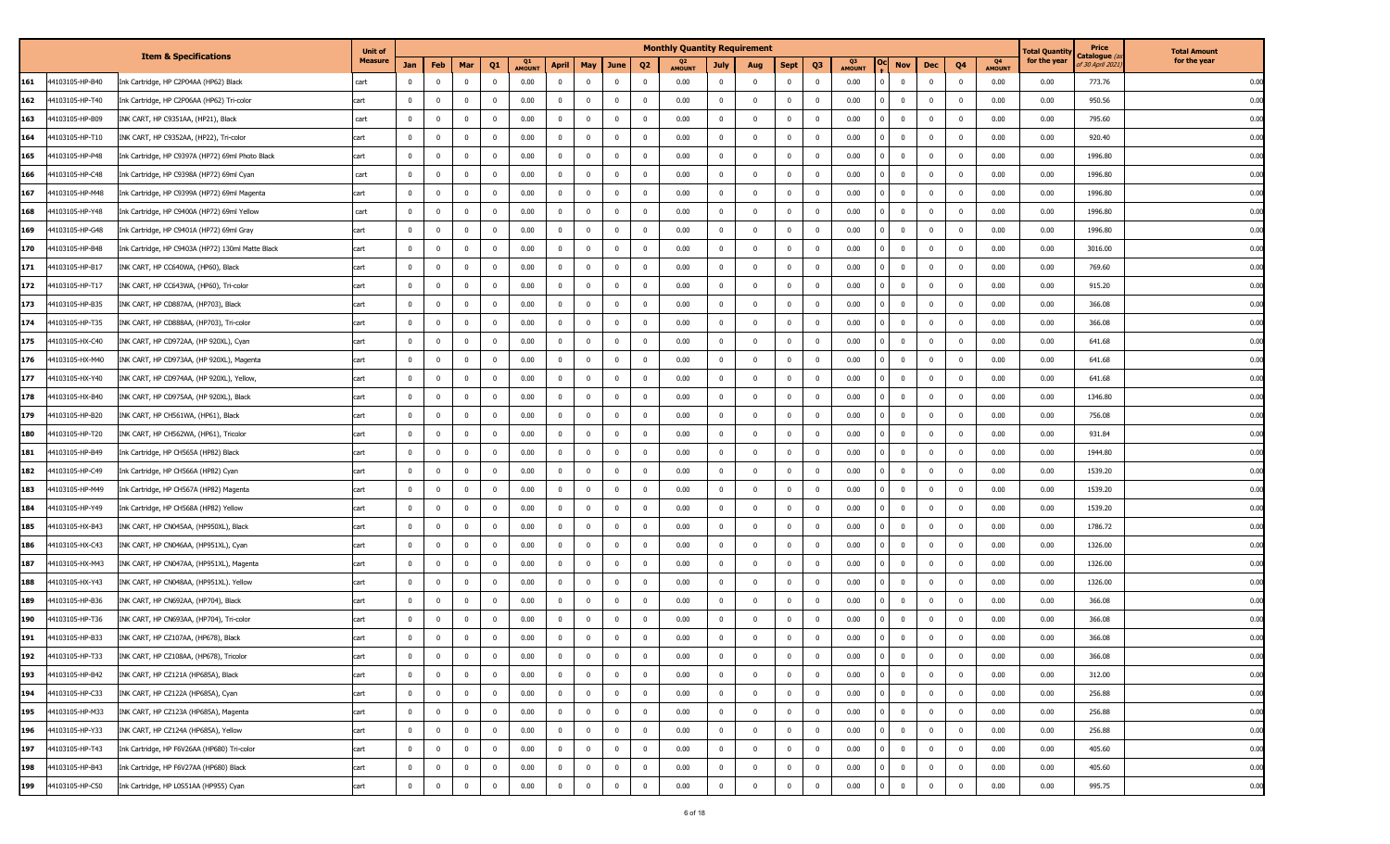|     |                 |                                                   | <b>Unit of</b> |                         |                |                |                         |                     |                |              |                |                         | <b>Monthly Quantity Requirement</b> |                |                |                |                |                     |                         |                                         |                     | l'otal Quantity | Price                                    | <b>Total Amount</b> |
|-----|-----------------|---------------------------------------------------|----------------|-------------------------|----------------|----------------|-------------------------|---------------------|----------------|--------------|----------------|-------------------------|-------------------------------------|----------------|----------------|----------------|----------------|---------------------|-------------------------|-----------------------------------------|---------------------|-----------------|------------------------------------------|---------------------|
|     |                 | <b>Item &amp; Specifications</b>                  | <b>Measure</b> | Jan                     | Feb            | Mar            | Q <sub>1</sub>          | Q1<br><b>AMOUNT</b> | <b>April</b>   | May          | June           | Q <sub>2</sub>          | Q2<br><b>AMOUNT</b>                 | July           | Aug            | <b>Sept</b>    | Q <sub>3</sub> | Q3<br><b>AMOUNT</b> | <b>Nov</b>              | Q4<br>Dec                               | Q4<br><b>AMOUNT</b> | for the year    | C <b>atalogue</b> (a<br>of 30 April 2021 | for the year        |
| 161 | 44103105-HP-B40 | Ink Cartridge, HP C2P04AA (HP62) Black            | cart           | $\mathbf 0$             | $\overline{0}$ | $\mathbf{0}$   | $\overline{\mathbf{0}}$ | 0.00                | $\overline{0}$ | $\mathbf 0$  | $\mathbf{0}$   | $\Omega$                | 0.00                                | $\mathbf{0}$   | $\mathbf 0$    | $\overline{0}$ | $\mathbf 0$    | 0.00                | $\overline{0}$          | $\mathbf{0}$<br>$\mathbf{0}$            | 0.00                | 0.00            | 773.76                                   | 0.00                |
| 162 | 44103105-HP-T40 | Ink Cartridge, HP C2P06AA (HP62) Tri-color        | cart           | $\mathbf 0$             | $\overline{0}$ | $\mathbf{0}$   | $\overline{\mathbf{0}}$ | 0.00                | $\overline{0}$ | $\bf{0}$     | $\bf{0}$       | $\overline{\mathbf{0}}$ | 0.00                                | $\mathbf{0}$   | $\overline{0}$ | $^{\circ}$     | $\mathbf{0}$   | 0.00                | $\overline{0}$          | $\mathbf 0$<br>$\overline{\mathbf{0}}$  | 0.00                | 0.00            | 950.56                                   | 0.00                |
| 163 | 44103105-HP-B09 | INK CART, HP C9351AA, (HP21), Black               | cart           | $\mathbf 0$             | $\mathbf 0$    | $\mathbf{0}$   | $\overline{\mathbf{0}}$ | 0.00                | $\mathbf 0$    | $^{\circ}$   | $\mathbf 0$    | - 0                     | 0.00                                | $\mathbf{0}$   | $^{\circ}$     | $\mathbf 0$    | $^{\circ}$     | 0.00                | $\overline{0}$          | $\bf{0}$<br>$\mathbf{0}$                | 0.00                | 0.00            | 795.60                                   | 0.00                |
| 164 | 44103105-HP-T10 | INK CART, HP C9352AA, (HP22), Tri-color           | cart           | $\mathbf 0$             | $^{\circ}$     | $\mathbf{0}$   | $\overline{\mathbf{0}}$ | 0.00                | $\overline{0}$ | $^{\circ}$   | $\mathbf{0}$   | $\overline{\mathbf{0}}$ | 0.00                                | $\mathbf{0}$   | $^{\circ}$     | $^{\circ}$     | $\bf{0}$       | 0.00                | $\overline{0}$          | $\mathbf{0}$<br>- 0                     | 0.00                | 0.00            | 920.40                                   | 0.00                |
| 165 | 44103105-HP-P48 | Ink Cartridge, HP C9397A (HP72) 69ml Photo Black  | cart           | $\mathbf 0$             | $^{\circ}$     | $\mathbf{0}$   | $\overline{0}$          | 0.00                | $\mathbf 0$    | $^{\circ}$   | $\mathbf{0}$   | $\overline{\mathbf{0}}$ | 0.00                                | $\mathbf{0}$   | $\Omega$       | $\mathbf{0}$   | $\mathbf 0$    | 0.00                | $\overline{0}$          | $\mathbf 0$<br>$\mathbf{0}$             | 0.00                | 0.00            | 1996.80                                  | 0.00                |
| 166 | 44103105-HP-C48 | Ink Cartridge, HP C9398A (HP72) 69ml Cyan         | cart           | $\mathbf 0$             | $\overline{0}$ | $\mathbf{0}$   | $\overline{\mathbf{0}}$ | 0.00                | $\mathbf 0$    | $\mathbf 0$  | $\mathbf{0}$   | $\overline{\mathbf{0}}$ | 0.00                                | $\mathbf{0}$   | $\mathbf 0$    | $\mathbf 0$    | $\mathbf 0$    | 0.00                | $\overline{0}$          | $\mathbf{0}$<br>$\mathbf{0}$            | 0.00                | 0.00            | 1996.80                                  | 0.00                |
| 167 | 44103105-HP-M48 | Ink Cartridge, HP C9399A (HP72) 69ml Magenta      | cart           | $\mathbf 0$             | $\mathbf 0$    | $^{\circ}$     | $\mathbf{0}$            | 0.00                | $\mathbf 0$    | $\Omega$     | $\mathbf{0}$   | $\overline{\mathbf{0}}$ | 0.00                                | $\mathbf 0$    | $\Omega$       | $\mathbf 0$    | $\mathbf 0$    | 0.00                | $\overline{0}$          | $\mathbf{0}$<br>$\mathbf 0$             | 0.00                | 0.00            | 1996.80                                  | 0.00                |
| 168 | 44103105-HP-Y48 | Ink Cartridge, HP C9400A (HP72) 69ml Yellow       | cart           | $^{\circ}$              | $^{\circ}$     | $^{\circ}$     | $\overline{0}$          | 0.00                | $\overline{0}$ | $^{\circ}$   | $\mathbf{0}$   | $\overline{\mathbf{0}}$ | 0.00                                | $\mathbf{0}$   | $^{\circ}$     | $^{\circ}$     | $\bf{0}$       | 0.00                | $\overline{0}$          | $\mathbf{0}$<br>- 0                     | 0.00                | 0.00            | 1996.80                                  | 0.00                |
| 169 | 44103105-HP-G48 | Ink Cartridge, HP C9401A (HP72) 69ml Gray         | cart           | $^{\circ}$              | $^{\circ}$     | $\Omega$       | $\overline{0}$          | 0.00                | $\mathbf 0$    | $^{\circ}$   | $\mathbf{0}$   | $\overline{\mathbf{0}}$ | 0.00                                | $\overline{0}$ | $\Omega$       | $\mathbf{0}$   | $\mathbf 0$    | 0.00                | $\bf{0}$                | $\mathbf{0}$<br>$\mathbf{0}$            | 0.00                | 0.00            | 1996.80                                  | 0.00                |
| 170 | 44103105-HP-B48 | Ink Cartridge, HP C9403A (HP72) 130ml Matte Black | cart           | $\overline{\mathbf{0}}$ | $\overline{0}$ | $\mathbf{0}$   | $\overline{\mathbf{0}}$ | 0.00                | $\mathbf 0$    | $\mathbf 0$  | $\mathbf{0}$   | $\Omega$                | 0.00                                | $\mathbf{0}$   | $\mathbf 0$    | $\mathbf{0}$   | $\mathbf{0}$   | 0.00                | $\overline{0}$          | $\mathbf{0}$<br>$\mathbf{0}$            | 0.00                | 0.00            | 3016.00                                  | 0.00                |
| 171 | 44103105-HP-B17 | INK CART, HP CC640WA, (HP60), Black               | cart           | $\mathbf 0$             | $\mathbf 0$    | $^{\circ}$     | $\mathbf{0}$            | 0.00                | $\mathbf 0$    | $\Omega$     | $\mathbf{0}$   | $\Omega$                | 0.00                                | $\mathbf{0}$   | $\Omega$       | $\mathbf{0}$   | $^{\circ}$     | 0.00                | $\bf{0}$                | $\mathbf{0}$<br>$\mathbf{0}$            | 0.00                | 0.00            | 769.60                                   | 0.00                |
| 172 | 44103105-HP-T17 | INK CART, HP CC643WA, (HP60), Tri-color           | cart           | $^{\circ}$              | $^{\circ}$     | $\mathbf 0$    | $\overline{0}$          | 0.00                | $\mathbf 0$    | $^{\circ}$   | 0              | 0                       | 0.00                                | $\bf{0}$       | $^{\circ}$     | $^{\circ}$     | $^{\circ}$     | 0.00                | $\overline{0}$          | $\mathbf{0}$<br>0                       | 0.00                | 0.00            | 915.20                                   | 0.00                |
| 173 | 44103105-HP-B35 | INK CART, HP CD887AA, (HP703), Black              | cart           | $\mathbf 0$             | $^{\circ}$     | $\mathbf{0}$   | $\overline{\mathbf{0}}$ | 0.00                | $\overline{0}$ | $^{\circ}$   | $\mathbf{0}$   | $\overline{\mathbf{0}}$ | 0.00                                | $\mathbf{0}$   | $^{\circ}$     | $^{\circ}$     | $\mathbf 0$    | 0.00                | $\overline{0}$          | $\mathbf{0}$<br>$\mathbf{0}$            | 0.00                | 0.00            | 366.08                                   | 0.00                |
| 174 | 44103105-HP-T35 | INK CART, HP CD888AA, (HP703), Tri-color          | cart           | $\overline{\mathbf{0}}$ | $\mathbf 0$    | $\mathbf{0}$   | $\overline{\mathbf{0}}$ | 0.00                | $\overline{0}$ | $^{\circ}$   | $\mathbf{0}$   | $\overline{\mathbf{0}}$ | 0.00                                | $\mathbf 0$    | $\mathbf 0$    | $\mathbf 0$    | $\mathbf 0$    | 0.00                | $\overline{0}$          | $\mathbf 0$<br>$\mathbf{0}$             | 0.00                | 0.00            | 366.08                                   | 0.00                |
| 175 | 44103105-HX-C40 | INK CART, HP CD972AA, (HP 920XL), Cyan            | cart           | $\mathbf 0$             | $\mathbf 0$    | $\mathbf{0}$   | $\overline{\mathbf{0}}$ | 0.00                | $\mathbf 0$    | $^{\circ}$   | $\mathbf{0}$   | $\overline{\mathbf{0}}$ | 0.00                                | $\mathbf 0$    | $\mathbf 0$    | $\mathbf{0}$   | $\mathbf 0$    | 0.00                | $\overline{0}$          | $\mathbf 0$<br>$\mathbf{0}$             | 0.00                | 0.00            | 641.68                                   | 0.00                |
| 176 | 44103105-HX-M40 | INK CART, HP CD973AA, (HP 920XL), Magenta         | cart           | $^{\circ}$              | $^{\circ}$     | $\mathbf{0}$   | $\overline{\mathbf{0}}$ | 0.00                | $\mathbf 0$    | $^{\circ}$   | $\mathbf{0}$   | $\overline{\mathbf{0}}$ | 0.00                                | $\mathbf{0}$   | $^{\circ}$     | $\mathbf{0}$   | $\mathbf 0$    | 0.00                | $\overline{0}$          | $\overline{\mathbf{0}}$<br>$\mathbf{0}$ | 0.00                | 0.00            | 641.68                                   | 0.00                |
| 177 | 44103105-HX-Y40 | INK CART, HP CD974AA, (HP 920XL), Yellow,         | cart           | $^{\circ}$              | $^{\circ}$     | $\mathbf{0}$   | $\overline{\mathbf{0}}$ | 0.00                | $\mathbf 0$    | $^{\circ}$   | $\mathbf{0}$   | $\overline{\mathbf{0}}$ | 0.00                                | $\mathbf 0$    | $^{\circ}$     | $^{\circ}$     | $\mathbf 0$    | 0.00                | $\overline{0}$          | $\mathbf{0}$<br>$\mathbf 0$             | 0.00                | 0.00            | 641.68                                   | 0.00                |
| 178 | 44103105-HX-B40 | INK CART, HP CD975AA, (HP 920XL), Black           | cart           | $\Omega$                | $\Omega$       | $\mathbf 0$    | $\Omega$                | 0.00                | $^{\circ}$     | $\Omega$     | $\mathbf{0}$   | $\Omega$                | 0.00                                | $\mathbf 0$    | $\Omega$       | $\Omega$       | $\Omega$       | 0.00                | $\overline{0}$          | $\mathbf{0}$<br>$\Omega$                | 0.00                | 0.00            | 1346.80                                  | 0.00                |
| 179 | 44103105-HP-B20 | INK CART, HP CH561WA, (HP61), Black               | cart           | $\mathbf 0$             | $\mathbf 0$    | $\mathbf{0}$   | $\overline{\mathbf{0}}$ | 0.00                | $\mathbf 0$    | $\mathbf 0$  | $\mathbf{0}$   | $\overline{\mathbf{0}}$ | 0.00                                | $\mathbf{0}$   | $\mathbf 0$    | $\mathbf{0}$   | $\mathbf 0$    | 0.00                | $\overline{0}$          | $\mathbf{0}$<br>$\mathbf{0}$            | 0.00                | 0.00            | 756.08                                   | 0.00                |
| 180 | 44103105-HP-T20 | INK CART, HP CH562WA, (HP61), Tricolor            | cart           | $\overline{\mathbf{0}}$ | $^{\circ}$     | $\mathbf{0}$   | $\overline{\mathbf{0}}$ | 0.00                | $\mathbf 0$    | $^{\circ}$   | $\mathbf{0}$   | $\overline{\mathbf{0}}$ | 0.00                                | $\overline{0}$ | $\Omega$       | $\mathbf{0}$   | $^{\circ}$     | 0.00                | $\overline{0}$          | $\overline{\mathbf{0}}$<br>$\mathbf{0}$ | 0.00                | 0.00            | 931.84                                   | 0.00                |
| 181 | 44103105-HP-B49 | Ink Cartridge, HP CH565A (HP82) Black             | cart           | $\mathbf 0$             | $\mathbf 0$    | $\mathbf{0}$   | $\overline{\mathbf{0}}$ | 0.00                | $\overline{0}$ | $^{\circ}$   | $\mathbf{0}$   | $\overline{\mathbf{0}}$ | 0.00                                | $\overline{0}$ | $^{\circ}$     | $^{\circ}$     | $\mathbf 0$    | 0.00                | $\overline{0}$          | $\mathbf{0}$<br>$\mathbf{0}$            | 0.00                | 0.00            | 1944.80                                  | 0.00                |
| 182 | 44103105-HP-C49 | Ink Cartridge, HP CH566A (HP82) Cyan              | cart           | $\mathbf 0$             | $\mathbf 0$    | $\mathbf{0}$   | $\overline{\mathbf{0}}$ | 0.00                | $\mathbf 0$    | $\mathbf 0$  | $\mathbf{0}$   | $\overline{\mathbf{0}}$ | 0.00                                | $\mathbf{0}$   | $\mathbf 0$    | $\mathbf{0}$   | $\mathbf 0$    | 0.00                | $\overline{0}$          | $\mathbf 0$<br>$\mathbf{0}$             | 0.00                | 0.00            | 1539.20                                  | 0.00                |
| 183 | 44103105-HP-M49 | Ink Cartridge, HP CH567A (HP82) Magenta           | cart           | $\mathbf 0$             | $\mathbf 0$    | $\mathbf{0}$   | $\overline{\mathbf{0}}$ | 0.00                | $\mathbf 0$    | $\mathbf 0$  | $\mathbf{0}$   | $\overline{\mathbf{0}}$ | 0.00                                | $\mathbf{0}$   | $\mathbf 0$    | $\mathbf{0}$   | $\mathbf 0$    | 0.00                | $\overline{0}$          | $\overline{0}$<br>$\mathbf{0}$          | 0.00                | 0.00            | 1539.20                                  | 0.00                |
| 184 | 44103105-HP-Y49 | Ink Cartridge, HP CH568A (HP82) Yellow            | cart           | $\overline{\mathbf{0}}$ | $^{\circ}$     | $\mathbf{0}$   | $\overline{0}$          | 0.00                | $\mathbf 0$    | $^{\circ}$   | $\mathbf 0$    | - 0                     | 0.00                                | $\mathbf 0$    | $\Omega$       | $\mathbf 0$    | $\mathbf 0$    | 0.00                | $\overline{0}$          | $\overline{0}$<br>$\mathbf{0}$          | 0.00                | 0.00            | 1539.20                                  | 0.00                |
| 185 | 44103105-HX-B43 | INK CART, HP CN045AA, (HP950XL), Black            | cart           | $\mathbf 0$             | $^{\circ}$     | $\mathbf{0}$   | $\overline{\mathbf{0}}$ | 0.00                | $\overline{0}$ | $^{\circ}$   | $\mathbf{0}$   | $\overline{\mathbf{0}}$ | 0.00                                | $\mathbf{0}$   | $\mathbf 0$    | $^{\circ}$     | $\bf{0}$       | 0.00                | $\overline{0}$          | $\mathbf{0}$<br>$\mathbf{0}$            | 0.00                | 0.00            | 1786.72                                  | 0.00                |
| 186 | 44103105-HX-C43 | INK CART, HP CN046AA, (HP951XL), Cyan             | cart           | $\mathbf 0$             | $\mathbf 0$    | $\mathbf{0}$   | $\overline{\mathbf{0}}$ | 0.00                | $\overline{0}$ | $\mathbf 0$  | $\mathbf{0}$   | $\overline{\mathbf{0}}$ | 0.00                                | $\overline{0}$ | $\mathbf 0$    | $\mathbf{0}$   | $\mathbf 0$    | 0.00                | $\overline{0}$          | $\bf{0}$<br>$\mathbf{0}$                | 0.00                | 0.00            | 1326.00                                  | 0.00                |
| 187 | 44103105-HX-M43 | INK CART, HP CN047AA, (HP951XL), Magenta          | cart           | $\mathbf 0$             | $\overline{0}$ | $\overline{0}$ | $\overline{\mathbf{0}}$ | 0.00                | $\mathbf 0$    | $\mathbf 0$  | $\mathbf{0}$   | $\overline{\mathbf{0}}$ | 0.00                                | $\mathbf{0}$   | $\overline{0}$ | $^{\circ}$     | $\mathbf{0}$   | 0.00                | $\overline{\mathbf{0}}$ | $\mathbf 0$<br>$\overline{0}$           | 0.00                | 0.00            | 1326.00                                  | 0.00                |
| 188 | 44103105-HX-Y43 | INK CART, HP CN048AA, (HP951XL). Yellow           | cart           | $\mathbf 0$             | $\mathbf 0$    | $\mathbf{0}$   | $\mathbf{0}$            | 0.00                | $\mathbf 0$    | $^{\circ}$   | $\mathbf 0$    | - 0                     | 0.00                                | $\mathbf{0}$   | $^{\circ}$     | $\mathbf 0$    | $^{\circ}$     | 0.00                | $\overline{0}$          | $\bf{0}$<br>$\mathbf{0}$                | 0.00                | 0.00            | 1326.00                                  | 0.00                |
| 189 | 44103105-HP-B36 | INK CART, HP CN692AA, (HP704), Black              | cart           | $\mathbf 0$             | $^{\circ}$     | $\mathbf{0}$   | $\overline{\mathbf{0}}$ | 0.00                | $\overline{0}$ | $^{\circ}$   | $\mathbf{0}$   | - 0                     | 0.00                                | $\mathbf{0}$   | $^{\circ}$     | $\Omega$       | $\bf{0}$       | 0.00                | $\overline{0}$          | $\mathbf{0}$<br>$\mathbf{0}$            | 0.00                | 0.00            | 366.08                                   | 0.00                |
| 190 | 44103105-HP-T36 | INK CART, HP CN693AA, (HP704), Tri-color          | cart           | $^{\circ}$              | $^{\circ}$     | $^{\circ}$     | $\mathbf 0$             | 0.00                | $\mathbf 0$    | $^{\circ}$   | $\mathbf{0}$   | $\overline{\mathbf{0}}$ | 0.00                                | $\mathbf{0}$   | $^{\circ}$     | $\mathbf{0}$   | $\mathbf 0$    | 0.00                | $\bf{0}$                | $\mathbf 0$<br>$\mathbf{0}$             | 0.00                | 0.00            | 366.08                                   | 0.00                |
| 191 | 44103105-HP-B33 | INK CART, HP CZ107AA, (HP678), Black              | cart           | $\bf{0}$                | $\overline{0}$ | $\overline{0}$ | $\overline{\mathbf{0}}$ | 0.00                | $\overline{0}$ | $\mathbf 0$  | $\mathbf{0}$   | $\overline{\mathbf{0}}$ | 0.00                                | $\overline{0}$ | $\overline{0}$ | $\bf{0}$       | $\bf{0}$       | 0.00                | $\overline{0}$          | $\mathbf 0$<br>$\overline{0}$           | 0.00                | 0.00            | 366.08                                   | 0.00                |
| 192 | 44103105-HP-T33 | INK CART, HP CZ108AA, (HP678), Tricolor           | car            | 0                       | $\mathbf 0$    | $\bf{0}$       | 0                       | 0.00                | $\mathbf 0$    | $\mathbf{0}$ | 0              | 0                       | 0.00                                | 0              | $^{\circ}$     | 0              | 0              | 0.00                | 0                       | $\mathbf 0$<br>$^{\circ}$               | 0.00                | 0.00            | 366.08                                   | <b>0.00</b>         |
| 193 | 44103105-HP-B42 | INK CART, HP CZ121A (HP685A), Black               | cart           | $\bf{0}$                | $\bf{0}$       | $\overline{0}$ | $\overline{\mathbf{0}}$ | 0.00                | $\overline{0}$ | $\bf{0}$     | $\overline{0}$ | $\overline{\mathbf{0}}$ | 0.00                                | $\overline{0}$ | $^{\circ}$     | $\bf{0}$       | $\overline{0}$ | 0.00                | $\overline{0}$          | $\bf{0}$<br>$\overline{0}$              | 0.00                | 0.00            | 312.00                                   | 0.00                |
| 194 | 44103105-HP-C33 | INK CART, HP CZ122A (HP685A), Cyan                | cart           | $\bf{0}$                | $\bf{0}$       | $\overline{0}$ | $\overline{0}$          | 0.00                | $\bf{0}$       | $\bf{0}$     | $\overline{0}$ | $\overline{\mathbf{0}}$ | 0.00                                | $\overline{0}$ | $\overline{0}$ | $\bf{0}$       | $\overline{0}$ | 0.00                | $\overline{0}$          | $\mathbf{0}$<br>$\overline{0}$          | 0.00                | 0.00            | 256.88                                   | 0.00                |
| 195 | 44103105-HP-M33 | INK CART, HP CZ123A (HP685A), Magenta             | cart           | $\bf{0}$                | $\bf{0}$       | $\overline{0}$ | $\overline{\mathbf{0}}$ | 0.00                | $\overline{0}$ | $\bf{0}$     | $\overline{0}$ | $\overline{0}$          | 0.00                                | $\bf{0}$       | $\overline{0}$ | $\overline{0}$ | $\bf{0}$       | 0.00                | $\overline{0}$          | $\overline{0}$<br>$\bf{0}$              | 0.00                | 0.00            | 256.88                                   | 0.00                |
| 196 | 44103105-HP-Y33 | INK CART, HP CZ124A (HP685A), Yellow              | cart           | $\mathbf 0$             | $\bf{0}$       | $\overline{0}$ | $\overline{0}$          | 0.00                | $\overline{0}$ | $\mathbf 0$  | $\mathbf{0}$   | $\overline{0}$          | 0.00                                | $\overline{0}$ | $\mathbf{0}$   | $\overline{0}$ | $\overline{0}$ | 0.00                | $\bf{0}$                | $\overline{0}$<br>$\mathbf{0}$          | 0.00                | 0.00            | 256.88                                   | 0.00                |
| 197 | 44103105-HP-T43 | Ink Cartridge, HP F6V26AA (HP680) Tri-color       | cart           | $\mathbf 0$             | $\overline{0}$ | $\bf{0}$       | $\overline{\mathbf{0}}$ | 0.00                | $\overline{0}$ | $\mathbf{0}$ | $\mathbf{0}$   | $\overline{0}$          | 0.00                                | $\mathbf{0}$   | $\mathbf 0$    | $\mathbf 0$    | $\bf{0}$       | 0.00                | $\overline{0}$          | $\bf{0}$<br>$\overline{0}$              | 0.00                | 0.00            | 405.60                                   | 0.00                |
| 198 | 44103105-HP-B43 | Ink Cartridge, HP F6V27AA (HP680) Black           | cart           | $\bf{0}$                | $\bf{0}$       | $\overline{0}$ | $\overline{0}$          | 0.00                | $\mathbf 0$    | $\bf{0}$     | $\bf{0}$       | $\overline{\mathbf{0}}$ | 0.00                                | $\overline{0}$ | $\mathbf 0$    | $\bf{0}$       | $\overline{0}$ | 0.00                | $\bf{0}$                | $\overline{0}$<br>$\bf{0}$              | 0.00                | 0.00            | 405.60                                   | 0.00                |
| 199 | 44103105-HP-C50 | Ink Cartridge, HP L0S51AA (HP955) Cyan            | cart           | $\mathbf 0$             | $\mathbf 0$    | $\mathbf 0$    | $\overline{\mathbf{0}}$ | 0.00                | $\mathbf 0$    | $\mathbf 0$  | $\overline{0}$ | $\overline{0}$          | 0.00                                | $\overline{0}$ | $^{\circ}$     | $\bf{0}$       | $\bf{0}$       | 0.00                | $\overline{0}$          | $\mathbf 0$<br>$\overline{0}$           | 0.00                | 0.00            | 995.75                                   | 0.00                |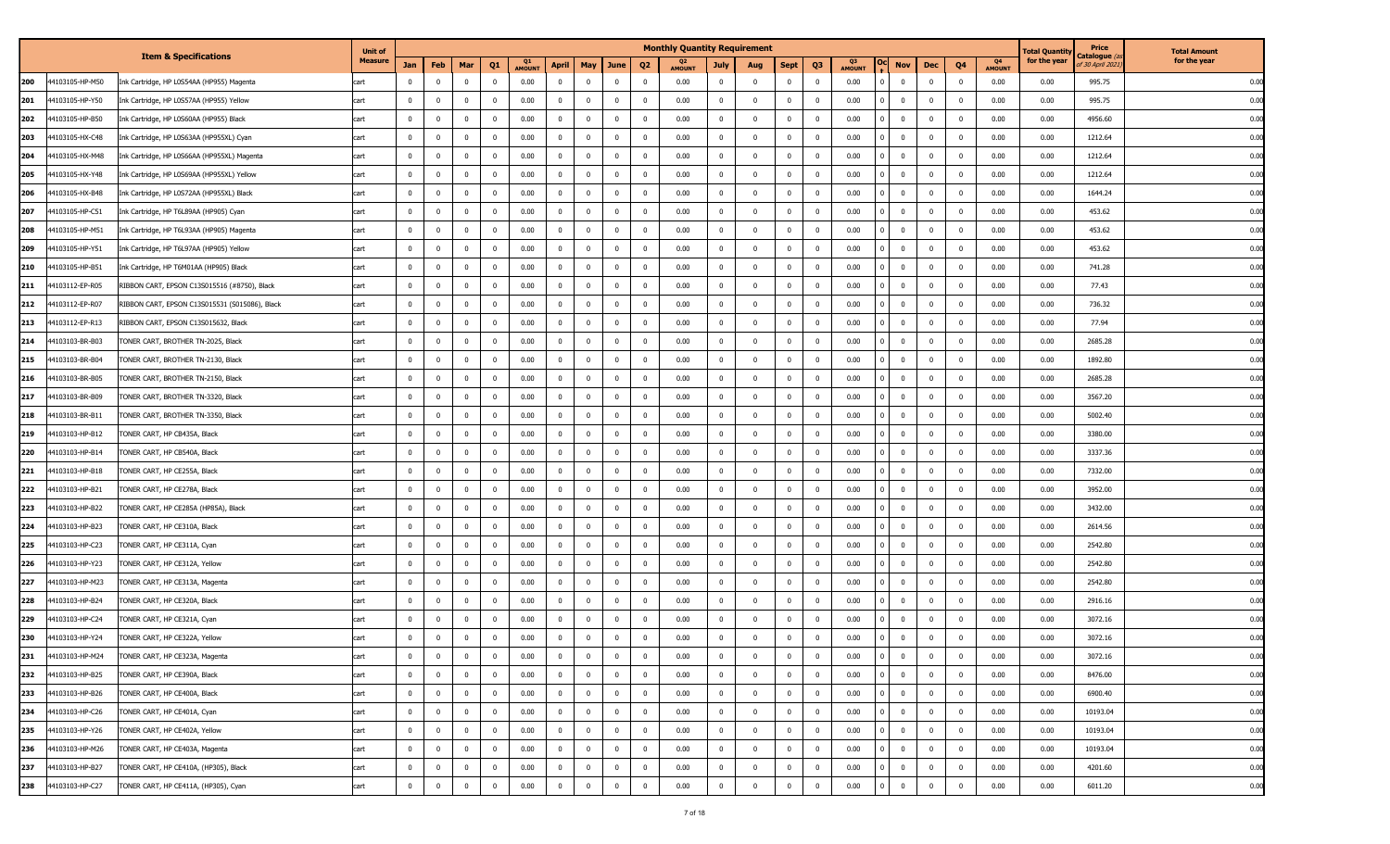|                        |                                                | <b>Unit of</b> |                |                |                |                         |                     |                |                         |                |                         | <b>Monthly Quantity Requirement</b> |                |                |                |                |                     |                         |          |              |                         |                     | l'otal Quantity | Price                                   | <b>Total Amount</b> |
|------------------------|------------------------------------------------|----------------|----------------|----------------|----------------|-------------------------|---------------------|----------------|-------------------------|----------------|-------------------------|-------------------------------------|----------------|----------------|----------------|----------------|---------------------|-------------------------|----------|--------------|-------------------------|---------------------|-----------------|-----------------------------------------|---------------------|
|                        | <b>Item &amp; Specifications</b>               | <b>Measure</b> | Jan            | Feb            | Mar            | Q <sub>1</sub>          | Q1<br><b>AMOUN1</b> | <b>April</b>   | May                     | June           | Q <sub>2</sub>          | Q2<br><b>AMOUNT</b>                 | July           | Aug            | <b>Sept</b>    | Q <sub>3</sub> | Q3<br><b>AMOUNT</b> |                         | Nov      | Dec          | Q <sub>4</sub>          | Q4<br><b>AMOUNT</b> | for the year    | Catalogue <i>(a</i><br>of 30 April 2021 | for the year        |
| 200<br>44103105-HP-M50 | Ink Cartridge, HP L0S54AA (HP955) Magenta      | art.           | $\mathbf{0}$   | $\overline{0}$ | $\mathbf 0$    | $\overline{\mathbf{0}}$ | 0.00                | $\mathbf{0}$   | $\mathbf{0}$            | $\mathbf 0$    | $\mathbf{0}$            | 0.00                                | $\overline{0}$ | $\mathbf{0}$   | $\bf{0}$       | $\mathbf 0$    | 0.00                | $\mathbf 0$             |          | $\mathbf{0}$ | $\mathbf{0}$            | 0.00                | 0.00            | 995.75                                  | 0.00                |
| 44103105-HP-Y50<br>201 | Ink Cartridge, HP L0S57AA (HP955) Yellow       | cart           | $\overline{0}$ | $\overline{0}$ | $\bf{0}$       | $\overline{\mathbf{0}}$ | 0.00                | $\overline{0}$ | $\overline{0}$          | $\bf{0}$       | $\overline{\mathbf{0}}$ | 0.00                                | $\overline{0}$ | $\overline{0}$ | $\bf{0}$       | $\bf{0}$       | 0.00                | $\bf{0}$                |          | $\mathbf 0$  | $\overline{0}$          | 0.00                | 0.00            | 995.75                                  | 0.00                |
| 4103105-HP-B50<br>202  | Ink Cartridge, HP L0S60AA (HP955) Black        | cart           | $\mathbf{0}$   | $\mathbf 0$    | $\mathbf 0$    | $\overline{\mathbf{0}}$ | 0.00                | $\overline{0}$ | $\mathbf 0$             | $\bf{0}$       | $\overline{\mathbf{0}}$ | 0.00                                | $\overline{0}$ | $\mathbf{0}$   | $\bf{0}$       | $^{\circ}$     | 0.00                | $\overline{0}$          |          | $\bf{0}$     | $\overline{0}$          | 0.00                | 0.00            | 4956.60                                 | 0.00                |
| 203<br>4103105-HX-C48  | Ink Cartridge, HP L0S63AA (HP955XL) Cyan       | cart           | $\mathbf 0$    | $\mathbf{0}$   | $\bf{0}$       | $\overline{\mathbf{0}}$ | 0.00                | $\overline{0}$ | $\mathbf 0$             | $\bf{0}$       | $\overline{\mathbf{0}}$ | 0.00                                | $\overline{0}$ | $\mathbf{0}$   | $\overline{0}$ | 0              | 0.00                | $\overline{\mathbf{0}}$ |          | $\mathbf{0}$ | $\overline{0}$          | 0.00                | 0.00            | 1212.64                                 | 0.00                |
| 204<br>4103105-HX-M48  | Ink Cartridge, HP L0S66AA (HP955XL) Magenta    | cart           | $\mathbf{0}$   | $\mathbf 0$    | $\bf{0}$       | $\overline{\mathbf{0}}$ | 0.00                | $\mathbf 0$    | $\mathbf 0$             | $\bf{0}$       | $\overline{\mathbf{0}}$ | 0.00                                | $\overline{0}$ | $\mathbf{0}$   | $\mathbf 0$    | $\Omega$       | 0.00                | $\bf{0}$                |          | $\bf{0}$     | $\overline{0}$          | 0.00                | 0.00            | 1212.64                                 | 0.00                |
| 205<br>4103105-HX-Y48  | Ink Cartridge, HP L0S69AA (HP955XL) Yellow     | cart           | $\mathbf{0}$   | $\overline{0}$ | $\mathbf{0}$   | $\overline{\mathbf{0}}$ | 0.00                | $\overline{0}$ | $\mathbf{0}$            | $\overline{0}$ | $\overline{\mathbf{0}}$ | 0.00                                | $\overline{0}$ | $\overline{0}$ | $\bf{0}$       | $\mathbf 0$    | 0.00                | $\overline{\mathbf{0}}$ |          | $\bf{0}$     | $\overline{0}$          | 0.00                | 0.00            | 1212.64                                 | 0.00                |
| 206<br>4103105-HX-B48  | Ink Cartridge, HP L0S72AA (HP955XL) Black      | cart           | $\mathbf{0}$   | $\overline{0}$ | $\mathbf 0$    | $\overline{0}$          | 0.00                | $\overline{0}$ | $\mathbf 0$             | $\mathbf 0$    | $\overline{\mathbf{0}}$ | 0.00                                | $\mathbf{0}$   | $\mathbf{0}$   | $\mathbf 0$    | $^{\circ}$     | 0.00                | $\overline{0}$          |          | $\mathbf 0$  | $\overline{0}$          | 0.00                | 0.00            | 1644.24                                 | 0.00                |
| 207<br>44103105-HP-C51 | Ink Cartridge, HP T6L89AA (HP905) Cyan         | cart           | $\mathbf 0$    | $\mathbf{0}$   | $\bf{0}$       | $\overline{\mathbf{0}}$ | 0.00                | $\overline{0}$ | $\mathbf 0$             | $\bf{0}$       | $\overline{\mathbf{0}}$ | 0.00                                | $\overline{0}$ | $\mathbf 0$    | $\mathbf{0}$   | 0              | 0.00                | $\overline{\mathbf{0}}$ |          | $\mathbf{0}$ | $\overline{0}$          | 0.00                | 0.00            | 453.62                                  | 0.00                |
| 208<br>4103105-HP-M51  | Ink Cartridge, HP T6L93AA (HP905) Magenta      | art            | $^{\circ}$     | $\mathbf 0$    | $\mathbf 0$    | $\overline{\mathbf{0}}$ | 0.00                | $\mathbf 0$    | $\mathbf 0$             | $\mathbf 0$    | $\overline{\mathbf{0}}$ | 0.00                                | $\overline{0}$ | $\mathbf{0}$   | $\mathbf 0$    | $\Omega$       | 0.00                | $\mathbf 0$             |          | $\mathbf{0}$ | $\mathbf{0}$            | 0.00                | 0.00            | 453.62                                  | 0.00                |
| 209<br>14103105-HP-Y51 | Ink Cartridge, HP T6L97AA (HP905) Yellow       | cart           | $\mathbf{0}$   | $\overline{0}$ | $\bf{0}$       | $\overline{\mathbf{0}}$ | 0.00                | $\mathbf 0$    | $\mathbf 0$             | $\bf{0}$       | $\overline{\mathbf{0}}$ | 0.00                                | $\overline{0}$ | $\mathbf{0}$   | $\bf{0}$       | $^{\circ}$     | 0.00                | $\overline{0}$          |          | $\mathbf{0}$ | $\mathbf 0$             | 0.00                | 0.00            | 453.62                                  | 0.00                |
| 210<br>4103105-HP-B51  | Ink Cartridge, HP T6M01AA (HP905) Black        | cart           | $\mathbf 0$    | $\overline{0}$ | $\mathbf 0$    | $\overline{\mathbf{0}}$ | 0.00                | $\mathbf{0}$   | $\mathbf 0$             | $\mathbf 0$    | $\overline{\mathbf{0}}$ | 0.00                                | $\overline{0}$ | $\mathbf{0}$   | $\mathbf 0$    | $\Omega$       | 0.00                | $\mathbf 0$             |          | $\mathbf 0$  | $\mathbf{0}$            | 0.00                | 0.00            | 741.28                                  | 0.00                |
| 211<br>4103112-EP-R05  | RIBBON CART, EPSON C13S015516 (#8750), Black   | cart           | 0              | $\mathbf{0}$   | $\bf{0}$       | $\overline{\mathbf{0}}$ | 0.00                | $\mathbf{0}$   | $^{\circ}$              | $\bf{0}$       | 0                       | 0.00                                | $\bf{0}$       | $\mathbf{0}$   | $\mathbf{0}$   | 0              | 0.00                | $\overline{0}$          |          | 0            | $\mathbf{0}$            | 0.00                | 0.00            | 77.43                                   | 0.00                |
| 212<br>4103112-EP-R07  | RIBBON CART, EPSON C13S015531 (S015086), Black | cart           | $\mathbf{0}$   | $\mathbf{0}$   | $\mathbf 0$    | $\overline{\mathbf{0}}$ | 0.00                | $\mathbf 0$    | $\mathbf 0$             | $\mathbf 0$    | $\overline{\mathbf{0}}$ | 0.00                                | $\overline{0}$ | $\mathbf{0}$   | $\mathbf 0$    | $^{\circ}$     | 0.00                | $\overline{0}$          |          | $\mathbf{0}$ | $\overline{0}$          | 0.00                | 0.00            | 736.32                                  | 0.00                |
| 213<br>14103112-EP-R13 | RIBBON CART, EPSON C13S015632, Black           | cart           | $\mathbf{0}$   | $\mathbf 0$    | $\bf{0}$       | $\overline{\mathbf{0}}$ | 0.00                | $\overline{0}$ | $\mathbf 0$             | $\bf{0}$       | $\overline{\mathbf{0}}$ | 0.00                                | $\mathbf{0}$   | $\mathbf{0}$   | $\bf{0}$       | $^{\circ}$     | 0.00                | $\overline{\mathbf{0}}$ |          | $\bf{0}$     | $\overline{0}$          | 0.00                | 0.00            | 77.94                                   | 0.00                |
| 214<br>44103103-BR-B03 | TONER CART, BROTHER TN-2025, Black             | cart           | $\mathbf{0}$   | $\mathbf{0}$   | $\mathbf{0}$   | $\overline{\mathbf{0}}$ | 0.00                | $\mathbf 0$    | $\mathbf 0$             | $\mathbf 0$    | $\overline{\mathbf{0}}$ | 0.00                                | $\mathbf{0}$   | $\overline{0}$ | $\mathbf 0$    | $\mathbf 0$    | 0.00                | $\mathbf 0$             |          | $\bf{0}$     | $\mathbf{0}$            | 0.00                | 0.00            | 2685.28                                 | 0.00                |
| 215<br>44103103-BR-B04 | TONER CART, BROTHER TN-2130, Black             | cart           | $\mathbf{0}$   | $\mathbf{0}$   | $\mathbf 0$    | $\overline{\mathbf{0}}$ | 0.00                | $\mathbf 0$    | $\mathbf 0$             | $\mathbf 0$    | $\overline{\mathbf{0}}$ | 0.00                                | $\overline{0}$ | $\mathbf{0}$   | $\mathbf 0$    | $^{\circ}$     | 0.00                | $\overline{0}$          |          | $\mathbf{0}$ | $\mathbf{0}$            | 0.00                | 0.00            | 1892.80                                 | 0.00                |
| 4103103-BR-B05<br>216  | TONER CART, BROTHER TN-2150, Black             | cart           | $\mathbf{0}$   | $\mathbf{0}$   | $\mathbf 0$    | $\overline{\mathbf{0}}$ | 0.00                | $\mathbf 0$    | $\mathbf 0$             | $\mathbf 0$    | $\overline{\mathbf{0}}$ | 0.00                                | $\mathbf{0}$   | $\mathbf{0}$   | $\mathbf 0$    | $^{\circ}$     | 0.00                | $\overline{0}$          |          | $\mathbf{0}$ | $\overline{0}$          | 0.00                | 0.00            | 2685.28                                 | 0.00                |
| 217<br>4103103-BR-B09  | TONER CART, BROTHER TN-3320, Black             | cart           | 0              | $\mathbf 0$    | $^{\circ}$     | $\overline{\mathbf{0}}$ | 0.00                | $\mathbf 0$    | $\overline{0}$          | $^{\circ}$     | $\Omega$                | 0.00                                | $\bf{0}$       | $\Omega$       | $\overline{0}$ |                | 0.00                | $\mathbf{0}$            |          | $\mathbf{0}$ | $\overline{\mathbf{0}}$ | 0.00                | 0.00            | 3567.20                                 | 0.00                |
| 218<br>44103103-BR-B11 | TONER CART, BROTHER TN-3350, Black             | cart           | $\mathbf 0$    | $\overline{0}$ | $\mathbf{0}$   | $\overline{\mathbf{0}}$ | 0.00                | $\overline{0}$ | $\mathbf 0$             | $\overline{0}$ | $\overline{\mathbf{0}}$ | 0.00                                | $\mathbf{0}$   | $\overline{0}$ | $\mathbf 0$    | $^{\circ}$     | 0.00                | $\mathbf 0$             |          | $\mathbf{0}$ | $\overline{0}$          | 0.00                | 0.00            | 5002.40                                 | 0.00                |
| 219<br>4103103-HP-B12  | TONER CART, HP CB435A, Black                   | cart           | $\mathbf{0}$   | $\mathbf{0}$   | $\mathbf 0$    | $\overline{\mathbf{0}}$ | 0.00                | $\overline{0}$ | $\mathbf 0$             | $\mathbf 0$    | $\overline{\mathbf{0}}$ | 0.00                                | $\overline{0}$ | $\mathbf{0}$   | $\mathbf 0$    | $^{\circ}$     | 0.00                | $\overline{0}$          |          | $\mathbf{0}$ | $\mathbf{0}$            | 0.00                | 0.00            | 3380.00                                 | 0.00                |
| 220<br>4103103-HP-B14  | TONER CART, HP CB540A, Black                   | cart           | $\mathbf{0}$   | $\mathbf{0}$   | $\overline{0}$ | $\overline{\mathbf{0}}$ | 0.00                | $\mathbf 0$    | $\mathbf 0$             | $\bf{0}$       | $\overline{\mathbf{0}}$ | 0.00                                | $\overline{0}$ | $\mathbf{0}$   | $\overline{0}$ | $^{\circ}$     | 0.00                | $\overline{0}$          |          | $\mathbf{0}$ | $\mathbf{0}$            | 0.00                | 0.00            | 3337.36                                 | 0.00                |
| 221<br>4103103-HP-B18  | TONER CART, HP CE255A, Black                   | art            | $\mathbf 0$    | $\mathbf 0$    | $\mathbf{0}$   | $\overline{\mathbf{0}}$ | 0.00                | $\mathbf 0$    | $\overline{0}$          | $\mathbf{0}$   | $\overline{\mathbf{0}}$ | 0.00                                | $\mathbf{0}$   | $\overline{0}$ | $\mathbf 0$    | $^{\circ}$     | 0.00                | $\mathbf 0$             |          | $\mathbf{0}$ | $\mathbf 0$             | 0.00                | 0.00            | 7332.00                                 | 0.00                |
| 222<br>44103103-HP-B21 | TONER CART, HP CE278A, Black                   | cart           | $\mathbf 0$    | $\mathbf{0}$   | $\mathbf{0}$   | $\overline{\mathbf{0}}$ | 0.00                | $\mathbf 0$    | $\mathbf 0$             | $\overline{0}$ | $\overline{\mathbf{0}}$ | 0.00                                | $\mathbf{0}$   | $\overline{0}$ | $\mathbf 0$    | $\mathbf 0$    | 0.00                | $\mathbf 0$             |          | $\mathbf{0}$ | $\overline{0}$          | 0.00                | 0.00            | 3952.00                                 | 0.00                |
| 223<br>44103103-HP-B22 | TONER CART, HP CE285A (HP85A), Black           | cart           | $\mathbf{0}$   | $\mathbf{0}$   | $\mathbf 0$    | $\overline{\mathbf{0}}$ | 0.00                | $\mathbf 0$    | $\mathbf 0$             | $\mathbf 0$    | $\overline{\mathbf{0}}$ | 0.00                                | $\overline{0}$ | $\mathbf{0}$   | $\mathbf 0$    | $^{\circ}$     | 0.00                | $\overline{0}$          |          | $\mathbf 0$  | $\mathbf{0}$            | 0.00                | 0.00            | 3432.00                                 | 0.00                |
| 224<br>4103103-HP-B23  | TONER CART, HP CE310A, Black                   | cart           | $\mathbf 0$    | $\mathbf{0}$   | $\bf{0}$       | $\overline{\mathbf{0}}$ | 0.00                | $\overline{0}$ | $\mathbf 0$             | $\bf{0}$       | $\overline{\mathbf{0}}$ | 0.00                                | $\overline{0}$ | $\mathbf{0}$   | $\overline{0}$ | 0              | 0.00                | $\overline{0}$          |          | $\mathbf{0}$ | $\overline{0}$          | 0.00                | 0.00            | 2614.56                                 | 0.00                |
| 225<br>4103103-HP-C23  | TONER CART, HP CE311A, Cyan                    | art            | $\mathbf{0}$   | $\overline{0}$ | $\mathbf{0}$   | $\overline{\mathbf{0}}$ | 0.00                | $\overline{0}$ | $\mathbf{0}$            | $\overline{0}$ | $\overline{\mathbf{0}}$ | 0.00                                | $\overline{0}$ | $\mathbf{0}$   | $\mathbf 0$    | $\Omega$       | 0.00                | $\bf{0}$                |          | $\bf{0}$     | $\overline{0}$          | 0.00                | 0.00            | 2542.80                                 | 0.00                |
| 226<br>4103103-HP-Y23  | TONER CART, HP CE312A, Yellow                  | cart           | $\overline{0}$ | $\overline{0}$ | $\mathbf{0}$   | $\overline{\mathbf{0}}$ | 0.00                | $\overline{0}$ | $\mathbf 0$             | $\bf{0}$       | $\overline{\mathbf{0}}$ | 0.00                                | $\overline{0}$ | $\mathbf{0}$   | $\bf{0}$       | 0              | 0.00                | $\bf{0}$                |          | $\bf{0}$     | $\overline{0}$          | 0.00                | 0.00            | 2542.80                                 | 0.00                |
| 227<br>4103103-HP-M23  | TONER CART, HP CE313A, Magenta                 | cart           | $\mathbf{0}$   | $\overline{0}$ | $\bf{0}$       | $\overline{\mathbf{0}}$ | 0.00                | $\overline{0}$ | $\mathbf{0}$            | $\bf{0}$       | $\overline{\mathbf{0}}$ | 0.00                                | $\overline{0}$ | $\mathbf{0}$   | $\bf{0}$       | $^{\circ}$     | 0.00                | $\overline{\mathbf{0}}$ |          | $\bf{0}$     | $\overline{0}$          | 0.00                | 0.00            | 2542.80                                 | 0.00                |
| 228<br>4103103-HP-B24  | TONER CART, HP CE320A, Black                   | cart           | $\overline{0}$ | $\mathbf{0}$   | $\bf{0}$       | $\overline{\mathbf{0}}$ | 0.00                | $\overline{0}$ | $\mathbf 0$             | $\bf{0}$       | $\overline{\mathbf{0}}$ | 0.00                                | $\overline{0}$ | $\mathbf{0}$   | $\overline{0}$ | $\bf{0}$       | 0.00                | $\overline{0}$          |          | $\mathbf{0}$ | $\overline{0}$          | 0.00                | 0.00            | 2916.16                                 | 0.00                |
| 4103103-HP-C24<br>229  | TONER CART, HP CE321A, Cyan                    | art            | $\mathbf{0}$   | $\overline{0}$ | $\mathbf{0}$   | $\overline{\mathbf{0}}$ | 0.00                | $\mathbf 0$    | $\mathbf 0$             | $\mathbf{0}$   | $\overline{\mathbf{0}}$ | 0.00                                | $\mathbf{0}$   | $\mathbf{0}$   | $\bf{0}$       | $^{\circ}$     | 0.00                | $\overline{0}$          |          | $\mathbf 0$  | $\mathbf{0}$            | 0.00                | 0.00            | 3072.16                                 | 0.00                |
| 230<br>44103103-HP-Y24 | TONER CART, HP CE322A, Yellow                  | cart           | $\mathbf 0$    | $\overline{0}$ | $\bf{0}$       | $\overline{\mathbf{0}}$ | 0.00                | $\overline{0}$ | $\bf{0}$                | $\bf{0}$       | $\overline{\mathbf{0}}$ | 0.00                                | $\bf{0}$       | $\mathbf 0$    | $\bf{0}$       | $\bf{0}$       | 0.00                | $\overline{0}$          |          | $\mathbf 0$  | $\overline{0}$          | 0.00                | 0.00            | 3072.16                                 | 0.00                |
| 231<br>44103103-HP-M24 | TONER CART, HP CE323A, Magenta                 |                | $\mathbf 0$    | $\mathbf 0$    | $\mathbf 0$    | $\mathbf 0$             | 0.00                | $\mathbf 0$    | $\mathbf 0$             | 0              | $\mathbf 0$             | 0.00                                | $\bf{0}$       | $\mathbf 0$    | $^{\circ}$     |                | 0.00                | 0                       |          | $^{\circ}$   | $\mathbf 0$             | 0.00                | 0.00            | 3072.16                                 | 0.00                |
| 232<br>44103103-HP-B25 | TONER CART, HP CE390A, Black                   | cart           | $\bf{0}$       | $\overline{0}$ | $\overline{0}$ | $\overline{\mathbf{0}}$ | 0.00                | $\overline{0}$ | $\bf{0}$                | $\overline{0}$ | $\overline{\mathbf{0}}$ | 0.00                                | $\overline{0}$ | $\overline{0}$ | $\bf{0}$       | $\bf{0}$       | 0.00                | $\overline{0}$          |          | $\bf{0}$     | $\overline{0}$          | 0.00                | 0.00            | 8476.00                                 | 0.00                |
| 233<br>44103103-HP-B26 | TONER CART, HP CE400A, Black                   | cart           | $\overline{0}$ | $\overline{0}$ | $\overline{0}$ | $\overline{0}$          | 0.00                | $\overline{0}$ | $\overline{\mathbf{0}}$ | $\mathbf{0}$   | $\overline{\mathbf{0}}$ | 0.00                                | $\overline{0}$ | $\overline{0}$ | $\bf{0}$       | $\mathbf{0}$   | 0.00                |                         | $\bf{0}$ | $\bf{0}$     | $\overline{0}$          | 0.00                | 0.00            | 6900.40                                 | 0.00                |
| 234<br>44103103-HP-C26 | TONER CART, HP CE401A, Cyan                    | cart           | $\mathbf 0$    | $\overline{0}$ | $\overline{0}$ | $\overline{\mathbf{0}}$ | 0.00                | $\overline{0}$ | $\overline{0}$          | $\bf{0}$       | $\overline{\mathbf{0}}$ | 0.00                                | $\overline{0}$ | $\overline{0}$ | $\bf{0}$       | $\bf{0}$       | 0.00                | $\bf{0}$                |          | $\bf{0}$     | $\overline{\mathbf{0}}$ | 0.00                | 0.00            | 10193.04                                | 0.00                |
| 235<br>44103103-HP-Y26 | TONER CART, HP CE402A, Yellow                  | cart           | $\bf{0}$       | $\overline{0}$ | $\overline{0}$ | $\overline{\mathbf{0}}$ | 0.00                | $\overline{0}$ | $\overline{\mathbf{0}}$ | $\overline{0}$ | $\overline{\mathbf{0}}$ | 0.00                                | $\overline{0}$ | $\overline{0}$ | $\bf{0}$       | $\mathbf{0}$   | 0.00                | $\overline{0}$          |          | $\bf{0}$     | $\overline{0}$          | 0.00                | 0.00            | 10193.04                                | 0.00                |
| 236<br>44103103-HP-M26 | TONER CART, HP CE403A, Magenta                 | cart           | $\mathbf 0$    | $\overline{0}$ | $\overline{0}$ | $\overline{\mathbf{0}}$ | 0.00                | $\mathbf 0$    | $\bf{0}$                | $\overline{0}$ | $\overline{\mathbf{0}}$ | 0.00                                | $\overline{0}$ | $\overline{0}$ | $\bf{0}$       | $\bf{0}$       | 0.00                | $\overline{0}$          |          | $\bf{0}$     | $\overline{0}$          | 0.00                | 0.00            | 10193.04                                | 0.00                |
| 237<br>44103103-HP-B27 | TONER CART, HP CE410A, (HP305), Black          | cart           | $\bf{0}$       | $\overline{0}$ | $\overline{0}$ | $\overline{\mathbf{0}}$ | 0.00                | $\bf{0}$       | $\overline{0}$          | $\overline{0}$ | $\overline{\mathbf{0}}$ | 0.00                                | $\overline{0}$ | $\overline{0}$ | $\bf{0}$       | $\mathbf 0$    | 0.00                | $\overline{0}$          |          | $\bf{0}$     | $\overline{0}$          | 0.00                | 0.00            | 4201.60                                 | 0.00                |
| 238<br>44103103-HP-C27 | TONER CART, HP CE411A, (HP305), Cyan           | cart           | $\mathbf 0$    | $\overline{0}$ | $\overline{0}$ | $\overline{\mathbf{0}}$ | 0.00                | $\mathbf 0$    | $\overline{0}$          | $\overline{0}$ | $\overline{\mathbf{0}}$ | 0.00                                | $\overline{0}$ | $\mathbf{0}$   | $\mathbf 0$    | $\mathbf 0$    | 0.00                | $\bf{0}$                |          | $\bf{0}$     | $\mathbf 0$             | 0.00                | 0.00            | 6011.20                                 | 0.00                |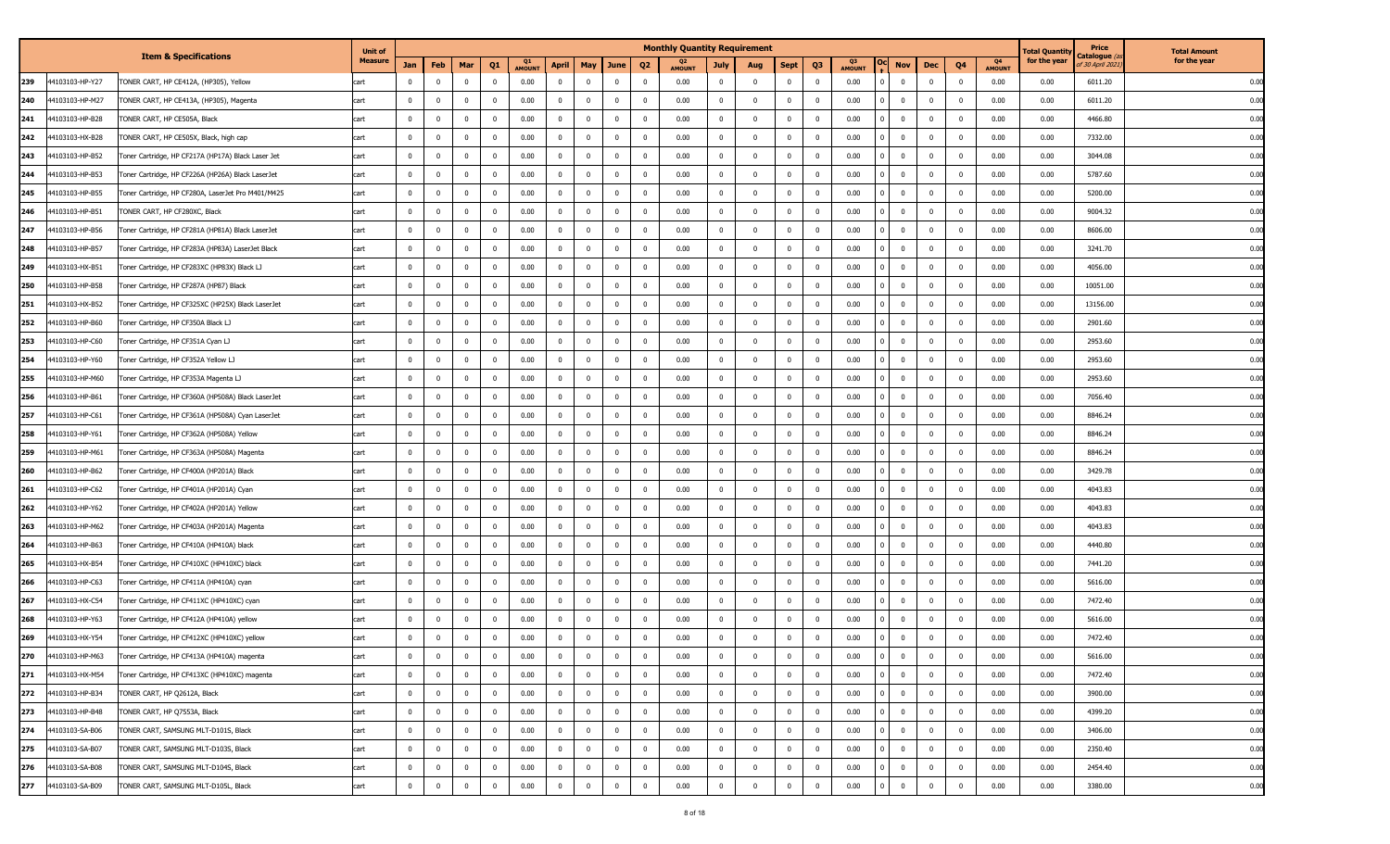|                        | <b>Item &amp; Specifications</b>                   | <b>Unit of</b> |                |                |                |                         |                     |                |                         |                |                         | <b>Monthly Quantity Requirement</b> |                |                |                         |                |                     |                         |              |                         |                     | <b>Fotal Quantit</b> | Price                                    | <b>Total Amount</b> |
|------------------------|----------------------------------------------------|----------------|----------------|----------------|----------------|-------------------------|---------------------|----------------|-------------------------|----------------|-------------------------|-------------------------------------|----------------|----------------|-------------------------|----------------|---------------------|-------------------------|--------------|-------------------------|---------------------|----------------------|------------------------------------------|---------------------|
|                        |                                                    | <b>Measure</b> | Jan            | Feb            | Mar            | Q <sub>1</sub>          | Q1<br><b>AMOUNT</b> | <b>April</b>   | May                     | June           | Q <sub>2</sub>          | Q2<br><b>AMOUNT</b>                 | July           | Aug            | <b>Sept</b>             | Q <sub>3</sub> | Q3<br><b>AMOUNT</b> | Nov                     | Dec          | Q <sub>4</sub>          | Q4<br><b>AMOUNT</b> | for the year         | C <b>atalogue</b> (a<br>of 30 April 2021 | for the year        |
| 44103103-HP-Y27<br>239 | TONER CART, HP CE412A, (HP305), Yellow             | art            | $^{\circ}$     | $\mathbf{0}$   | $\mathbf 0$    | $\overline{\mathbf{0}}$ | 0.00                | $\mathbf{0}$   | $\mathbf 0$             | $\mathbf 0$    | $\overline{\mathbf{0}}$ | 0.00                                | $\overline{0}$ | $\overline{0}$ | $\bf{0}$                | $\Omega$       | 0.00                | $\overline{0}$          | $\bf{0}$     | $\mathbf{0}$            | 0.00                | 0.00                 | 6011.20                                  | 0.00                |
| 44103103-HP-M27<br>240 | TONER CART, HP CE413A, (HP305), Magenta            | cart           | $\mathbf{0}$   | $\overline{0}$ | $\bf{0}$       | $\overline{\mathbf{0}}$ | 0.00                | $\mathbf 0$    | $\bf{0}$                | $\bf{0}$       | $\overline{\mathbf{0}}$ | 0.00                                | $\overline{0}$ | $\mathbf 0$    | $\bf{0}$                | 0              | 0.00                | $\overline{0}$          | $\mathbf 0$  | $\overline{0}$          | 0.00                | 0.00                 | 6011.20                                  | 0.00                |
| 241<br>4103103-HP-B28  | TONER CART, HP CE505A, Black                       | cart           | $\mathbf{0}$   | $\mathbf{0}$   | $\mathbf 0$    | $\overline{\mathbf{0}}$ | 0.00                | $\mathbf{0}$   | $\overline{0}$          | $\mathbf 0$    | $\overline{\mathbf{0}}$ | 0.00                                | $\overline{0}$ | $\Omega$       | $\overline{0}$          | $\Omega$       | 0.00                | $\overline{0}$          | $\mathbf 0$  | $\mathbf{0}$            | 0.00                | 0.00                 | 4466.80                                  | 0.00                |
| 242<br>4103103-HX-B28  | TONER CART, HP CE505X, Black, high cap             | cart           | $\mathbf 0$    | $\mathbf{0}$   | $\bf{0}$       | $\overline{\mathbf{0}}$ | 0.00                | $\mathbf{0}$   | $\mathbf 0$             | $\bf{0}$       | $\overline{\mathbf{0}}$ | 0.00                                | $\bf{0}$       | $\mathbf{0}$   | $\overline{0}$          | $^{\circ}$     | 0.00                | $\overline{0}$          | $\mathbf{0}$ | $\mathbf{0}$            | 0.00                | 0.00                 | 7332.00                                  | 0.00                |
| 243<br>4103103-HP-B52  | Toner Cartridge, HP CF217A (HP17A) Black Laser Jet | cart           | $\mathbf 0$    | $\mathbf 0$    | $\mathbf{0}$   | $\overline{\mathbf{0}}$ | 0.00                | $\mathbf 0$    | $\mathbf{0}$            | $\mathbf{0}$   | $\overline{\mathbf{0}}$ | 0.00                                | $\overline{0}$ | $\mathbf{0}$   | $\mathbf 0$             | $\Omega$       | 0.00                | $\mathbf 0$             | $\mathbf 0$  | $\overline{0}$          | 0.00                | 0.00                 | 3044.08                                  | 0.00                |
| 244<br>14103103-HP-B53 | Toner Cartridge, HP CF226A (HP26A) Black LaserJet  | cart           | $\mathbf{0}$   | $\mathbf{0}$   | $\mathbf 0$    | $\overline{\mathbf{0}}$ | 0.00                | $\mathbf 0$    | $\mathbf 0$             | $\bf{0}$       | $\overline{\mathbf{0}}$ | 0.00                                | $\mathbf 0$    | $\mathbf{0}$   | $\mathbf 0$             | $^{\circ}$     | 0.00                | $\overline{\mathbf{0}}$ | $\mathbf 0$  | $\overline{0}$          | 0.00                | 0.00                 | 5787.60                                  | 0.00                |
| 245<br>44103103-HP-B55 | Toner Cartridge, HP CF280A, LaserJet Pro M401/M425 | cart           | $\mathbf{0}$   | $\mathbf{0}$   | $\mathbf 0$    | $\overline{\mathbf{0}}$ | 0.00                | $\overline{0}$ | $\mathbf 0$             | $\mathbf 0$    | $\overline{\mathbf{0}}$ | 0.00                                | $\mathbf{0}$   | $\mathbf{0}$   | $\mathbf 0$             | $^{\circ}$     | 0.00                | $\overline{0}$          | $\mathbf{0}$ | $\overline{0}$          | 0.00                | 0.00                 | 5200.00                                  | 0.00                |
| 246<br>4103103-HP-B51  | TONER CART, HP CF280XC, Black                      | cart           | $\mathbf{0}$   | $\mathbf{0}$   | $\mathbf 0$    | $\overline{\mathbf{0}}$ | 0.00                | $\overline{0}$ | $\mathbf 0$             | $\bf{0}$       | $\overline{\mathbf{0}}$ | 0.00                                | $\bf{0}$       | $\mathbf{0}$   | $\overline{0}$          | $^{\circ}$     | 0.00                | $\overline{0}$          | 0            | $\overline{\mathbf{0}}$ | 0.00                | 0.00                 | 9004.32                                  | 0.00                |
| 247<br>4103103-HP-B56  | Toner Cartridge, HP CF281A (HP81A) Black LaserJet  | cart           | $\mathbf{0}$   | $\mathbf{0}$   | $\mathbf 0$    | $\overline{\mathbf{0}}$ | 0.00                | $\overline{0}$ | $\mathbf 0$             | $\mathbf 0$    | $\overline{\mathbf{0}}$ | 0.00                                | $\mathbf{0}$   | $\mathbf{0}$   | $\overline{0}$          | $^{\circ}$     | 0.00                | $\overline{0}$          | $\mathbf{0}$ | $\overline{0}$          | 0.00                | 0.00                 | 8606.00                                  | 0.00                |
| 248<br>4103103-HP-B57  | Toner Cartridge, HP CF283A (HP83A) LaserJet Black  | cart           | $^{\circ}$     | $\mathbf{0}$   | $\mathbf 0$    | $\overline{\mathbf{0}}$ | 0.00                | $\mathbf 0$    | $\mathbf 0$             | $\mathbf 0$    | $\overline{\mathbf{0}}$ | 0.00                                | $\bf{0}$       | $\mathbf{0}$   | $\mathbf 0$             | $^{\circ}$     | 0.00                | $\overline{0}$          | $\mathbf{0}$ | $\mathbf{0}$            | 0.00                | 0.00                 | 3241.70                                  | 0.00                |
| 249<br>44103103-HX-B51 | Toner Cartridge, HP CF283XC (HP83X) Black LJ       | cart           | $\mathbf{0}$   | $\mathbf{0}$   | $\mathbf 0$    | $\overline{\mathbf{0}}$ | 0.00                | $\mathbf{0}$   | $\mathbf 0$             | $\mathbf 0$    | $\overline{\mathbf{0}}$ | 0.00                                | $\mathbf{0}$   | $\mathbf{0}$   | $\overline{0}$          | $\Omega$       | 0.00                | $\overline{0}$          | $\mathbf{0}$ | $\mathbf{0}$            | 0.00                | 0.00                 | 4056.00                                  | 0.00                |
| 250<br>4103103-HP-B58  | Toner Cartridge, HP CF287A (HP87) Black            | cart           | $\mathbf{0}$   | $\mathbf{0}$   | $\mathbf 0$    | $\overline{\mathbf{0}}$ | 0.00                | $\mathbf 0$    | $\mathbf 0$             | $\mathbf 0$    | $\overline{\mathbf{0}}$ | 0.00                                | $\bf{0}$       | $\mathbf{0}$   | $\mathbf 0$             | $\Omega$       | 0.00                | $\overline{0}$          | $\mathbf{0}$ | $\overline{0}$          | 0.00                | 0.00                 | 10051.00                                 | 0.00                |
| 251<br>4103103-HX-B52  | Toner Cartridge, HP CF325XC (HP25X) Black LaserJet | cart           | $\mathbf{0}$   | $\mathbf{0}$   | $\mathbf 0$    | $\overline{\mathbf{0}}$ | 0.00                | $\overline{0}$ | $\mathbf 0$             | $\bf{0}$       | $\overline{\mathbf{0}}$ | 0.00                                | $\overline{0}$ | $\overline{0}$ | $\overline{0}$          | $^{\circ}$     | 0.00                | $\overline{0}$          | $\mathbf{0}$ | $\overline{0}$          | 0.00                | 0.00                 | 13156.00                                 | 0.00                |
| 252<br>4103103-HP-B60  | Toner Cartridge, HP CF350A Black LJ                | cart           | $\mathbf{0}$   | $\overline{0}$ | $\mathbf{0}$   | $\overline{\mathbf{0}}$ | 0.00                | $\mathbf 0$    | $\mathbf 0$             | $\mathbf{0}$   | $\overline{\mathbf{0}}$ | 0.00                                | $\mathbf 0$    | $\overline{0}$ | $\overline{0}$          | $\mathbf 0$    | 0.00                | $\overline{0}$          | $\mathbf{0}$ | $\overline{0}$          | 0.00                | 0.00                 | 2901.60                                  | 0.00                |
| 253<br>44103103-HP-C60 | Toner Cartridge, HP CF351A Cyan LJ                 | cart           | $\mathbf{0}$   | $\overline{0}$ | $\mathbf{0}$   | $\overline{\mathbf{0}}$ | 0.00                | $\overline{0}$ | $\mathbf 0$             | $\overline{0}$ | $\overline{\mathbf{0}}$ | 0.00                                | $\bf{0}$       | $\overline{0}$ | $\overline{0}$          | $^{\circ}$     | 0.00                | $\mathbf 0$             | $\mathbf{0}$ | $\overline{0}$          | 0.00                | 0.00                 | 2953.60                                  | 0.00                |
| 254<br>14103103-HP-Y60 | Toner Cartridge, HP CF352A Yellow LJ               | cart           | $\mathbf{0}$   | $\mathbf{0}$   | $\mathbf 0$    | $\overline{\mathbf{0}}$ | 0.00                | $\overline{0}$ | $\mathbf 0$             | $\mathbf 0$    | $\overline{\mathbf{0}}$ | 0.00                                | $\overline{0}$ | $\mathbf{0}$   | $\mathbf 0$             | $\Omega$       | 0.00                | $\overline{0}$          | $\mathbf{0}$ | $\overline{0}$          | 0.00                | 0.00                 | 2953.60                                  | 0.00                |
| 255<br>4103103-HP-M60  | Toner Cartridge, HP CF353A Magenta LJ              | cart           | $\mathbf{0}$   | $\mathbf{0}$   | $\mathbf{0}$   | $\overline{\mathbf{0}}$ | 0.00                | $\overline{0}$ | $\mathbf 0$             | $\mathbf 0$    | $\overline{\mathbf{0}}$ | 0.00                                | $\overline{0}$ | $\overline{0}$ | $\overline{0}$          | $^{\circ}$     | 0.00                | $\overline{0}$          | $\mathbf{0}$ | $\overline{0}$          | 0.00                | 0.00                 | 2953.60                                  | 0.00                |
| 256<br>4103103-HP-B61  | Toner Cartridge, HP CF360A (HP508A) Black LaserJet | cart           | $\mathbf{0}$   | $\overline{0}$ | $\mathbf{0}$   | $\overline{\mathbf{0}}$ | 0.00                | $\overline{0}$ | $\mathbf 0$             | $\mathbf{0}$   | $\overline{\mathbf{0}}$ | 0.00                                | $\mathbf{0}$   | $\mathbf{0}$   | $\mathbf 0$             | $\Omega$       | 0.00                | $\mathbf 0$             | $\mathbf 0$  | $\mathbf 0$             | 0.00                | 0.00                 | 7056.40                                  | 0.00                |
| 257<br>4103103-HP-C61  | Toner Cartridge, HP CF361A (HP508A) Cyan LaserJet  | cart           | $\mathbf 0$    | $\mathbf 0$    | $\bf{0}$       | $\overline{\mathbf{0}}$ | 0.00                | $\overline{0}$ | $\mathbf 0$             | $\bf{0}$       | $\overline{\mathbf{0}}$ | 0.00                                | $\overline{0}$ | $\mathbf{0}$   | $\overline{0}$          | $^{\circ}$     | 0.00                | $\overline{0}$          | $\mathbf{0}$ | $\overline{0}$          | 0.00                | 0.00                 | 8846.24                                  | 0.00                |
| 258<br>4103103-HP-Y61  | Toner Cartridge, HP CF362A (HP508A) Yellow         | cart           | $\mathbf{0}$   | $\overline{0}$ | $\bf{0}$       | $\overline{\mathbf{0}}$ | 0.00                | $\mathbf{0}$   | $\mathbf 0$             | $\bf{0}$       | $\overline{0}$          | 0.00                                | $\overline{0}$ | $\mathbf{0}$   | $\mathbf{0}$            | 0              | 0.00                | $\overline{0}$          | $\bf{0}$     | $\overline{0}$          | 0.00                | 0.00                 | 8846.24                                  | 0.00                |
| 259<br>4103103-HP-M61  | Toner Cartridge, HP CF363A (HP508A) Magenta        | cart           | $\overline{0}$ | $\mathbf{0}$   | $\bf{0}$       | $\overline{\mathbf{0}}$ | 0.00                | $\overline{0}$ | $\mathbf 0$             | $\bf{0}$       | $\overline{\mathbf{0}}$ | 0.00                                | $\overline{0}$ | $\mathbf{0}$   | $\overline{0}$          | 0              | 0.00                | $\overline{0}$          | $\mathbf 0$  | $\overline{0}$          | 0.00                | 0.00                 | 8846.24                                  | 0.00                |
| 260<br>4103103-HP-B62  | Toner Cartridge, HP CF400A (HP201A) Black          | cart           | $\mathbf{0}$   | $\overline{0}$ | $\mathbf{0}$   | $\overline{\mathbf{0}}$ | 0.00                | $\overline{0}$ | $\mathbf 0$             | $\mathbf{0}$   | $\overline{\mathbf{0}}$ | 0.00                                | $\overline{0}$ | $\overline{0}$ | $\bf{0}$                | $\Omega$       | 0.00                | $\bf{0}$                | $\mathbf 0$  | $\overline{0}$          | 0.00                | 0.00                 | 3429.78                                  | 0.00                |
| 261<br>44103103-HP-C62 | Toner Cartridge, HP CF401A (HP201A) Cyan           | cart           | $\mathbf{0}$   | $\mathbf 0$    | $\bf{0}$       | $\overline{\mathbf{0}}$ | 0.00                | $\overline{0}$ | $\mathbf 0$             | $\bf{0}$       | $\overline{\mathbf{0}}$ | 0.00                                | $\bf{0}$       | $\overline{0}$ | $\overline{\mathbf{0}}$ | 0              | 0.00                | $\overline{\mathbf{0}}$ | $\mathbf{0}$ | $\overline{0}$          | 0.00                | 0.00                 | 4043.83                                  | 0.00                |
| 262<br>44103103-HP-Y62 | Toner Cartridge, HP CF402A (HP201A) Yellow         | cart           | $\mathbf{0}$   | $\mathbf{0}$   | $\mathbf 0$    | $\overline{\mathbf{0}}$ | 0.00                | $\overline{0}$ | $\mathbf 0$             | $\mathbf 0$    | $\overline{\mathbf{0}}$ | 0.00                                | $\overline{0}$ | $\mathbf{0}$   | $\mathbf 0$             | $^{\circ}$     | 0.00                | $\overline{0}$          | $\bf{0}$     | $\overline{0}$          | 0.00                | 0.00                 | 4043.83                                  | 0.00                |
| 263<br>4103103-HP-M62  | Toner Cartridge, HP CF403A (HP201A) Magenta        | cart           | $\mathbf{0}$   | $\mathbf{0}$   | $\bf{0}$       | $\overline{\mathbf{0}}$ | 0.00                | $\overline{0}$ | $\mathbf 0$             | $\bf{0}$       | $\overline{\mathbf{0}}$ | 0.00                                | $\overline{0}$ | $\mathbf{0}$   | $\mathbf 0$             | 0              | 0.00                | $\overline{0}$          | $\mathbf{0}$ | $\overline{0}$          | 0.00                | 0.00                 | 4043.83                                  | 0.00                |
| 264<br>4103103-HP-B63  | Toner Cartridge, HP CF410A (HP410A) black          | cart           | $\mathbf{0}$   | $\mathbf{0}$   | $\mathbf{0}$   | $\overline{\mathbf{0}}$ | 0.00                | $\overline{0}$ | $\mathbf 0$             | $\mathbf{0}$   | $\overline{\mathbf{0}}$ | 0.00                                | $\mathbf{0}$   | $\mathbf{0}$   | $\mathbf 0$             | $\Omega$       | 0.00                | $\mathbf 0$             | $\mathbf 0$  | $\overline{0}$          | 0.00                | 0.00                 | 4440.80                                  | 0.00                |
| 265<br>4103103-HX-B54  | Toner Cartridge, HP CF410XC (HP410XC) black        | cart           | $\mathbf{0}$   | $\overline{0}$ | $\bf{0}$       | $\overline{\mathbf{0}}$ | 0.00                | $\mathbf{0}$   | $\mathbf 0$             | $\bf{0}$       | $\overline{\mathbf{0}}$ | 0.00                                | $\bf{0}$       | $\mathbf{0}$   | $\overline{\mathbf{0}}$ | 0              | 0.00                | $\overline{\mathbf{0}}$ | $\mathbf{0}$ | $\mathbf{0}$            | 0.00                | 0.00                 | 7441.20                                  | 0.00                |
| 266<br>4103103-HP-C63  | Toner Cartridge, HP CF411A (HP410A) cyan           | cart           | $^{\circ}$     | $\mathbf{0}$   | $\mathbf 0$    | $\overline{\mathbf{0}}$ | 0.00                | $\mathbf{0}$   | $\mathbf 0$             | $\mathbf 0$    | $\overline{\mathbf{0}}$ | 0.00                                | $\overline{0}$ | $\Omega$       | $\overline{0}$          | $^{\circ}$     | 0.00                | $\overline{0}$          | $\mathbf{0}$ | $\mathbf{0}$            | 0.00                | 0.00                 | 5616.00                                  | 0.00                |
| 267<br>4103103-HX-C54  | Toner Cartridge, HP CF411XC (HP410XC) cyan         | cart           | $\mathbf 0$    | $\mathbf 0$    | $\bf{0}$       | $\overline{\mathbf{0}}$ | 0.00                | $\mathbf 0$    | $\mathbf 0$             | $\bf{0}$       | $\overline{\mathbf{0}}$ | 0.00                                | $\bf{0}$       | $\mathbf{0}$   | $\overline{0}$          | 0              | 0.00                | $\mathbf 0$             | $^{\circ}$   | $\overline{0}$          | 0.00                | 0.00                 | 7472.40                                  | 0.00                |
| 268<br>4103103-HP-Y63  | Toner Cartridge, HP CF412A (HP410A) yellow         | cart           | $^{\circ}$     | $\mathbf{0}$   | $\mathbf 0$    | $\overline{\mathbf{0}}$ | 0.00                | $\mathbf 0$    | $\mathbf 0$             | $\mathbf 0$    | $\overline{\mathbf{0}}$ | 0.00                                | $\mathbf{0}$   | $\Omega$       | $\overline{0}$          | $\Omega$       | 0.00                | $\overline{0}$          | $\mathbf{0}$ | $\mathbf{0}$            | 0.00                | 0.00                 | 5616.00                                  | 0.00                |
| 269<br>44103103-HX-Y54 | Toner Cartridge, HP CF412XC (HP410XC) yellow       | cart           | $\mathbf 0$    | $\mathbf 0$    | $\bf{0}$       | $\overline{\mathbf{0}}$ | 0.00                | $\mathbf 0$    | $\mathbf 0$             | $\bf{0}$       | $\overline{\mathbf{0}}$ | 0.00                                | $\bf{0}$       | $\mathbf{0}$   | $\bf{0}$                | $^{\circ}$     | 0.00                | $\overline{0}$          | $\mathbf{0}$ | $\overline{\mathbf{0}}$ | 0.00                | 0.00                 | 7472.40                                  | 0.00                |
| 270<br>44103103-HP-M63 | Toner Cartridge, HP CF413A (HP410A) magenta        |                | $^{\circ}$     |                | $^{\circ}$     | $\mathbf 0$             | 0.00                | 0              | $^{\circ}$              | $\mathbf 0$    | $\mathbf 0$             | 0.00                                | $^{\circ}$     |                |                         |                | $0.00\,$            | 0                       |              | $\mathbf 0$             | 0.00                | 0.00                 | 5616.00                                  | 0.00                |
| 271<br>44103103-HX-M54 | Toner Cartridge, HP CF413XC (HP410XC) magenta      | cart           | $\mathbf 0$    | $\overline{0}$ | $\mathbf{0}$   | $\overline{\mathbf{0}}$ | 0.00                | $\mathbf 0$    | $\mathbf{0}$            | $\bf{0}$       | $\overline{\mathbf{0}}$ | 0.00                                | $\overline{0}$ | $^{\circ}$     | $\bf{0}$                | $\mathbf 0$    | 0.00                | $\overline{0}$          | $\bf{0}$     | $\mathbf{0}$            | 0.00                | 0.00                 | 7472.40                                  | 0.00                |
| 272<br>44103103-HP-B34 | TONER CART, HP Q2612A, Black                       | cart           | $\mathbf{0}$   | $\overline{0}$ | $\mathbf{0}$   | $\overline{0}$          | 0.00                | $\overline{0}$ | $\mathbf{0}$            | $\mathbf{0}$   | $\overline{\mathbf{0}}$ | 0.00                                | $\overline{0}$ | $\mathbf{0}$   | $\bf{0}$                | $\bf{0}$       | 0.00                | $\overline{0}$          | $\bf{0}$     | $\overline{0}$          | 0.00                | 0.00                 | 3900.00                                  | 0.00                |
| 273<br>44103103-HP-B48 | TONER CART, HP Q7553A, Black                       | cart           | $\mathbf{0}$   | $\overline{0}$ | $\overline{0}$ | $\overline{\mathbf{0}}$ | 0.00                | $\mathbf 0$    | $\mathbf 0$             | $\overline{0}$ | $\overline{\mathbf{0}}$ | 0.00                                | $\overline{0}$ | $\overline{0}$ | $\bf{0}$                | $\bf{0}$       | 0.00                | $\bf{0}$                | $\bf{0}$     | $\overline{0}$          | 0.00                | 0.00                 | 4399.20                                  | 0.00                |
| 274<br>44103103-SA-B06 | TONER CART, SAMSUNG MLT-D101S, Black               | cart           | $\mathbf{0}$   | $\overline{0}$ | $\mathbf{0}$   | $\overline{0}$          | 0.00                | $\overline{0}$ | $\overline{\mathbf{0}}$ | $\mathbf{0}$   | $\overline{\mathbf{0}}$ | 0.00                                | $\mathbf{0}$   | $\mathbf{0}$   | $\mathbf 0$             | $\mathbf{0}$   | 0.00                | $\overline{0}$          | $\bf{0}$     | $\mathbf 0$             | 0.00                | 0.00                 | 3406.00                                  | 0.00                |
| 275<br>44103103-SA-B07 | TONER CART, SAMSUNG MLT-D103S, Black               | cart           | $\mathbf{0}$   | $\overline{0}$ | $\mathbf{0}$   | $\overline{\mathbf{0}}$ | 0.00                | $\mathbf 0$    | $\mathbf 0$             | $\overline{0}$ | $\overline{\mathbf{0}}$ | 0.00                                | $\overline{0}$ | $\mathbf{0}$   | $\bf{0}$                | $\mathbf 0$    | 0.00                | $\mathbf 0$             | $\bf{0}$     | $\mathbf{0}$            | 0.00                | 0.00                 | 2350.40                                  | 0.00                |
| 276<br>44103103-SA-B08 | TONER CART, SAMSUNG MLT-D104S, Black               | cart           | $\bf{0}$       | $\overline{0}$ | $\overline{0}$ | $\overline{\mathbf{0}}$ | 0.00                | $\overline{0}$ | $\bf{0}$                | $\overline{0}$ | $\overline{\mathbf{0}}$ | 0.00                                | $\overline{0}$ | $\overline{0}$ | $\bf{0}$                | $\bf{0}$       | 0.00                | $\bf{0}$                | $\bf{0}$     | $\overline{0}$          | 0.00                | 0.00                 | 2454.40                                  | 0.00                |
| 277<br>44103103-SA-B09 | TONER CART, SAMSUNG MLT-D105L, Black               | cart           | $\mathbf 0$    | $\overline{0}$ | $\overline{0}$ | $\overline{\mathbf{0}}$ | 0.00                | $\mathbf 0$    | $\mathbf 0$             | $\overline{0}$ | $\overline{\mathbf{0}}$ | 0.00                                | $\mathbf 0$    | $\overline{0}$ | $\mathbf 0$             | $\bf{0}$       | 0.00                | $\overline{0}$          | $\bf{0}$     | $\mathbf 0$             | 0.00                | 0.00                 | 3380.00                                  | 0.00                |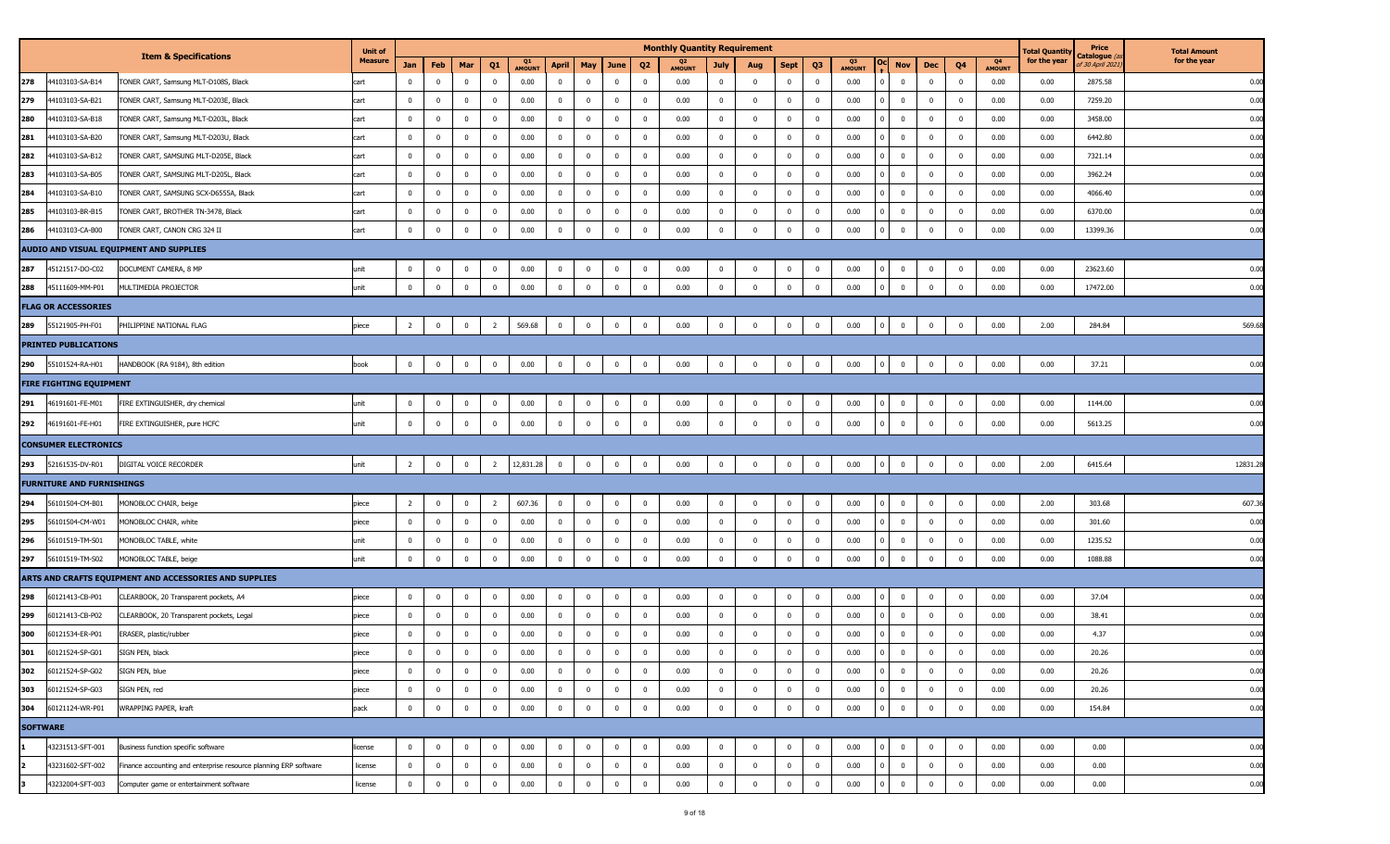|                 |                                  |                                                                  | <b>Unit of</b> |                |              |                |                         |              |                         |                |              |                         | <b>Monthly Quantity Requirement</b> |              |                |                         |                |              |            |                |                         |                         |                                 | Total Quantity | Price                                 | <b>Total Amount</b> |
|-----------------|----------------------------------|------------------------------------------------------------------|----------------|----------------|--------------|----------------|-------------------------|--------------|-------------------------|----------------|--------------|-------------------------|-------------------------------------|--------------|----------------|-------------------------|----------------|--------------|------------|----------------|-------------------------|-------------------------|---------------------------------|----------------|---------------------------------------|---------------------|
|                 |                                  | <b>Item &amp; Specifications</b>                                 | <b>Measure</b> | Jan            | Feb          | Mar            | Q <sub>1</sub>          | Q1<br>AMOUN1 | April                   | May            | June         | Q <sub>2</sub>          | <b>AMOUNT</b>                       | July         | Aug            | <b>Sept</b>             | Q <sub>3</sub> | Q3<br>AMOUNT |            | Nov            | Dec                     | Q <sub>4</sub>          | Q <sub>4</sub><br><b>AMOUNT</b> | for the year   | Catalogue <i>(</i><br>f 30 April 2021 | for the year        |
| 278             | 44103103-SA-B14                  | TONER CART, Samsung MLT-D108S, Black                             | cart           | $\mathbf 0$    | $^{\circ}$   | $\mathbf{0}$   | $\overline{\mathbf{0}}$ | 0.00         | $\mathbf 0$             | $\bf{0}$       | $\bf{0}$     | $\overline{\mathbf{0}}$ | 0.00                                | $\mathbf{0}$ | $\mathbf 0$    | $\bf{0}$                | $\overline{0}$ | 0.00         |            | $\overline{0}$ | $\mathbf 0$             | $\overline{\mathbf{0}}$ | 0.00                            | 0.00           | 2875.58                               | 0.00                |
| 279             | 44103103-SA-B21                  | TONER CART, Samsung MLT-D203E, Black                             | cart           | $\mathbf 0$    | $\mathbf 0$  | $\bf{0}$       | $\overline{\mathbf{0}}$ | 0.00         | $\overline{0}$          | $\overline{0}$ | $\bf{0}$     | $\overline{\mathbf{0}}$ | 0.00                                | $\bf{0}$     | $\mathbf 0$    | $\overline{0}$          | $\mathbf 0$    | 0.00         |            | $\overline{0}$ | $\mathbf 0$             | $\overline{\mathbf{0}}$ | 0.00                            | 0.00           | 7259.20                               | 0.00                |
| 280             | 44103103-SA-B18                  | TONER CART, Samsung MLT-D203L, Black                             | cart           | $\bf{0}$       | $\Omega$     | $\mathbf 0$    | $\overline{\mathbf{0}}$ | 0.00         | $\overline{0}$          | $\Omega$       | $\bf{0}$     | 0                       | 0.00                                | $^{\circ}$   | $\mathbf 0$    | $\mathbf 0$             | $\mathbf{0}$   | 0.00         |            | $\pmb{0}$      | $\mathbf 0$             | $\overline{\mathbf{0}}$ | 0.00                            | 0.00           | 3458.00                               | 0.00                |
| 281             | 44103103-SA-B20                  | TONER CART, Samsung MLT-D203U, Black                             | cart           | $\bf{0}$       | $\mathbf 0$  | $\mathbf 0$    | $\overline{\mathbf{0}}$ | 0.00         | $\mathbf 0$             | $\overline{0}$ | $\bf{0}$     | $\overline{\mathbf{0}}$ | 0.00                                | $\mathbf{0}$ | $\mathbf 0$    | $\overline{0}$          | $\mathbf 0$    | 0.00         |            | $\pmb{0}$      | $\mathbf 0$             | $\overline{\mathbf{0}}$ | 0.00                            | 0.00           | 6442.80                               | 0.00                |
| 282             | 44103103-SA-B12                  | TONER CART, SAMSUNG MLT-D205E, Black                             | cart           | $\bf{0}$       | $\Omega$     | $\mathbf 0$    | $\overline{\mathbf{0}}$ | 0.00         | $\mathbf 0$             | $\mathbf{0}$   | $\mathbf 0$  | $\overline{0}$          | 0.00                                | $\mathbf{0}$ | $\mathbf 0$    | $\mathbf 0$             | $\mathbf 0$    | 0.00         |            | $\mathbf 0$    | $\mathbf{0}$            | $\overline{\mathbf{0}}$ | 0.00                            | 0.00           | 7321.14                               | 0.00                |
| 283             | 44103103-SA-B05                  | TONER CART, SAMSUNG MLT-D205L, Black                             | cart           | $\bf{0}$       | $\mathbf 0$  | $\bf{0}$       | $\overline{\mathbf{0}}$ | 0.00         | $\overline{0}$          | $\overline{0}$ | $\bf{0}$     | $\overline{0}$          | 0.00                                | $\bf{0}$     | $\mathbf 0$    | $\overline{0}$          | $\mathbf{0}$   | 0.00         |            | $\overline{0}$ | $\overline{0}$          | $\overline{\mathbf{0}}$ | 0.00                            | 0.00           | 3962.24                               | 0.00                |
| 284             | 44103103-SA-B10                  | TONER CART, SAMSUNG SCX-D6555A, Black                            | cart           | $\bf{0}$       | $^{\circ}$   | $\overline{0}$ | $\overline{\mathbf{0}}$ | 0.00         | $\overline{0}$          | $\mathbf{0}$   | $\bf{0}$     | $\overline{\mathbf{0}}$ | 0.00                                | $\mathbf{0}$ | $\mathbf 0$    | $\overline{0}$          | $\bf{0}$       | 0.00         |            | $\mathbf 0$    | $\mathbf 0$             | $\overline{\mathbf{0}}$ | 0.00                            | 0.00           | 4066.40                               | 0.00                |
| 285             | 44103103-BR-B15                  | TONER CART, BROTHER TN-3478, Black                               | cart           | $\bf{0}$       | $\mathbf 0$  | $\bf{0}$       | $\overline{\mathbf{0}}$ | 0.00         | $\overline{0}$          | $\overline{0}$ | $\bf{0}$     | $\overline{\mathbf{0}}$ | 0.00                                | $\bf{0}$     | $\mathbf 0$    | $\overline{0}$          | $\mathbf{0}$   | 0.00         |            | $\mathbf 0$    | $\mathbf 0$             | $\overline{\mathbf{0}}$ | 0.00                            | 0.00           | 6370.00                               | 0.00                |
| 286             | 44103103-CA-B00                  | TONER CART, CANON CRG 324 II                                     | cart           | $\bf{0}$       | $\mathbf 0$  | $\mathbf 0$    | $\overline{\mathbf{0}}$ | 0.00         | $\mathbf 0$             | $\mathbf{0}$   | $\bf{0}$     | $\mathbf 0$             | 0.00                                | $\mathbf{0}$ | $\overline{0}$ | $\mathbf 0$             | $\mathbf 0$    | 0.00         |            | $\pmb{0}$      | $\pmb{0}$               | $\overline{\mathbf{0}}$ | 0.00                            | 0.00           | 13399.36                              | 0.00                |
|                 |                                  | AUDIO AND VISUAL EQUIPMENT AND SUPPLIES                          |                |                |              |                |                         |              |                         |                |              |                         |                                     |              |                |                         |                |              |            |                |                         |                         |                                 |                |                                       |                     |
| 287             | 45121517-DO-C02                  | DOCUMENT CAMERA, 8 MP                                            | unit           | $\bf{0}$       | $\mathbf 0$  | $\bf{0}$       | $\overline{0}$          | 0.00         | $\overline{\mathbf{0}}$ | $\overline{0}$ | $\mathbf{0}$ | $\mathbf 0$             | 0.00                                | $\mathbf{0}$ | $\overline{0}$ | $\overline{0}$          | $\mathbf{0}$   | 0.00         | $\Omega$   | $\bf{0}$       | $\mathbf 0$             | $\overline{\mathbf{0}}$ | 0.00                            | 0.00           | 23623.60                              | 0.00                |
| 288             | 45111609-MM-P01                  | MULTIMEDIA PROJECTOR                                             | unit           | $\bf{0}$       | $\mathbf 0$  | $\overline{0}$ | $\overline{\mathbf{0}}$ | 0.00         | $\mathbf 0$             | $\overline{0}$ | $\mathbf 0$  | $\overline{\mathbf{0}}$ | 0.00                                | $\mathbf{0}$ | $\overline{0}$ | $\bf{0}$                | $\mathbf{0}$   | 0.00         |            | $\pmb{0}$      | $\bf{0}$                | $\overline{\mathbf{0}}$ | 0.00                            | 0.00           | 17472.00                              | 0.00                |
|                 | <b>FLAG OR ACCESSORIES</b>       |                                                                  |                |                |              |                |                         |              |                         |                |              |                         |                                     |              |                |                         |                |              |            |                |                         |                         |                                 |                |                                       |                     |
| 289             | 55121905-PH-F01                  | PHILIPPINE NATIONAL FLAG                                         | piece          | $\overline{2}$ |              | $\mathbf 0$    | $\overline{2}$          | 569.68       | $\overline{0}$          | $\overline{0}$ | $\bf{0}$     | $\overline{\mathbf{0}}$ | 0.00                                | $^{\circ}$   | $\Omega$       | $\mathbf 0$             | $\mathbf 0$    | 0.00         | $\Omega$   | $\mathbf 0$    | $\mathbf 0$             | $\overline{\mathbf{0}}$ | 0.00                            | 2.00           | 284.84                                | 569.6               |
|                 | <b>PRINTED PUBLICATIONS</b>      |                                                                  |                |                |              |                |                         |              |                         |                |              |                         |                                     |              |                |                         |                |              |            |                |                         |                         |                                 |                |                                       |                     |
| 290             | 55101524-RA-H01                  | HANDBOOK (RA 9184), 8th edition                                  | book           | $\bf{0}$       | $^{\circ}$   | $\mathbf 0$    | $\overline{0}$          | 0.00         | $\overline{\mathbf{0}}$ | $\overline{0}$ | $\mathbf{0}$ | $\mathbf 0$             | 0.00                                | $\mathbf 0$  | $\overline{0}$ | $\overline{\mathbf{0}}$ | $\overline{0}$ | 0.00         | $\Omega$   | $\mathbf 0$    | $\overline{\mathbf{0}}$ | $\overline{\mathbf{0}}$ | 0.00                            | 0.00           | 37.21                                 | 0.00                |
|                 | <b>FIRE FIGHTING EQUIPMENT</b>   |                                                                  |                |                |              |                |                         |              |                         |                |              |                         |                                     |              |                |                         |                |              |            |                |                         |                         |                                 |                |                                       |                     |
| 291             | 46191601-FE-M01                  | FIRE EXTINGUISHER, dry chemical                                  | unit           | $\bf{0}$       | $^{\circ}$   | $\bf{0}$       | $\overline{\mathbf{0}}$ | 0.00         | $\overline{0}$          | $\overline{0}$ | $\bf{0}$     | $\mathbf 0$             | 0.00                                | $\mathbf{0}$ | $\overline{0}$ | $\overline{0}$          | $\mathbf{0}$   | 0.00         |            | $\mathbf 0$    | $\bf{0}$                | $\overline{\mathbf{0}}$ | 0.00                            | 0.00           | 1144.00                               | 0.00                |
| 292             | 46191601-FE-H01                  | FIRE EXTINGUISHER, pure HCFC                                     | unit           | $\mathbf 0$    |              | $\mathbf 0$    | $\overline{\mathbf{0}}$ | 0.00         | $\mathbf 0$             | $\overline{0}$ | $\bf{0}$     | $\overline{\mathbf{0}}$ | 0.00                                | $\mathbf{0}$ | $\mathbf 0$    | $\mathbf 0$             | $\bf{0}$       | 0.00         |            | $\pmb{0}$      | $\mathbf 0$             | $\overline{\mathbf{0}}$ | 0.00                            | 0.00           | 5613.25                               | 0.00                |
|                 | <b>CONSUMER ELECTRONICS</b>      |                                                                  |                |                |              |                |                         |              |                         |                |              |                         |                                     |              |                |                         |                |              |            |                |                         |                         |                                 |                |                                       |                     |
| 293             | 52161535-DV-R01                  | DIGITAL VOICE RECORDER                                           | unit           | $\overline{2}$ | $\mathbf 0$  | $\overline{0}$ | $\overline{2}$          | 12,831.28    | $\overline{\mathbf{0}}$ | $\overline{0}$ | $\bf{0}$     | $\overline{0}$          | 0.00                                | $\bf{0}$     | $\mathbf 0$    | $\overline{0}$          | $\overline{0}$ | 0.00         |            | $\pmb{0}$      | $\overline{\mathbf{0}}$ | $\overline{\mathbf{0}}$ | 0.00                            | 2.00           | 6415.64                               | 12831.2             |
|                 | <b>FURNITURE AND FURNISHINGS</b> |                                                                  |                |                |              |                |                         |              |                         |                |              |                         |                                     |              |                |                         |                |              |            |                |                         |                         |                                 |                |                                       |                     |
| 294             | 56101504-CM-B01                  | MONOBLOC CHAIR, beige                                            | piece          | $\overline{2}$ | $\Omega$     | $\overline{0}$ | $\overline{2}$          | 607.36       | $\overline{0}$          | $\bf{0}$       | $\bf{0}$     | $\overline{\mathbf{0}}$ | 0.00                                | $\mathbf{0}$ | $\overline{0}$ | $\bf{0}$                | $\mathbf{0}$   | 0.00         |            | $\bf{0}$       | $\mathbf 0$             | $\overline{\mathbf{0}}$ | 0.00                            | 2.00           | 303.68                                | 607.3               |
| 295             | 56101504-CM-W01                  | MONOBLOC CHAIR, white                                            | piece          | $\bf{0}$       | $^{\circ}$   | $\overline{0}$ | $\overline{\mathbf{0}}$ | 0.00         | $\bf{0}$                | $\overline{0}$ | $\mathbf 0$  | $\overline{\mathbf{0}}$ | 0.00                                | $\bf{0}$     | $\mathbf 0$    | $\bf{0}$                | $\mathbf{0}$   | 0.00         |            | $\mathbf 0$    | $\mathbf 0$             | $\overline{\mathbf{0}}$ | 0.00                            | 0.00           | 301.60                                | 0.00                |
| 296             | 56101519-TM-S01                  | MONOBLOC TABLE, white                                            | unit           | $\bf{0}$       | $^{\circ}$   | $\overline{0}$ | $\overline{\mathbf{0}}$ | 0.00         | $\overline{0}$          | $\mathbf 0$    | $\bf{0}$     | $\overline{\mathbf{0}}$ | 0.00                                | $\mathbf{0}$ | $\mathbf 0$    | $\bf{0}$                | $\bf{0}$       | 0.00         |            | $\pmb{0}$      | $\mathbf 0$             | $\overline{\mathbf{0}}$ | 0.00                            | 0.00           | 1235.52                               | 0.00                |
| 297             | 56101519-TM-S02                  | MONOBLOC TABLE, beige                                            | unit           | $\bf{0}$       | $\Omega$     | $\pmb{0}$      | $\overline{\mathbf{0}}$ | 0.00         | $\mathbf 0$             | $\Omega$       | $\mathbf 0$  | $\overline{\mathbf{0}}$ | 0.00                                | $\bf{0}$     | $\mathbf{0}$   | $\mathbf 0$             | $\mathbf{0}$   | 0.00         | $\Omega$   | $\pmb{0}$      | $\mathbf 0$             | $\overline{\mathbf{0}}$ | 0.00                            | 0.00           | 1088.88                               | 0.00                |
|                 |                                  | ARTS AND CRAFTS EQUIPMENT AND ACCESSORIES AND SUPPLIES           |                |                |              |                |                         |              |                         |                |              |                         |                                     |              |                |                         |                |              |            |                |                         |                         |                                 |                |                                       |                     |
| 298             | 60121413-CB-P01                  | CLEARBOOK, 20 Transparent pockets, A4                            | piece          | $\bf{0}$       | $^{\circ}$   | $\mathbf 0$    | $\overline{\mathbf{0}}$ | 0.00         | $\overline{0}$          | $\mathbf 0$    | $\bf{0}$     | $\overline{\mathbf{0}}$ | 0.00                                | $\mathbf{0}$ | $\mathbf 0$    | $\overline{0}$          | $\mathbf{0}$   | 0.00         |            | $\bf{0}$       | $\bf{0}$                | $\overline{\mathbf{0}}$ | 0.00                            | 0.00           | 37.04                                 | 0.00                |
| 299             | 60121413-CB-P02                  | CLEARBOOK, 20 Transparent pockets, Legal                         | piece          | $\bf{0}$       | $^{\circ}$   | $\mathbf 0$    | $\overline{\mathbf{0}}$ | 0.00         | $\mathbf 0$             | $\bf{0}$       | $\bf{0}$     | $\overline{\mathbf{0}}$ | 0.00                                | $^{\circ}$   | $\mathbf 0$    | $\mathbf 0$             | $\mathbf{0}$   | 0.00         |            | $\mathbf 0$    | $\mathbf 0$             | $\overline{\mathbf{0}}$ | 0.00                            | 0.00           | 38.41                                 | 0.00                |
| 300             | 60121534-ER-P01                  | ERASER, plastic/rubber                                           | piece          | $\bf{0}$       | $\mathbf 0$  | $\bf{0}$       | $\overline{\mathbf{0}}$ | 0.00         | $\overline{0}$          | $\overline{0}$ | $\bf{0}$     | $\overline{\mathbf{0}}$ | 0.00                                | $\bf{0}$     | $\mathbf 0$    | $\overline{0}$          | $\overline{0}$ | 0.00         |            | $\mathbf 0$    | $\overline{\mathbf{0}}$ | $\overline{\mathbf{0}}$ | 0.00                            | 0.00           | 4.37                                  | 0.00                |
| 301             | 60121524-SP-G01                  | SIGN PEN, black                                                  | oiece          | $\mathbf 0$    |              | $\mathbf 0$    | $\mathbf 0$             | 0.00         | $\mathbf 0$             |                | $\mathbf 0$  | $\Omega$                | 0.00                                |              |                | $\Omega$                | $\mathbf{0}$   | 0.00         |            | $\Omega$       | $\mathbf 0$             | $\sqrt{ }$              | 0.00                            | 0.00           | 20.26                                 | 0.00                |
| 302             | 60121524-SP-G02                  | SIGN PEN, blue                                                   | piece          | $\bf{0}$       | $\mathbf{0}$ | $\overline{0}$ | $\overline{0}$          | 0.00         | $\mathbf 0$             | $\overline{0}$ | $\bf{0}$     | $\overline{0}$          | 0.00                                | $\mathbf{0}$ | $\overline{0}$ | $\overline{0}$          | $\overline{0}$ | 0.00         |            | $\overline{0}$ | $\overline{0}$          | $\overline{\mathbf{0}}$ | 0.00                            | 0.00           | 20.26                                 | 0.00                |
| 303             | 60121524-SP-G03                  | SIGN PEN, red                                                    | piece          | $\bf{0}$       | $^{\circ}$   | $\overline{0}$ | $\overline{\mathbf{0}}$ | 0.00         | $\overline{0}$          | $\Omega$       | $\bf{0}$     | 0                       | 0.00                                | $^{\circ}$   | $\mathbf 0$    | $\overline{0}$          | $\bf{0}$       | 0.00         |            | $\mathbf 0$    | $\mathbf 0$             | $\overline{\mathbf{0}}$ | 0.00                            | 0.00           | 20.26                                 | 0.00                |
| 304             | 60121124-WR-P01                  | WRAPPING PAPER, kraft                                            | pack           | $\bf{0}$       | $\mathbf 0$  | $\overline{0}$ | $\overline{\mathbf{0}}$ | 0.00         | $\mathbf 0$             | $\overline{0}$ | $\mathbf 0$  | $\overline{0}$          | 0.00                                | $\mathbf{0}$ | $\mathbf 0$    | $\overline{0}$          | $\overline{0}$ | 0.00         | $\sqrt{ }$ | $\overline{0}$ | $\mathbf 0$             | $\overline{\mathbf{0}}$ | 0.00                            | 0.00           | 154.84                                | 0.00                |
| <b>SOFTWARE</b> |                                  |                                                                  |                |                |              |                |                         |              |                         |                |              |                         |                                     |              |                |                         |                |              |            |                |                         |                         |                                 |                |                                       |                     |
|                 | 43231513-SFT-001                 | Business function specific software                              | license        | $\bf{0}$       | $^{\circ}$   | $\overline{0}$ | $\overline{\mathbf{0}}$ | 0.00         | $\overline{0}$          | $\overline{0}$ | $\mathbf 0$  | $\overline{0}$          | 0.00                                | $\mathbf{0}$ | $\mathbf 0$    | $\overline{0}$          | $\overline{0}$ | 0.00         | $\Omega$   | $\mathbf 0$    | $\bf{0}$                | $\overline{\mathbf{0}}$ | 0.00                            | 0.00           | 0.00                                  | 0.00                |
|                 | 43231602-SFT-002                 | Finance accounting and enterprise resource planning ERP software | license        | $\bf{0}$       | $\mathbf 0$  | $\bf{0}$       | $\overline{\mathbf{0}}$ | 0.00         | $\overline{\mathbf{0}}$ | $\overline{0}$ | $\bf{0}$     | $\mathbf 0$             | 0.00                                | $\mathbf{0}$ | $\mathbf 0$    | $\overline{0}$          | $\mathbf{0}$   | 0.00         | $\Omega$   | $\bf{0}$       | $\bf{0}$                | $\overline{\mathbf{0}}$ | 0.00                            | 0.00           | 0.00                                  | 0.00                |
|                 | 43232004-SFT-003                 | Computer game or entertainment software                          | license        | $\bf{0}$       | $^{\circ}$   | $\bf{0}$       | $\overline{\mathbf{0}}$ | 0.00         | $\overline{0}$          | $\overline{0}$ | $\bf{0}$     | $\mathbf 0$             | 0.00                                | $\bf{0}$     | $\mathbf 0$    | $\bf{0}$                | $\mathbf{0}$   | 0.00         |            | $\mathbf 0$    | $\bf{0}$                | $\overline{\mathbf{0}}$ | 0.00                            | 0.00           | 0.00                                  | 0.00                |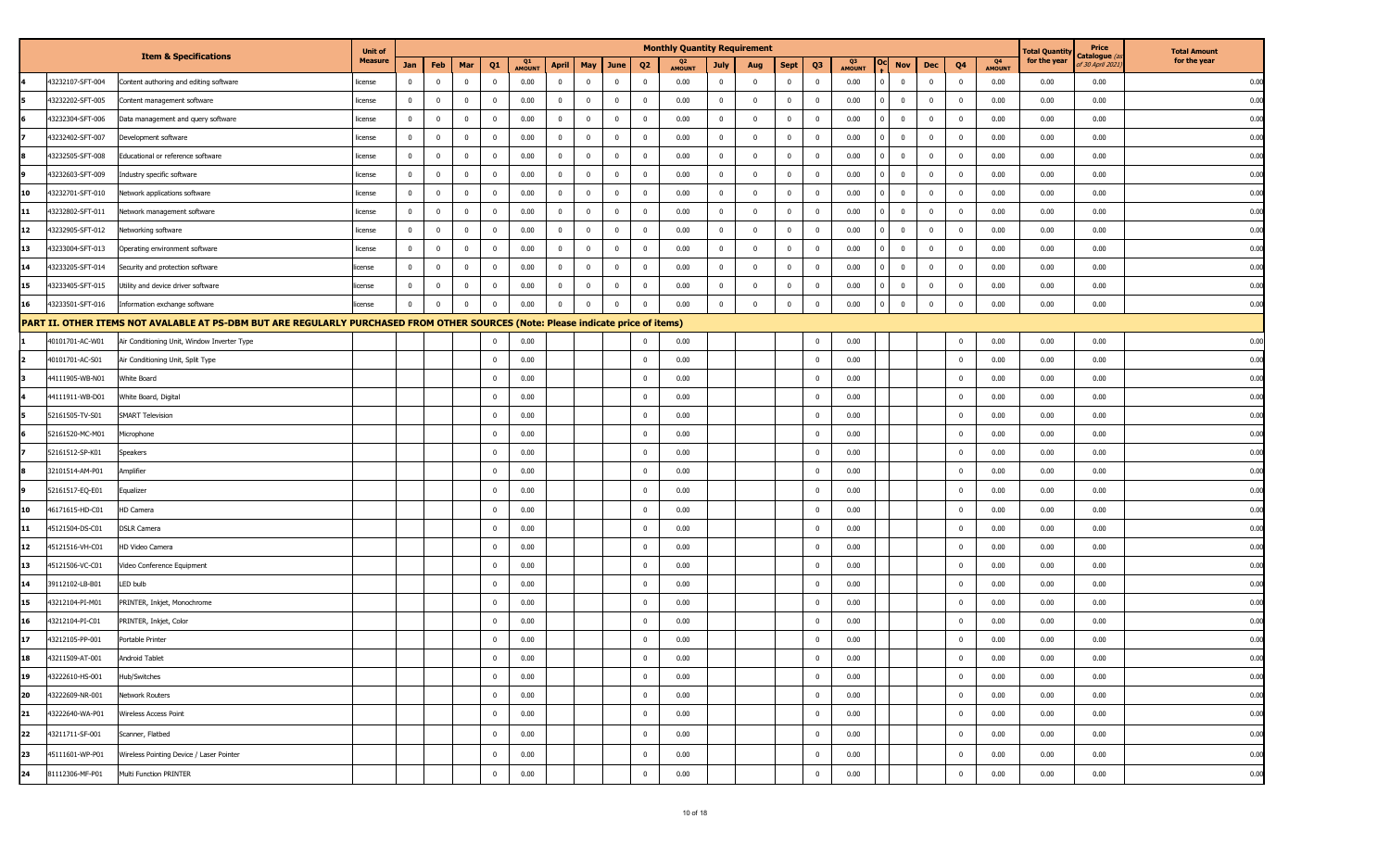|                        |                                                                                                                                   | <b>Unit of</b> |                |                |                |                         |                     |                |              |                |                         | <b>Monthly Quantity Requirement</b> |                |                |              |                |              |                         |              |                         |                                 | <b>Fotal Quantity</b> | Price                                  | <b>Total Amount</b> |
|------------------------|-----------------------------------------------------------------------------------------------------------------------------------|----------------|----------------|----------------|----------------|-------------------------|---------------------|----------------|--------------|----------------|-------------------------|-------------------------------------|----------------|----------------|--------------|----------------|--------------|-------------------------|--------------|-------------------------|---------------------------------|-----------------------|----------------------------------------|---------------------|
|                        | <b>Item &amp; Specifications</b>                                                                                                  | <b>Measure</b> | Jan            | Feb            | Mar            | Q <sub>1</sub>          | Q1<br><b>AMOUNT</b> | <b>April</b>   | May          | <b>June</b>    | Q <sub>2</sub>          | Q2<br><b>AMOUNT</b>                 | <b>July</b>    | Aug            | <b>Sept</b>  | Q <sub>3</sub> | Q3<br>AMOUNT | Nov                     | Dec          | Q <sub>4</sub>          | Q <sub>4</sub><br><b>AMOUNT</b> | for the year          | Catalogue <i>(a</i><br>f 30 April 2021 | for the year        |
| 43232107-SFT-004       | Content authoring and editing software                                                                                            | icense         | $\mathbf 0$    | $\overline{0}$ | $\bf{0}$       | $\overline{\mathbf{0}}$ | 0.00                | $\mathbf 0$    | $\mathbf{0}$ | $\overline{0}$ | $\overline{\mathbf{0}}$ | 0.00                                | $\bf{0}$       | $\mathbf{0}$   | $\bf{0}$     | $\mathbf 0$    | 0.00         | $\mathbf 0$             | $\mathbf{0}$ | $\overline{\mathbf{0}}$ | 0.00                            | 0.00                  | 0.00                                   | 0.00                |
| 43232202-SFT-005       | Content management software                                                                                                       | icense         | $\bf{0}$       | $\overline{0}$ | $\overline{0}$ | $\overline{\mathbf{0}}$ | 0.00                | $\overline{0}$ | $\bf{0}$     | $\overline{0}$ | $\overline{\mathbf{0}}$ | 0.00                                | $\overline{0}$ | $\bf{0}$       | $\bf{0}$     | $\bf{0}$       | 0.00         | $\bf{0}$                | $\bf{0}$     | $\overline{\mathbf{0}}$ | 0.00                            | 0.00                  | 0.00                                   | 0.00                |
| 43232304-SFT-006       | Data management and query software                                                                                                | icense         | $\overline{0}$ | $\overline{0}$ | $\overline{0}$ | $\overline{\mathbf{0}}$ | 0.00                | $\mathbf 0$    | $\mathbf{0}$ | $\bf{0}$       | $\overline{\mathbf{0}}$ | 0.00                                | $\overline{0}$ | $\overline{0}$ | $\bf{0}$     | $\bf{0}$       | 0.00         | $\overline{0}$          | $\bf{0}$     | $\mathbf 0$             | 0.00                            | 0.00                  | 0.00                                   | 0.00                |
| 43232402-SFT-007       | Development software                                                                                                              | icense         | $\bf{0}$       | $\mathbf 0$    | $\bf{0}$       | $\overline{\mathbf{0}}$ | 0.00                | $\overline{0}$ | $\mathbf 0$  | $\bf{0}$       | $\overline{\mathbf{0}}$ | 0.00                                | $\overline{0}$ | $\overline{0}$ | $\bf{0}$     | $\bf{0}$       | 0.00         | $\overline{0}$          | $\bf{0}$     | $\overline{0}$          | 0.00                            | 0.00                  | 0.00                                   | 0.00                |
| 43232505-SFT-008       | Educational or reference software                                                                                                 | icense         | $\mathbf{0}$   | $\overline{0}$ | $\bf{0}$       | $\overline{\mathbf{0}}$ | 0.00                | $\mathbf 0$    | $\mathbf 0$  | $\bf{0}$       | $\overline{\mathbf{0}}$ | 0.00                                | $\mathbf 0$    | $\mathbf 0$    | $\mathbf 0$  | $\mathbf 0$    | 0.00         | $\bf{0}$                | $\bf{0}$     | $\mathbf 0$             | 0.00                            | 0.00                  | 0.00                                   | 0.00                |
| 43232603-SFT-009       | Industry specific software                                                                                                        | icense         | $\bf{0}$       | $\overline{0}$ | $\overline{0}$ | $\overline{\mathbf{0}}$ | 0.00                | $\mathbf 0$    | $\bf{0}$     | $\overline{0}$ | $\overline{\mathbf{0}}$ | 0.00                                | $\overline{0}$ | $\overline{0}$ | $\bf{0}$     | $\bf{0}$       | 0.00         | $\bf{0}$                | $\bf{0}$     | $\overline{\mathbf{0}}$ | 0.00                            | 0.00                  | 0.00                                   | 0.00                |
| 10<br>43232701-SFT-010 | Network applications software                                                                                                     | icense         | $\overline{0}$ | $\overline{0}$ | $\mathbf{0}$   | $\overline{\mathbf{0}}$ | 0.00                | $\mathbf 0$    | $\mathbf 0$  | $\bf{0}$       | $\overline{\mathbf{0}}$ | 0.00                                | $\mathbf{0}$   | $\overline{0}$ | $\mathbf 0$  | $\bf{0}$       | 0.00         | $\mathbf 0$             | $\bf{0}$     | $\mathbf 0$             | 0.00                            | 0.00                  | 0.00                                   | 0.00                |
| 13232802-SFT-011<br>11 | Network management software                                                                                                       | icense         | $\bf{0}$       | $\overline{0}$ | $\bf{0}$       | $\overline{\mathbf{0}}$ | 0.00                | $\overline{0}$ | $\bf{0}$     | $\bf{0}$       | $\overline{\mathbf{0}}$ | 0.00                                | $\bf{0}$       | $\mathbf{0}$   | $\bf{0}$     | $\bf{0}$       | 0.00         | $\overline{0}$          | $\bf{0}$     | $\overline{0}$          | 0.00                            | 0.00                  | 0.00                                   | 0.00                |
| 12<br>13232905-SFT-012 | Networking software                                                                                                               | icense         | $\bf{0}$       | $\overline{0}$ | $\bf{0}$       | $\overline{\mathbf{0}}$ | 0.00                | $\mathbf 0$    | $\mathbf 0$  | $\bf{0}$       | $\overline{\mathbf{0}}$ | 0.00                                | $\overline{0}$ | $\Omega$       | $\mathbf 0$  | $^{\circ}$     | 0.00         | $\mathbf 0$             | $\mathbf 0$  | $\mathbf 0$             | 0.00                            | 0.00                  | 0.00                                   | 0.00                |
| 13<br>43233004-SFT-013 | Operating environment software                                                                                                    | icense         | $\bf{0}$       | $\overline{0}$ | $\overline{0}$ | $\overline{\mathbf{0}}$ | 0.00                | $\mathbf 0$    | $\bf{0}$     | $\bf{0}$       | $\overline{\mathbf{0}}$ | 0.00                                | $\overline{0}$ | $\mathbf 0$    | $\bf{0}$     | $\bf{0}$       | 0.00         | $\overline{0}$          | $\bf{0}$     | $\mathbf 0$             | 0.00                            | 0.00                  | 0.00                                   | 0.00                |
| 14<br>43233205-SFT-014 | Security and protection software                                                                                                  | cense          | $\bf{0}$       | $\overline{0}$ | $\mathbf{0}$   | $\overline{\mathbf{0}}$ | 0.00                | $\mathbf 0$    | $\mathbf{0}$ | $\bf{0}$       | $\overline{\mathbf{0}}$ | 0.00                                | $\mathbf 0$    | $\mathbf{0}$   | $\mathbf 0$  | $\mathbf 0$    | 0.00         | $\mathbf 0$             | $\mathbf 0$  | $\mathbf 0$             | 0.00                            | 0.00                  | 0.00                                   | 0.00                |
| 13233405-SFT-015<br>15 | Utility and device driver software                                                                                                | cense          | $\mathbf 0$    | $\mathbf 0$    | $\bf{0}$       | $\overline{\mathbf{0}}$ | 0.00                | $\mathbf 0$    | $\mathbf 0$  | $\bf{0}$       | $\overline{\mathbf{0}}$ | 0.00                                | $\bf{0}$       | $\mathbf{0}$   | $\mathbf{0}$ | $^{\circ}$     | 0.00         | $\mathbf 0$             | 0            | $\mathbf{0}$            | 0.00                            | 0.00                  | 0.00                                   | 0.00                |
| 43233501-SFT-016<br>16 | Information exchange software                                                                                                     | cense          | $\bf{0}$       | $\mathbf 0$    | $\overline{0}$ | $\overline{\mathbf{0}}$ | 0.00                | $\mathbf 0$    | $\mathbf 0$  | $\overline{0}$ | $\overline{\mathbf{0}}$ | 0.00                                | $\mathbf 0$    | $\Omega$       | $\mathbf 0$  | $\bf{0}$       | 0.00         | $\overline{\mathbf{0}}$ | $\mathbf{0}$ | $\overline{0}$          | 0.00                            | 0.00                  | 0.00                                   | 0.00                |
|                        | PART II. OTHER ITEMS NOT AVALABLE AT PS-DBM BUT ARE REGULARLY PURCHASED FROM OTHER SOURCES (Note: Please indicate price of items) |                |                |                |                |                         |                     |                |              |                |                         |                                     |                |                |              |                |              |                         |              |                         |                                 |                       |                                        |                     |
| 40101701-AC-W01        | Air Conditioning Unit, Window Inverter Type                                                                                       |                |                |                |                | $\overline{0}$          | 0.00                |                |              |                | $\overline{\mathbf{0}}$ | 0.00                                |                |                |              | $\mathbf 0$    | 0.00         |                         |              | $\mathbf 0$             | 0.00                            | 0.00                  | 0.00                                   | 0.00                |
| 40101701-AC-S01        | Air Conditioning Unit, Split Type                                                                                                 |                |                |                |                | $\overline{\mathbf{0}}$ | 0.00                |                |              |                | $\overline{\mathbf{0}}$ | 0.00                                |                |                |              | $\mathbf 0$    | 0.00         |                         |              | $\mathbf{0}$            | 0.00                            | 0.00                  | 0.00                                   | 0.00                |
| 44111905-WB-N01        | White Board                                                                                                                       |                |                |                |                | $\overline{\mathbf{0}}$ | 0.00                |                |              |                | $\overline{\mathbf{0}}$ | 0.00                                |                |                |              | $^{\circ}$     | 0.00         |                         |              | $\overline{0}$          | 0.00                            | 0.00                  | 0.00                                   | 0.00                |
| 44111911-WB-D01        | White Board, Digital                                                                                                              |                |                |                |                | $\overline{\mathbf{0}}$ | 0.00                |                |              |                | $\overline{0}$          | 0.00                                |                |                |              |                | 0.00         |                         |              | $\overline{0}$          | 0.00                            | 0.00                  | 0.00                                   | 0.00                |
| 52161505-TV-S01        | <b>SMART Television</b>                                                                                                           |                |                |                |                | $\overline{\mathbf{0}}$ | 0.00                |                |              |                | $\overline{\mathbf{0}}$ | 0.00                                |                |                |              | $\mathbf 0$    | 0.00         |                         |              | $\mathbf 0$             | 0.00                            | 0.00                  | 0.00                                   | 0.00                |
| 52161520-MC-M01        | Microphone                                                                                                                        |                |                |                |                | $\overline{\mathbf{0}}$ | 0.00                |                |              |                | $\overline{\mathbf{0}}$ | 0.00                                |                |                |              | $\mathbf 0$    | 0.00         |                         |              | $\overline{0}$          | 0.00                            | 0.00                  | 0.00                                   | 0.00                |
| 52161512-SP-K01        | Speakers                                                                                                                          |                |                |                |                | $\overline{\mathbf{0}}$ | 0.00                |                |              |                | $\overline{\mathbf{0}}$ | 0.00                                |                |                |              | $^{\circ}$     | 0.00         |                         |              | $\overline{0}$          | 0.00                            | 0.00                  | 0.00                                   | 0.00                |
| 32101514-AM-P01        | Amplifier                                                                                                                         |                |                |                |                | $\overline{\mathbf{0}}$ | 0.00                |                |              |                | $\overline{\mathbf{0}}$ | 0.00                                |                |                |              | $\Omega$       | 0.00         |                         |              | $\mathbf 0$             | 0.00                            | 0.00                  | 0.00                                   | 0.00                |
| 52161517-EQ-E01        | Equalizer                                                                                                                         |                |                |                |                | $\overline{\mathbf{0}}$ | 0.00                |                |              |                | $\overline{\mathbf{0}}$ | 0.00                                |                |                |              | $^{\circ}$     | 0.00         |                         |              | $\overline{0}$          | 0.00                            | 0.00                  | 0.00                                   | 0.00                |
| 10<br>46171615-HD-C01  | HD Camera                                                                                                                         |                |                |                |                | $\overline{\mathbf{0}}$ | 0.00                |                |              |                | $\overline{\mathbf{0}}$ | 0.00                                |                |                |              | 0              | 0.00         |                         |              | $\overline{0}$          | 0.00                            | 0.00                  | 0.00                                   | 0.00                |
| 45121504-DS-C01<br>11  | <b>DSLR Camera</b>                                                                                                                |                |                |                |                | $\overline{\mathbf{0}}$ | 0.00                |                |              |                | $\overline{\mathbf{0}}$ | 0.00                                |                |                |              | $\Omega$       | 0.00         |                         |              | $\overline{0}$          | 0.00                            | 0.00                  | 0.00                                   | 0.00                |
| 12<br>45121516-VH-C01  | HD Video Camera                                                                                                                   |                |                |                |                | $\overline{\mathbf{0}}$ | 0.00                |                |              |                | $\overline{\mathbf{0}}$ | 0.00                                |                |                |              | $\mathbf 0$    | 0.00         |                         |              | $\overline{0}$          | 0.00                            | 0.00                  | 0.00                                   | 0.00                |
| 13<br>45121506-VC-C01  | Video Conference Equipment                                                                                                        |                |                |                |                | $\overline{\mathbf{0}}$ | 0.00                |                |              |                | $\overline{\mathbf{0}}$ | 0.00                                |                |                |              | $^{\circ}$     | 0.00         |                         |              | $\overline{0}$          | 0.00                            | 0.00                  | 0.00                                   | 0.00                |
| 39112102-LB-B01<br>14  | LED bulb                                                                                                                          |                |                |                |                | $\overline{\mathbf{0}}$ | 0.00                |                |              |                | $\overline{\mathbf{0}}$ | 0.00                                |                |                |              | 0              | 0.00         |                         |              | $\overline{0}$          | 0.00                            | 0.00                  | 0.00                                   | 0.00                |
| 43212104-PI-M01<br>15  | PRINTER, Inkjet, Monochrome                                                                                                       |                |                |                |                | $\overline{\mathbf{0}}$ | 0.00                |                |              |                | $\overline{\mathbf{0}}$ | 0.00                                |                |                |              | $\Omega$       | 0.00         |                         |              | $\overline{0}$          | 0.00                            | 0.00                  | 0.00                                   | 0.00                |
| 43212104-PI-C01<br>16  | PRINTER, Inkjet, Color                                                                                                            |                |                |                |                | $\overline{\mathbf{0}}$ | 0.00                |                |              |                | $\overline{\mathbf{0}}$ | 0.00                                |                |                |              | $^{\circ}$     | 0.00         |                         |              | $\mathbf 0$             | 0.00                            | 0.00                  | 0.00                                   | 0.00                |
| 17<br>43212105-PP-001  | Portable Printer                                                                                                                  |                |                |                |                | $\overline{\mathbf{0}}$ | 0.00                |                |              |                | $\overline{\mathbf{0}}$ | 0.00                                |                |                |              | $^{\circ}$     | 0.00         |                         |              | $\mathbf 0$             | 0.00                            | 0.00                  | 0.00                                   | 0.00                |
| 18<br>43211509-AT-001  | Android Tablet                                                                                                                    |                |                |                |                | $\mathbf 0$             | 0.00                |                |              |                | 0                       | 0.00                                |                |                |              | 0              | 0.00         |                         |              | $\mathbf 0$             | 0.00                            | 0.00                  | 0.00                                   | 0.00                |
| 43222610-HS-001<br>19  | Hub/Switches                                                                                                                      |                |                |                |                | $\overline{0}$          | 0.00                |                |              |                | $\overline{\mathbf{0}}$ | 0.00                                |                |                |              | $\mathbf{0}$   | 0.00         |                         |              | $\bf{0}$                | 0.00                            | 0.00                  | 0.00                                   | 0.00                |
| 20<br>43222609-NR-001  | Network Routers                                                                                                                   |                |                |                |                | $\overline{\mathbf{0}}$ | 0.00                |                |              |                | $\overline{\mathbf{0}}$ | 0.00                                |                |                |              | $\bf{0}$       | 0.00         |                         |              | $\mathbf 0$             | 0.00                            | 0.00                  | 0.00                                   | 0.00                |
| 43222640-WA-P01<br>21  | Wireless Access Point                                                                                                             |                |                |                |                | $\overline{\mathbf{0}}$ | 0.00                |                |              |                | $\overline{\mathbf{0}}$ | 0.00                                |                |                |              | $\bf{0}$       | 0.00         |                         |              | $\overline{0}$          | 0.00                            | 0.00                  | 0.00                                   | 0.00                |
| 22<br>43211711-SF-001  | Scanner, Flatbed                                                                                                                  |                |                |                |                | $\overline{0}$          | 0.00                |                |              |                | $\overline{\mathbf{0}}$ | 0.00                                |                |                |              | $\mathbf 0$    | 0.00         |                         |              | $\overline{0}$          | 0.00                            | 0.00                  | 0.00                                   | 0.00                |
| 23<br>45111601-WP-P01  | Wireless Pointing Device / Laser Pointer                                                                                          |                |                |                |                | $\overline{\mathbf{0}}$ | 0.00                |                |              |                | $\overline{\mathbf{0}}$ | 0.00                                |                |                |              | $\bf{0}$       | 0.00         |                         |              | $\overline{0}$          | 0.00                            | 0.00                  | 0.00                                   | 0.00                |
| 24<br>81112306-MF-P01  | Multi Function PRINTER                                                                                                            |                |                |                |                | $\overline{0}$          | 0.00                |                |              |                | $\overline{\mathbf{0}}$ | 0.00                                |                |                |              | $\bf{0}$       | 0.00         |                         |              | $\overline{\mathbf{0}}$ | 0.00                            | 0.00                  | 0.00                                   | 0.00                |
|                        |                                                                                                                                   |                |                |                |                |                         |                     |                |              |                |                         |                                     |                |                |              |                |              |                         |              |                         |                                 |                       |                                        |                     |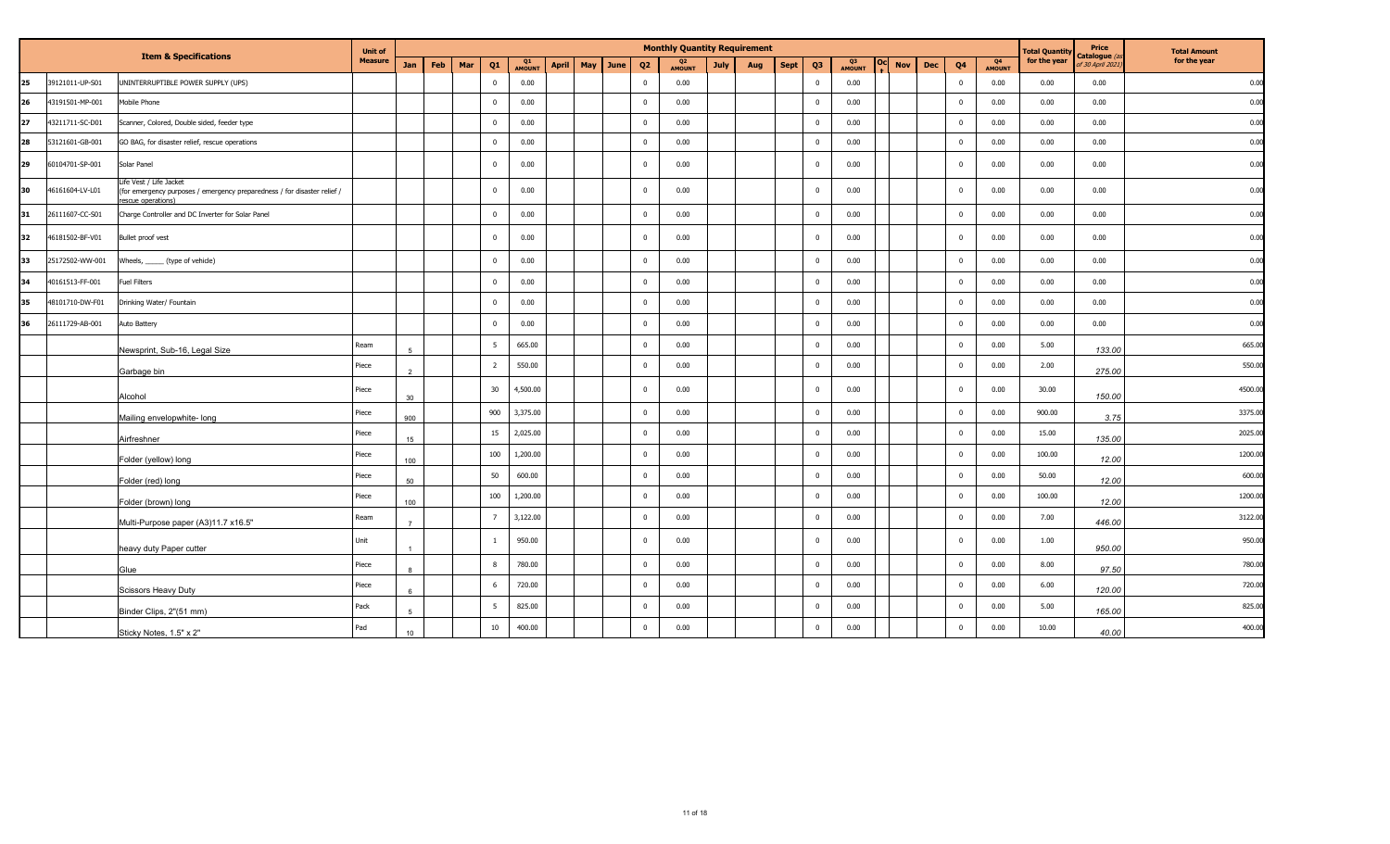|     |                 | <b>Item &amp; Specifications</b>                                                                                         | <b>Unit of</b> |                |     |     |                |              |              |     |      |                | <b>Monthly Quantity Requirement</b> |             |     |      |                |                     |        |            |            |                |              | <b>Total Quantit</b> | Price<br>Catalogue | <b>Total Amount</b> |
|-----|-----------------|--------------------------------------------------------------------------------------------------------------------------|----------------|----------------|-----|-----|----------------|--------------|--------------|-----|------|----------------|-------------------------------------|-------------|-----|------|----------------|---------------------|--------|------------|------------|----------------|--------------|----------------------|--------------------|---------------------|
|     |                 |                                                                                                                          | <b>Measure</b> | Jan            | Feb | Mar | Q1             | Q1<br>AMOUNT | <b>April</b> | May | June | Q <sub>2</sub> | Q <sub>2</sub><br><b>AMOUNT</b>     | <b>July</b> | Aug | Sept | Q <sub>3</sub> | Q3<br><b>AMOUNT</b> | $-0CP$ | <b>Nov</b> | <b>Dec</b> | Q <sub>4</sub> | Q4<br>AMOUNT | for the year         | f 30 April 2021    | for the year        |
| 125 | 39121011-UP-S01 | UNINTERRUPTIBLE POWER SUPPLY (UPS)                                                                                       |                |                |     |     | $\Omega$       | 0.00         |              |     |      | $\overline{0}$ | 0.00                                |             |     |      | $\mathbf 0$    | 0.00                |        |            |            | $\mathbf 0$    | 0.00         | 0.00                 | 0.00               | 0.00                |
| 26  | 43191501-MP-001 | Mobile Phone                                                                                                             |                |                |     |     | $\Omega$       | 0.00         |              |     |      | $\mathbf 0$    | 0.00                                |             |     |      | $\mathbf 0$    | 0.00                |        |            |            | $\mathbf 0$    | 0.00         | 0.00                 | 0.00               | 0.00                |
| 127 | 43211711-SC-D01 | Scanner, Colored, Double sided, feeder type                                                                              |                |                |     |     | $\Omega$       | 0.00         |              |     |      | $\overline{0}$ | 0.00                                |             |     |      | $\mathbf 0$    | 0.00                |        |            |            | $\mathbf 0$    | 0.00         | 0.00                 | 0.00               | 0.00                |
| 28  | 53121601-GB-001 | GO BAG, for disaster relief, rescue operations                                                                           |                |                |     |     | $\Omega$       | 0.00         |              |     |      | $\overline{0}$ | 0.00                                |             |     |      | $\mathbf 0$    | 0.00                |        |            |            | $\overline{0}$ | 0.00         | 0.00                 | 0.00               | 0.00                |
| l29 | 60104701-SP-001 | Solar Panel                                                                                                              |                |                |     |     | $\Omega$       | 0.00         |              |     |      | $\overline{0}$ | 0.00                                |             |     |      | $\mathbf 0$    | 0.00                |        |            |            | $\mathbf 0$    | 0.00         | 0.00                 | 0.00               | 0.00                |
| 30  | 46161604-LV-L01 | Life Vest / Life Jacket<br>(for emergency purposes / emergency preparedness / for disaster relief /<br>escue operations) |                |                |     |     | $\Omega$       | 0.00         |              |     |      | $\overline{0}$ | 0.00                                |             |     |      | $\bf{0}$       | 0.00                |        |            |            | $\overline{0}$ | 0.00         | 0.00                 | 0.00               | 0.00                |
| 31  | 26111607-CC-S01 | Charge Controller and DC Inverter for Solar Panel                                                                        |                |                |     |     | $\mathbf{0}$   | 0.00         |              |     |      | $\overline{0}$ | 0.00                                |             |     |      | $\mathbf 0$    | 0.00                |        |            |            | $\mathbf 0$    | 0.00         | 0.00                 | 0.00               | 0.00                |
| 32  | 46181502-BF-V01 | Bullet proof vest                                                                                                        |                |                |     |     | $\Omega$       | 0.00         |              |     |      | $\overline{0}$ | 0.00                                |             |     |      | $\mathbf 0$    | 0.00                |        |            |            | $\mathbf 0$    | 0.00         | 0.00                 | 0.00               | 0.00                |
| 133 | 25172502-WW-001 | Wheels, ______ (type of vehicle)                                                                                         |                |                |     |     | $\mathbf{0}$   | 0.00         |              |     |      | $\overline{0}$ | 0.00                                |             |     |      | $\mathbf 0$    | 0.00                |        |            |            | $\mathbf 0$    | 0.00         | 0.00                 | 0.00               | 0.00                |
| 34  | 40161513-FF-001 | Fuel Filters                                                                                                             |                |                |     |     | $\mathbf{0}$   | 0.00         |              |     |      | $\overline{0}$ | 0.00                                |             |     |      | $\mathbf 0$    | 0.00                |        |            |            | $\mathbf 0$    | 0.00         | 0.00                 | 0.00               | 0.00                |
| 35  | 48101710-DW-F01 | Drinking Water/ Fountain                                                                                                 |                |                |     |     | $\Omega$       | 0.00         |              |     |      | $\overline{0}$ | 0.00                                |             |     |      | $\mathbf 0$    | 0.00                |        |            |            | $\mathbf 0$    | 0.00         | 0.00                 | 0.00               | 0.00                |
| 36  | 26111729-AB-001 | Auto Battery                                                                                                             |                |                |     |     | $\Omega$       | 0.00         |              |     |      | $\overline{0}$ | 0.00                                |             |     |      | $\mathbf 0$    | 0.00                |        |            |            | $\mathbf 0$    | 0.00         | 0.00                 | 0.00               | 0.00                |
|     |                 | Newsprint, Sub-16, Legal Size                                                                                            | Ream           | 5              |     |     | -5             | 665.00       |              |     |      | $\overline{0}$ | 0.00                                |             |     |      | $\mathbf 0$    | 0.00                |        |            |            | $\mathbf 0$    | 0.00         | 5.00                 | 133.00             | 665.00              |
|     |                 | Garbage bin                                                                                                              | Piece          |                |     |     | $\overline{2}$ | 550.00       |              |     |      | $\overline{0}$ | 0.00                                |             |     |      | $\mathbf 0$    | 0.00                |        |            |            | $\mathbf 0$    | 0.00         | 2.00                 | 275.00             | 550.00              |
|     |                 | Alcohol                                                                                                                  | Piece          | 30             |     |     | 30             | 4,500.00     |              |     |      | $\overline{0}$ | 0.00                                |             |     |      | $\mathbf 0$    | 0.00                |        |            |            | $\mathbf 0$    | 0.00         | 30.00                | 150.00             | 4500.00             |
|     |                 | Mailing envelopwhite- long                                                                                               | Piece          | 900            |     |     | 900            | 3,375.00     |              |     |      | $\overline{0}$ | 0.00                                |             |     |      | $\mathbf 0$    | 0.00                |        |            |            | $\mathbf 0$    | 0.00         | 900.00               | 3.75               | 3375.00             |
|     |                 | Airfreshner                                                                                                              | Piece          | 15             |     |     | 15             | 2,025.00     |              |     |      | $\overline{0}$ | 0.00                                |             |     |      | $\mathbf 0$    | 0.00                |        |            |            | $\mathbf 0$    | 0.00         | 15.00                | 135.00             | 2025.00             |
|     |                 | Folder (yellow) long                                                                                                     | Piece          | 100            |     |     | 100            | 1,200.00     |              |     |      | $\overline{0}$ | 0.00                                |             |     |      | $\mathbf 0$    | 0.00                |        |            |            | $\mathbf 0$    | 0.00         | 100.00               | 12.00              | 1200.00             |
|     |                 | Folder (red) long                                                                                                        | Piece          | 50             |     |     | 50             | 600.00       |              |     |      | $\overline{0}$ | 0.00                                |             |     |      | $\mathbf 0$    | 0.00                |        |            |            | $\mathbf 0$    | 0.00         | 50.00                | 12.00              | 600.00              |
|     |                 | Folder (brown) long                                                                                                      | Piece          | 100            |     |     | 100            | 1,200.00     |              |     |      | $\overline{0}$ | 0.00                                |             |     |      | $\mathbf 0$    | 0.00                |        |            |            | $\mathbf 0$    | 0.00         | 100.00               | 12.00              | 1200.00             |
|     |                 | Multi-Purpose paper (A3)11.7 x16.5"                                                                                      | Ream           | $\overline{7}$ |     |     |                | 3,122.00     |              |     |      | $\overline{0}$ | 0.00                                |             |     |      | $\mathbf 0$    | 0.00                |        |            |            | $\mathbf 0$    | 0.00         | 7.00                 | 446.00             | 3122.00             |
|     |                 | heavy duty Paper cutter                                                                                                  | Unit           |                |     |     |                | 950.00       |              |     |      | $\mathbf 0$    | 0.00                                |             |     |      | $\mathbf 0$    | 0.00                |        |            |            | $\mathbf 0$    | 0.00         | 1.00                 | 950.00             | 950.0               |
|     |                 | Glue                                                                                                                     | Piece          |                |     |     | 8              | 780.00       |              |     |      | $\overline{0}$ | 0.00                                |             |     |      | $\mathbf 0$    | 0.00                |        |            |            | $\mathbf 0$    | 0.00         | 8.00                 | 97.50              | 780.00              |
|     |                 | <b>Scissors Heavy Duty</b>                                                                                               | Piece          |                |     |     |                | 720.00       |              |     |      | $\overline{0}$ | 0.00                                |             |     |      | $\mathbf 0$    | 0.00                |        |            |            | $\mathbf 0$    | 0.00         | 6.00                 | 120.00             | 720.00              |
|     |                 | Binder Clips, 2"(51 mm)                                                                                                  | Pack           |                |     |     | -5             | 825.00       |              |     |      | $\overline{0}$ | 0.00                                |             |     |      | $\mathbf 0$    | 0.00                |        |            |            | $\mathbf 0$    | 0.00         | 5.00                 | 165.00             | 825.00              |
|     |                 | Sticky Notes, 1.5" x 2"                                                                                                  | Pad            | 10             |     |     | $10\,$         | 400.00       |              |     |      | $\overline{0}$ | 0.00                                |             |     |      | $\mathbf 0$    | 0.00                |        |            |            | $\overline{0}$ | 0.00         | 10.00                | 40.00              | 400.00              |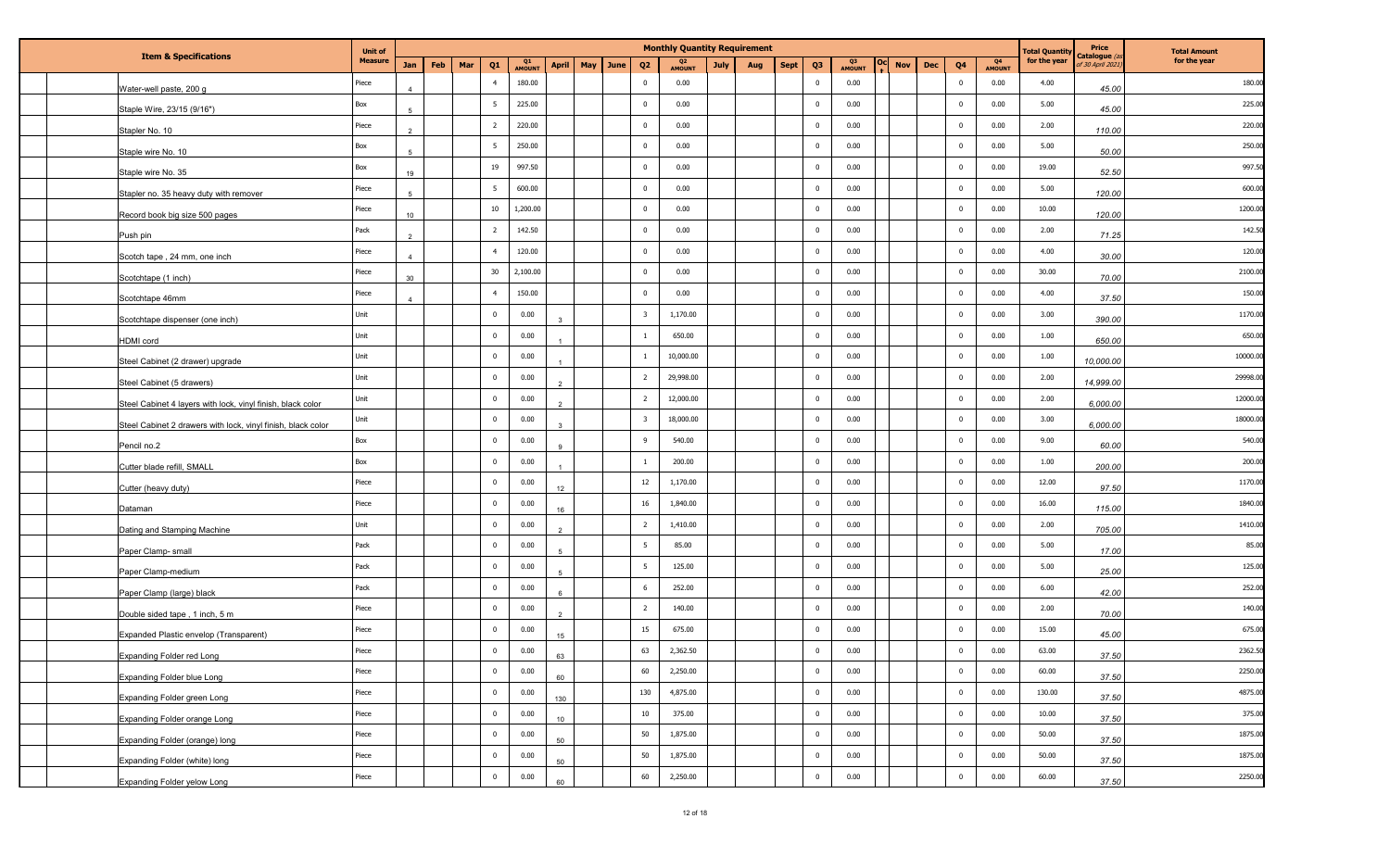| <b>Item &amp; Specifications</b>                             | <b>Unit of</b> |                |     |     |                         |                          |              |     |      |                         | <b>Monthly Quantity Requirement</b> |      |     |             |                |                          |                          |                |                                 | <b>Fotal Quantit</b> | <b>Price</b><br>Catalogue <i>(</i> | <b>Total Amount</b> |
|--------------------------------------------------------------|----------------|----------------|-----|-----|-------------------------|--------------------------|--------------|-----|------|-------------------------|-------------------------------------|------|-----|-------------|----------------|--------------------------|--------------------------|----------------|---------------------------------|----------------------|------------------------------------|---------------------|
|                                                              | <b>Measure</b> | Jan            | Feb | Mar | Q <sub>1</sub>          | Q <sub>1</sub><br>AMOUNT | <b>April</b> | May | June | Q <sub>2</sub>          | Q <sub>2</sub><br>AMOUNT            | July | Aug | <b>Sept</b> | Q <sub>3</sub> | Q <sub>3</sub><br>AMOUNT | <b>Nov</b><br><b>Dec</b> | Q <sub>4</sub> | Q <sub>4</sub><br><b>AMOUNT</b> | for the year         | f 30 April 202.                    | for the year        |
| Water-well paste, 200 g                                      | Piece          |                |     |     | $\overline{4}$          | 180.00                   |              |     |      | $\mathbf 0$             | 0.00                                |      |     |             | $\mathbf 0$    | 0.00                     |                          | $\mathbf{0}$   | 0.00                            | 4.00                 | 45.00                              | 180.00              |
| Staple Wire, 23/15 (9/16")                                   | Box            |                |     |     | $5\overline{5}$         | 225.00                   |              |     |      | $\mathbf 0$             | 0.00                                |      |     |             | $\mathbf 0$    | 0.00                     |                          | $\mathbf 0$    | 0.00                            | 5.00                 | 45.00                              | 225.00              |
| Stapler No. 10                                               | Piece          |                |     |     | $\overline{2}$          | 220.00                   |              |     |      | $\overline{0}$          | 0.00                                |      |     |             | $\mathbf 0$    | 0.00                     |                          | $\overline{0}$ | 0.00                            | 2.00                 | 110.00                             | 220.00              |
| Staple wire No. 10                                           | Box            | -5             |     |     | $5\overline{5}$         | 250.00                   |              |     |      | $\mathbf 0$             | 0.00                                |      |     |             | $\bf{0}$       | 0.00                     |                          | $\overline{0}$ | 0.00                            | 5.00                 | 50.00                              | 250.00              |
| Staple wire No. 35                                           | Box            | 19             |     |     | 19                      | 997.50                   |              |     |      | $\overline{\mathbf{0}}$ | 0.00                                |      |     |             | $\mathbf 0$    | 0.00                     |                          | $\overline{0}$ | 0.00                            | 19.00                | 52.50                              | 997.50              |
| Stapler no. 35 heavy duty with remover                       | Piece          |                |     |     | $5\overline{5}$         | 600.00                   |              |     |      | $\mathbf 0$             | 0.00                                |      |     |             | $\mathbf 0$    | 0.00                     |                          | $\mathbf 0$    | 0.00                            | 5.00                 | 120.00                             | 600.0               |
| Record book big size 500 pages                               | Piece          | 10             |     |     | 10                      | 1,200.00                 |              |     |      | $\overline{\mathbf{0}}$ | 0.00                                |      |     |             | $\mathbf 0$    | 0.00                     |                          | $\mathbf 0$    | 0.00                            | 10.00                | 120.00                             | 1200.0              |
| Push pin                                                     | Pack           |                |     |     | $\overline{2}$          | 142.50                   |              |     |      | $\overline{0}$          | 0.00                                |      |     |             | $\pmb{0}$      | 0.00                     |                          | $\mathbf 0$    | 0.00                            | 2.00                 | 71.25                              | 142.50              |
| Scotch tape, 24 mm, one inch                                 | Piece          | 4              |     |     | $\overline{4}$          | 120.00                   |              |     |      | $\mathbf 0$             | 0.00                                |      |     |             | $\bf{0}$       | 0.00                     |                          | $\overline{0}$ | 0.00                            | 4.00                 | 30.00                              | 120.0               |
| Scotchtape (1 inch)                                          | Piece          | 30             |     |     | 30                      | 2,100.00                 |              |     |      | $\mathbf 0$             | 0.00                                |      |     |             | $\mathbf 0$    | 0.00                     |                          | $\overline{0}$ | 0.00                            | 30.00                | 70.00                              | 2100.0              |
| Scotchtape 46mm                                              | Piece          | $\overline{a}$ |     |     | $\overline{4}$          | 150.00                   |              |     |      | $\overline{0}$          | 0.00                                |      |     |             | $\mathbf 0$    | 0.00                     |                          | $\overline{0}$ | 0.00                            | 4.00                 | 37.50                              | 150.00              |
| Scotchtape dispenser (one inch)                              | Unit           |                |     |     | $\mathbf 0$             | 0.00                     |              |     |      | $\overline{\mathbf{3}}$ | 1,170.00                            |      |     |             | $\mathbf 0$    | 0.00                     |                          | $\mathbf 0$    | 0.00                            | 3.00                 | 390.00                             | 1170.0              |
| <b>HDMI</b> cord                                             | Unit           |                |     |     | $\overline{\mathbf{0}}$ | 0.00                     |              |     |      | -1                      | 650.00                              |      |     |             | $\bf{0}$       | 0.00                     |                          | $\overline{0}$ | 0.00                            | 1.00                 | 650.00                             | 650.00              |
| Steel Cabinet (2 drawer) upgrade                             | Unit           |                |     |     | $\overline{\mathbf{0}}$ | 0.00                     |              |     |      |                         | 10,000.00                           |      |     |             | $\bf{0}$       | 0.00                     |                          | $\mathbf 0$    | 0.00                            | 1.00                 | 10,000.00                          | 10000.0             |
| Steel Cabinet (5 drawers)                                    | Unit           |                |     |     | $\mathbf 0$             | 0.00                     |              |     |      | $\overline{2}$          | 29,998.00                           |      |     |             | $\mathbf 0$    | 0.00                     |                          | $\mathbf{0}$   | 0.00                            | 2.00                 | 14,999.00                          | 29998.0             |
| Steel Cabinet 4 layers with lock, vinyl finish, black color  | Unit           |                |     |     | $\mathbf 0$             | 0.00                     |              |     |      | $\overline{2}$          | 12,000.00                           |      |     |             | $\mathbf 0$    | 0.00                     |                          | $\mathbf 0$    | 0.00                            | 2.00                 | 6,000.00                           | 12000.0             |
| Steel Cabinet 2 drawers with lock, vinyl finish, black color | Unit           |                |     |     | $\mathbf 0$             | 0.00                     |              |     |      | $\overline{\mathbf{3}}$ | 18,000.00                           |      |     |             | $\bf{0}$       | 0.00                     |                          | $\overline{0}$ | 0.00                            | 3.00                 | 6,000.00                           | 18000.0             |
| Pencil no.2                                                  | Box            |                |     |     | $\overline{\mathbf{0}}$ | 0.00                     |              |     |      | 9                       | 540.00                              |      |     |             | $\mathbf 0$    | 0.00                     |                          | $\overline{0}$ | 0.00                            | 9.00                 | 60.00                              | 540.00              |
| Cutter blade refill, SMALL                                   | Box            |                |     |     | $\overline{\mathbf{0}}$ | 0.00                     |              |     |      | <sup>1</sup>            | 200.00                              |      |     |             | $\mathbf 0$    | 0.00                     |                          | $\mathbf{0}$   | 0.00                            | 1.00                 | 200.00                             | 200.00              |
| Cutter (heavy duty)                                          | Piece          |                |     |     | $\overline{\mathbf{0}}$ | 0.00                     | 12           |     |      | 12                      | 1,170.00                            |      |     |             | $\mathbf 0$    | 0.00                     |                          | $\mathbf{0}$   | 0.00                            | 12.00                | 97.50                              | 1170.0              |
| Dataman                                                      | Piece          |                |     |     | $\overline{0}$          | 0.00                     | 16           |     |      | 16                      | 1,840.00                            |      |     |             | $\mathbf 0$    | 0.00                     |                          | $\mathbf 0$    | 0.00                            | 16.00                | 115.00                             | 1840.0              |
| Dating and Stamping Machine                                  | Unit           |                |     |     | $\overline{\mathbf{0}}$ | 0.00                     |              |     |      | $\overline{2}$          | 1,410.00                            |      |     |             | $\pmb{0}$      | 0.00                     |                          | $\mathbf 0$    | 0.00                            | 2.00                 | 705.00                             | 1410.0              |
| Paper Clamp- small                                           | Pack           |                |     |     | $\mathbf 0$             | 0.00                     |              |     |      | 5                       | 85.00                               |      |     |             | $\mathbf 0$    | 0.00                     |                          | $\overline{0}$ | 0.00                            | 5.00                 | 17.00                              | 85.00               |
| Paper Clamp-medium                                           | Pack           |                |     |     | $\mathbf 0$             | 0.00                     |              |     |      | 5                       | 125.00                              |      |     |             | $\mathbf 0$    | 0.00                     |                          | $\overline{0}$ | 0.00                            | 5.00                 | 25.00                              | 125.00              |
| Paper Clamp (large) black                                    | Pack           |                |     |     | $\overline{\mathbf{0}}$ | 0.00                     |              |     |      | 6                       | 252.00                              |      |     |             | $\mathbf 0$    | 0.00                     |                          | $\mathbf 0$    | 0.00                            | 6.00                 | 42.00                              | 252.00              |
| Double sided tape, 1 inch, 5 m                               | Piece          |                |     |     | $\mathbf 0$             | 0.00                     |              |     |      | $\overline{2}$          | 140.00                              |      |     |             | $\mathbf 0$    | 0.00                     |                          | $^{\circ}$     | 0.00                            | 2.00                 | 70.00                              | 140.00              |
| Expanded Plastic envelop (Transparent)                       | Piece          |                |     |     | $\mathbf 0$             | 0.00                     | 15           |     |      | 15                      | 675.00                              |      |     |             | $\mathbf 0$    | 0.00                     |                          | $\mathbf{0}$   | 0.00                            | 15.00                | 45.00                              | 675.00              |
| <b>Expanding Folder red Long</b>                             | Piece          |                |     |     | $\mathbf 0$             | 0.00                     | 63           |     |      | 63                      | 2,362.50                            |      |     |             | $\mathbf 0$    | 0.00                     |                          | $\overline{0}$ | 0.00                            | 63.00                | 37.50                              | 2362.50             |
| Expanding Folder blue Long                                   | Piece          |                |     |     | $\mathbf 0$             | 0.00                     | 60           |     |      | 60                      | 2,250.00                            |      |     |             | $\mathbf 0$    | 0.00                     |                          | $\overline{0}$ | 0.00                            | 60.00                | 37.50                              | 2250.00             |
| Expanding Folder green Long                                  | Piece          |                |     |     | $\bf{0}$                | 0.00                     | 130          |     |      | 130                     | 4,875.00                            |      |     |             | $\mathbf 0$    | 0.00                     |                          | $\overline{0}$ | 0.00                            | 130.00               | 37.50                              | 4875.00             |
| Expanding Folder orange Long                                 | Piece          |                |     |     | $\overline{\mathbf{0}}$ | 0.00                     | 10           |     |      | $10\,$                  | 375.00                              |      |     |             | $\pmb{0}$      | 0.00                     |                          | $\overline{0}$ | 0.00                            | 10.00                | 37.50                              | 375.00              |
| Expanding Folder (orange) long                               | Piece          |                |     |     | $\overline{0}$          | 0.00                     | 50           |     |      | 50                      | 1,875.00                            |      |     |             | $\mathbf 0$    | 0.00                     |                          | $\overline{0}$ | 0.00                            | 50.00                | 37.50                              | 1875.00             |
| Expanding Folder (white) long                                | Piece          |                |     |     | $\overline{0}$          | 0.00                     | 50           |     |      | 50                      | 1,875.00                            |      |     |             | $\mathbf 0$    | 0.00                     |                          | $\bf{0}$       | 0.00                            | 50.00                | 37.50                              | 1875.00             |
| Expanding Folder yelow Long                                  | Piece          |                |     |     | $\overline{0}$          | 0.00                     | 60           |     |      | 60                      | 2,250.00                            |      |     |             | $\mathbf 0$    | 0.00                     |                          | $\overline{0}$ | 0.00                            | 60.00                | 37.50                              | 2250.00             |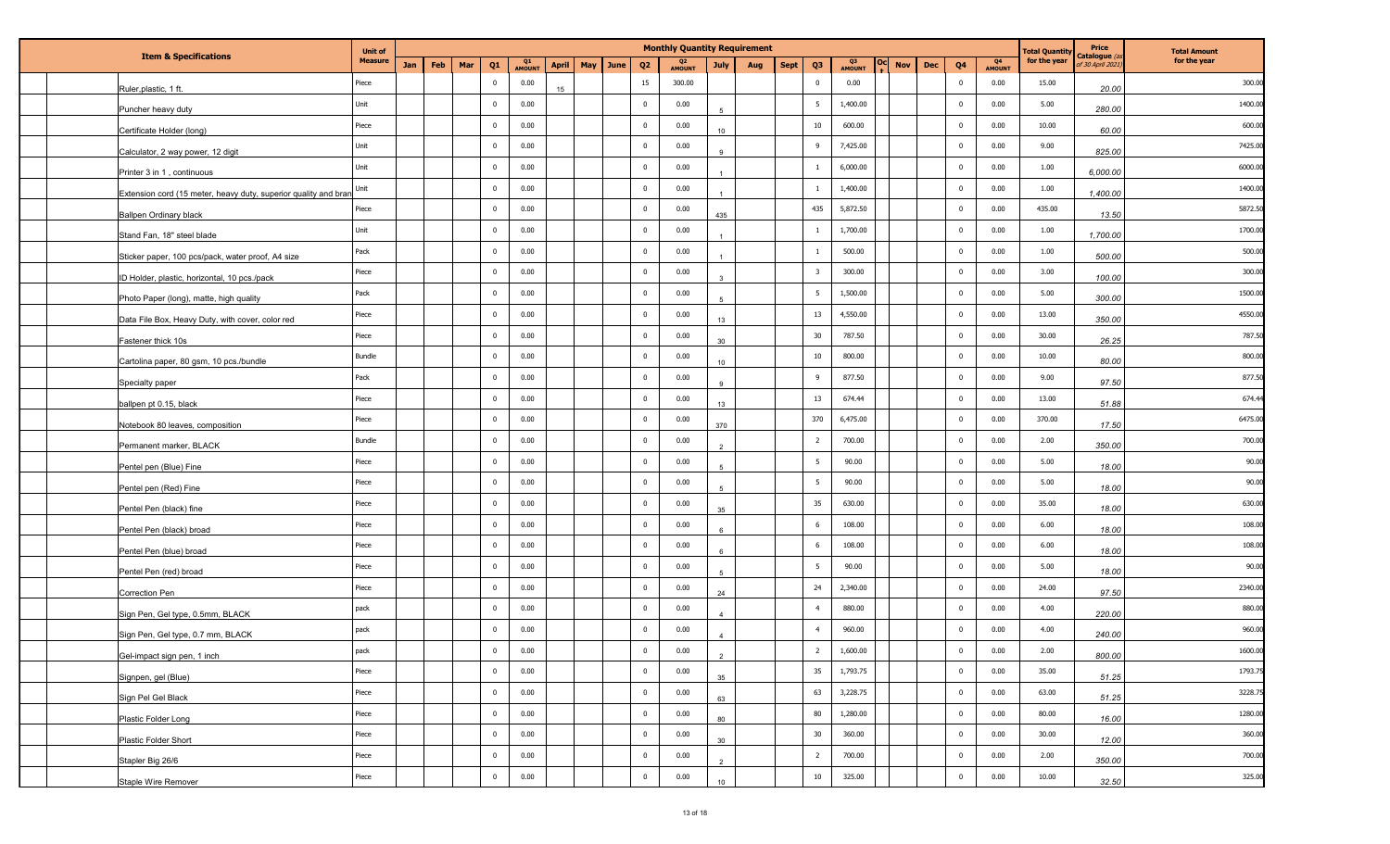| <b>Item &amp; Specifications</b>                                | <b>Unit of</b> |            | <b>Monthly Quantity Requirement</b> |                         |              |              |     |      |                         |                          |                  |             |                |                          |            | <b>Fotal Quantit</b> | <b>Price</b><br>Catalogue <i>(</i> | <b>Total Amount</b> |              |                 |              |
|-----------------------------------------------------------------|----------------|------------|-------------------------------------|-------------------------|--------------|--------------|-----|------|-------------------------|--------------------------|------------------|-------------|----------------|--------------------------|------------|----------------------|------------------------------------|---------------------|--------------|-----------------|--------------|
|                                                                 | <b>Measure</b> | <b>Jan</b> | Feb                                 | Mar<br>Q <sub>1</sub>   | Q1<br>AMOUNT | <b>April</b> | May | June | Q <sub>2</sub>          | Q <sub>2</sub><br>AMOUNT | July<br>Aug      | <b>Sept</b> | Q <sub>3</sub> | Q <sub>3</sub><br>AMOUNT | <b>Nov</b> | <b>Dec</b>           | Q <sub>4</sub>                     | Q4<br>AMOUNT        | for the year | f 30 April 202. | for the year |
| Ruler, plastic, 1 ft.                                           | Piece          |            |                                     | $\overline{\mathbf{0}}$ | 0.00         | 15           |     |      | 15                      | 300.00                   |                  |             | $\mathbf 0$    | 0.00                     |            |                      | $\overline{0}$                     | 0.00                | 15.00        | 20.00           | 300.00       |
| Puncher heavy duty                                              | Unit           |            |                                     | $\overline{\mathbf{0}}$ | 0.00         |              |     |      | $\overline{0}$          | 0.00                     |                  |             | - 5            | 1,400.00                 |            |                      | $\mathbf 0$                        | 0.00                | 5.00         | 280.00          | 1400.00      |
| Certificate Holder (long)                                       | Piece          |            |                                     | $\overline{\mathbf{0}}$ | 0.00         |              |     |      | $\overline{\mathbf{0}}$ | 0.00                     | 10 <sup>10</sup> |             | 10             | 600.00                   |            |                      | $\overline{0}$                     | 0.00                | 10.00        | 60.00           | 600.00       |
| Calculator, 2 way power, 12 digit                               | Unit           |            |                                     | $\,$ 0                  | 0.00         |              |     |      | $\overline{\mathbf{0}}$ | 0.00                     | 9                |             | 9              | 7,425.00                 |            |                      | $\overline{0}$                     | 0.00                | 9.00         | 825.00          | 7425.00      |
| Printer 3 in 1, continuous                                      | Unit           |            |                                     | $\overline{\mathbf{0}}$ | 0.00         |              |     |      | $\overline{\mathbf{0}}$ | 0.00                     |                  |             | -1             | 6,000.00                 |            |                      | $\overline{0}$                     | 0.00                | 1.00         | 6,000.00        | 6000.0       |
| Extension cord (15 meter, heavy duty, superior quality and bran | Unit           |            |                                     | $\overline{\mathbf{0}}$ | 0.00         |              |     |      | $\overline{\mathbf{0}}$ | 0.00                     |                  |             |                | 1,400.00                 |            |                      | $\overline{0}$                     | 0.00                | 1.00         | 1,400.00        | 1400.0       |
| <b>Ballpen Ordinary black</b>                                   | Piece          |            |                                     | $\overline{\mathbf{0}}$ | 0.00         |              |     |      | $\overline{\mathbf{0}}$ | 0.00                     | 435              |             | 435            | 5,872.50                 |            |                      | $\overline{0}$                     | 0.00                | 435.00       | 13.50           | 5872.50      |
| Stand Fan, 18" steel blade                                      | Unit           |            |                                     | $\overline{\mathbf{0}}$ | 0.00         |              |     |      | $\overline{0}$          | 0.00                     |                  |             |                | 1,700.00                 |            |                      | $\mathbf 0$                        | 0.00                | 1.00         | 1,700.00        | 1700.0       |
| Sticker paper, 100 pcs/pack, water proof, A4 size               | Pack           |            |                                     | $\overline{\mathbf{0}}$ | 0.00         |              |     |      | $\overline{0}$          | 0.00                     | $\mathbf{1}$     |             | -1             | 500.00                   |            |                      | $\mathbf{0}$                       | 0.00                | 1.00         | 500.00          | 500.00       |
| ID Holder, plastic, horizontal, 10 pcs./pack                    | Piece          |            |                                     | $\overline{\mathbf{0}}$ | 0.00         |              |     |      | $\overline{0}$          | 0.00                     | $\mathbf{R}$     |             | 3              | 300.00                   |            |                      | $\overline{0}$                     | 0.00                | 3.00         | 100.00          | 300.00       |
| Photo Paper (long), matte, high quality                         | Pack           |            |                                     | $\overline{\mathbf{0}}$ | 0.00         |              |     |      | $\overline{0}$          | 0.00                     |                  |             | 5              | 1,500.00                 |            |                      | $\overline{0}$                     | 0.00                | 5.00         | 300.00          | 1500.0       |
| Data File Box, Heavy Duty, with cover, color red                | Piece          |            |                                     | $\overline{\mathbf{0}}$ | 0.00         |              |     |      | $\overline{\mathbf{0}}$ | 0.00                     | 13               |             | 13             | 4,550.00                 |            |                      | $\overline{0}$                     | 0.00                | 13.00        | 350.00          | 4550.0       |
| Fastener thick 10s                                              | Piece          |            |                                     | $\overline{\mathbf{0}}$ | 0.00         |              |     |      | $\overline{\mathbf{0}}$ | 0.00                     | 30               |             | 30             | 787.50                   |            |                      | $\mathbf 0$                        | 0.00                | 30.00        | 26.25           | 787.50       |
| Cartolina paper, 80 gsm, 10 pcs./bundle                         | Bundle         |            |                                     | $\,$ 0                  | 0.00         |              |     |      | $\overline{\mathbf{0}}$ | 0.00                     | 10 <sup>10</sup> |             | 10             | 800.00                   |            |                      | $\overline{0}$                     | 0.00                | 10.00        | 80.00           | 800.00       |
| Specialty paper                                                 | Pack           |            |                                     | $\overline{\mathbf{0}}$ | 0.00         |              |     |      | $\overline{0}$          | 0.00                     | 9                |             | 9              | 877.50                   |            |                      | $\mathbf{0}$                       | 0.00                | 9.00         | 97.50           | 877.50       |
| ballpen pt 0.15, black                                          | Piece          |            |                                     | $\,$ 0                  | 0.00         |              |     |      | $\overline{\mathbf{0}}$ | 0.00                     | 13               |             | 13             | 674.44                   |            |                      | $\overline{0}$                     | 0.00                | 13.00        | 51.88           | 674.44       |
|                                                                 | Piece          |            |                                     | $\overline{\mathbf{0}}$ | 0.00         |              |     |      | $\overline{0}$          | 0.00                     |                  |             | 370            | 6,475.00                 |            |                      | $\overline{0}$                     | 0.00                | 370.00       | 17.50           | 6475.00      |
| Notebook 80 leaves, composition                                 | Bundle         |            |                                     | $\overline{\mathbf{0}}$ | 0.00         |              |     |      | $\overline{\mathbf{0}}$ | 0.00                     | 370<br>2         |             | $\overline{2}$ | 700.00                   |            |                      | $\overline{0}$                     | 0.00                | 2.00         |                 | 700.00       |
| Permanent marker, BLACK                                         | Piece          |            |                                     | $\overline{\mathbf{0}}$ | 0.00         |              |     |      | $\overline{\mathbf{0}}$ | 0.00                     |                  |             | 5              | 90.00                    |            |                      | $\mathbf 0$                        | 0.00                | 5.00         | 350.00          | 90.00        |
| Pentel pen (Blue) Fine                                          | Piece          |            |                                     | $\,$ 0                  | 0.00         |              |     |      | $\overline{0}$          | 0.00                     |                  |             | 5              | 90.00                    |            |                      | $\mathbf{0}$                       | 0.00                | 5.00         | 18.00           | 90.00        |
| Pentel pen (Red) Fine                                           | Piece          |            |                                     | $\overline{\mathbf{0}}$ | 0.00         |              |     |      | $\mathbf 0$             | 0.00                     | $5^{\circ}$      |             | 35             | 630.00                   |            |                      | $\mathbf 0$                        | 0.00                | 35.00        | 18.00           | 630.00       |
| Pentel Pen (black) fine                                         | Piece          |            |                                     | $\overline{\mathbf{0}}$ | 0.00         |              |     |      | $\mathbf 0$             | 0.00                     | 35               |             | 6              | 108.00                   |            |                      | $\mathbf 0$                        | 0.00                | 6.00         | 18.00           | 108.00       |
| Pentel Pen (black) broad                                        | Piece          |            |                                     | $\overline{\mathbf{0}}$ | 0.00         |              |     |      | $\mathbf 0$             | 0.00                     |                  |             | 6              | 108.00                   |            |                      | $\overline{0}$                     | 0.00                | 6.00         | 18.00           | 108.00       |
| Pentel Pen (blue) broad                                         | Piece          |            |                                     | $\overline{\mathbf{0}}$ | 0.00         |              |     |      | $\overline{0}$          | 0.00                     | 6                |             | 5              | 90.00                    |            |                      | $\overline{0}$                     | 0.00                | 5.00         | 18.00           | 90.00        |
| Pentel Pen (red) broad                                          | Piece          |            |                                     | $\overline{\mathbf{0}}$ | 0.00         |              |     |      | $\overline{\mathbf{0}}$ | 0.00                     |                  |             | 24             | 2,340.00                 |            |                      | $\overline{0}$                     | 0.00                | 24.00        | 18.00           | 2340.0       |
| Correction Pen                                                  | pack           |            |                                     | $\overline{\mathbf{0}}$ | 0.00         |              |     |      | $\overline{\mathbf{0}}$ | 0.00                     | 24               |             | $\overline{4}$ | 880.00                   |            |                      | $\mathbf{0}$                       | 0.00                | 4.00         | 97.50           | 880.00       |
| Sign Pen, Gel type, 0.5mm, BLACK                                | pack           |            |                                     | $\overline{\mathbf{0}}$ | 0.00         |              |     |      | $\overline{\mathbf{0}}$ | 0.00                     | $\overline{4}$   |             | $\overline{4}$ | 960.00                   |            |                      | $\mathbf{0}$                       | 0.00                | 4.00         | 220.00          | 960.00       |
| Sign Pen, Gel type, 0.7 mm, BLACK                               |                |            |                                     | $\mathbf 0$             | 0.00         |              |     |      | $\overline{0}$          | 0.00                     |                  |             |                |                          |            |                      |                                    | 0.00                |              | 240.00          | 1600.00      |
| Gel-impact sign pen, 1 inch                                     | pack           |            |                                     |                         |              |              |     |      |                         |                          |                  |             | $\overline{2}$ | 1,600.00                 |            |                      | $\overline{0}$                     |                     | 2.00         | 800.00          |              |
| Signpen, gel (Blue)                                             | Piece          |            |                                     | $\overline{0}$          | 0.00         |              |     |      | $\overline{0}$          | 0.00                     | 35               |             | 35             | 1,793.75                 |            |                      | $\overline{0}$                     | 0.00                | 35.00        | 51.25           | 1793.75      |
| Sign Pel Gel Black                                              | Piece          |            |                                     | $\overline{\mathbf{0}}$ | 0.00         |              |     |      | $\overline{0}$          | 0.00                     | 63               |             | 63             | 3,228.75                 |            |                      | $\overline{0}$                     | 0.00                | 63.00        | 51.25           | 3228.75      |
| Plastic Folder Long                                             | Piece          |            |                                     | $\overline{\mathbf{0}}$ | 0.00         |              |     |      | $\overline{\mathbf{0}}$ | 0.00                     | 80               |             | 80             | 1,280.00                 |            |                      | $\overline{0}$                     | 0.00                | 80.00        | 16.00           | 1280.00      |
| Plastic Folder Short                                            | Piece          |            |                                     | $\overline{0}$          | 0.00         |              |     |      | $\overline{0}$          | 0.00                     | 30 <sup>°</sup>  |             | 30             | 360.00                   |            |                      | $\overline{0}$                     | 0.00                | 30.00        | 12.00           | 360.00       |
| Stapler Big 26/6                                                | Piece          |            |                                     | $\overline{0}$          | 0.00         |              |     |      | $\overline{0}$          | 0.00                     | $\mathfrak{D}$   |             | $\overline{2}$ | 700.00                   |            |                      | $\overline{0}$                     | 0.00                | 2.00         | 350.00          | 700.00       |
| Staple Wire Remover                                             | Piece          |            |                                     | $\bf{0}$                | 0.00         |              |     |      | $\overline{0}$          | 0.00                     | 10 <sup>10</sup> |             | $10\,$         | 325.00                   |            |                      | $\overline{0}$                     | 0.00                | 10.00        | 32.50           | 325.00       |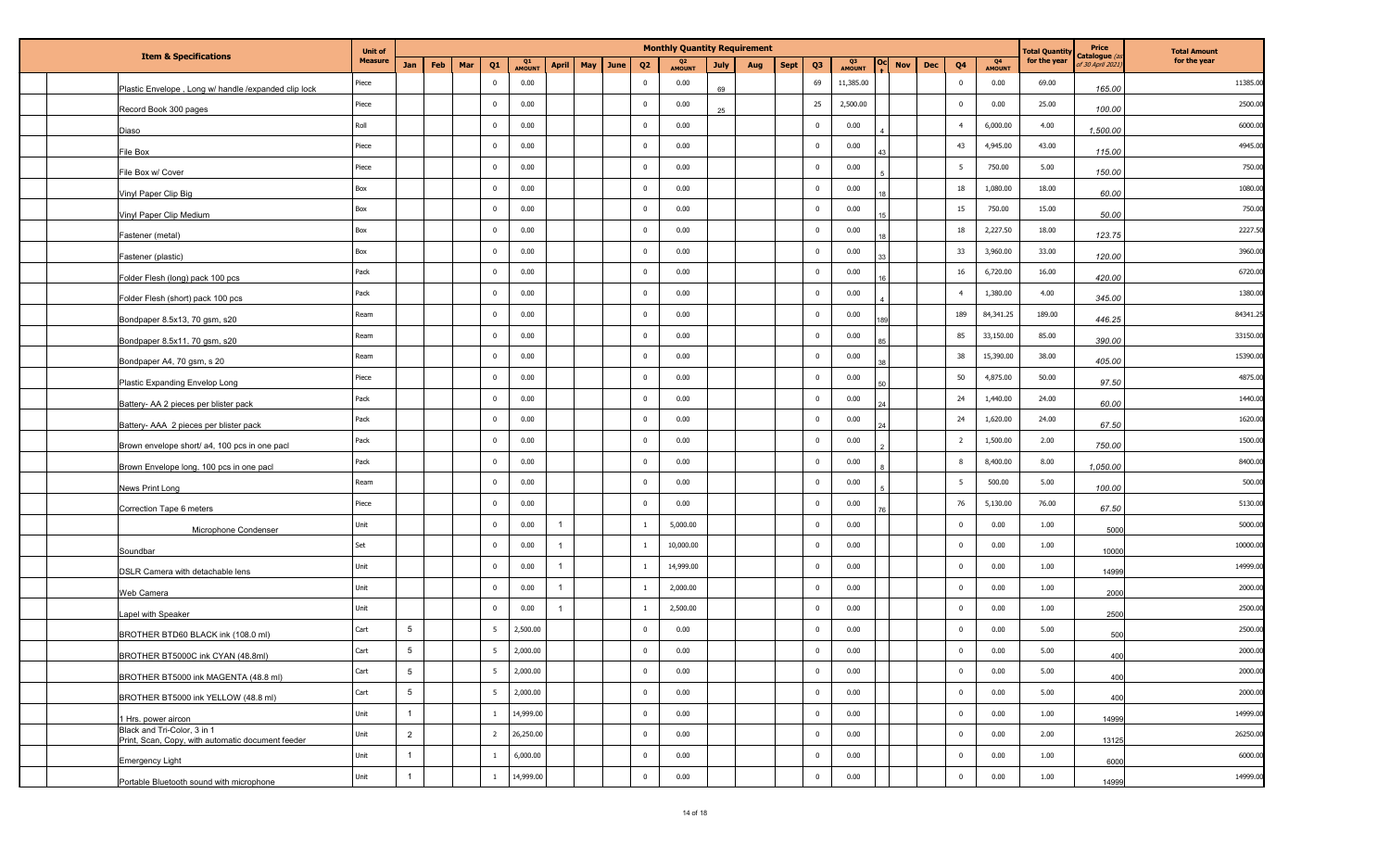| <b>Item &amp; Specifications</b>                                                 | <b>Unit of</b> |                 |     |                         |              |              |     |      |                         |              | <b>Monthly Quantity Requirement</b> |             |                |                          |            |            |                 |                     | <b>Total Quantit</b> | Price<br>Catalogue ( | <b>Total Amount</b> |
|----------------------------------------------------------------------------------|----------------|-----------------|-----|-------------------------|--------------|--------------|-----|------|-------------------------|--------------|-------------------------------------|-------------|----------------|--------------------------|------------|------------|-----------------|---------------------|----------------------|----------------------|---------------------|
|                                                                                  | <b>Measure</b> | <b>Jan</b>      | Feb | Mar<br>Q <sub>1</sub>   | Q1<br>AMOUNT | <b>April</b> | May | June | Q <sub>2</sub>          | Q2<br>AMOUNT | July<br>Aug                         | <b>Sept</b> | Q <sub>3</sub> | Q <sub>3</sub><br>AMOUNT | <b>Nov</b> | <b>Dec</b> | Q <sub>4</sub>  | Q4<br><b>AMOUNT</b> | for the year         | f 30 April 202.      | for the year        |
| Plastic Envelope, Long w/ handle / expanded clip lock                            | Piece          |                 |     | $\overline{\mathbf{0}}$ | 0.00         |              |     |      | $\overline{0}$          | 0.00         | 69                                  |             | 69             | 11,385.00                |            |            | $\overline{0}$  | 0.00                | 69.00                | 165.00               | 11385.0             |
| Record Book 300 pages                                                            | Piece          |                 |     | $\overline{\mathbf{0}}$ | 0.00         |              |     |      | $\overline{\mathbf{0}}$ | 0.00         | 25                                  |             | 25             | 2,500.00                 |            |            | $\mathbf{0}$    | 0.00                | 25.00                | 100.00               | 2500.0              |
| Diaso                                                                            | Roll           |                 |     | $\,$ 0                  | 0.00         |              |     |      | $\overline{\mathbf{0}}$ | 0.00         |                                     |             | $\mathbf 0$    | 0.00                     |            |            | $\overline{4}$  | 6,000.00            | 4.00                 | 1,500.00             | 6000.0              |
| <b>File Box</b>                                                                  | Piece          |                 |     | $\overline{\mathbf{0}}$ | 0.00         |              |     |      | $\overline{\mathbf{0}}$ | 0.00         |                                     |             | $\bf{0}$       | 0.00                     |            |            | 43              | 4,945.00            | 43.00                | 115.00               | 4945.00             |
| File Box w/ Cover                                                                | Piece          |                 |     | $\,$ 0                  | 0.00         |              |     |      | $\mathbf 0$             | 0.00         |                                     |             | $\mathbf 0$    | 0.00                     |            |            | $5\overline{5}$ | 750.00              | 5.00                 | 150.00               | 750.00              |
| Vinyl Paper Clip Big                                                             | Box            |                 |     | $\overline{\mathbf{0}}$ | 0.00         |              |     |      | $\overline{\mathbf{0}}$ | 0.00         |                                     |             | $\bf{0}$       | 0.00                     |            |            | 18              | 1,080.00            | 18.00                | 60.00                | 1080.0              |
| Vinyl Paper Clip Medium                                                          | Box            |                 |     | $\,$ 0                  | 0.00         |              |     |      | $\overline{\mathbf{0}}$ | 0.00         |                                     |             | $\bf{0}$       | 0.00                     |            |            | 15              | 750.00              | 15.00                | 50.00                | 750.00              |
| Fastener (metal)                                                                 | Box            |                 |     | $\overline{\mathbf{0}}$ | 0.00         |              |     |      | $\overline{\mathbf{0}}$ | 0.00         |                                     |             | $\bf{0}$       | 0.00                     |            |            | 18              | 2,227.50            | 18.00                | 123.75               | 2227.50             |
| Fastener (plastic)                                                               | Box            |                 |     | $\overline{\mathbf{0}}$ | 0.00         |              |     |      | $\overline{\mathbf{0}}$ | 0.00         |                                     |             | $\bf{0}$       | 0.00                     |            |            | 33              | 3,960.00            | 33.00                | 120.00               | 3960.0              |
| Folder Flesh (long) pack 100 pcs                                                 | Pack           |                 |     | $\overline{\mathbf{0}}$ | 0.00         |              |     |      | $\overline{\mathbf{0}}$ | 0.00         |                                     |             | $\mathbf{0}$   | 0.00                     |            |            | 16              | 6,720.00            | 16.00                | 420.00               | 6720.0              |
| Folder Flesh (short) pack 100 pcs                                                | Pack           |                 |     | $\overline{\mathbf{0}}$ | 0.00         |              |     |      | $\mathbf 0$             | 0.00         |                                     |             | $\bf{0}$       | 0.00                     |            |            | $\overline{4}$  | 1,380.00            | 4.00                 | 345.00               | 1380.0              |
| Bondpaper 8.5x13, 70 gsm, s20                                                    | Ream           |                 |     | $\,$ 0                  | 0.00         |              |     |      | $\overline{\mathbf{0}}$ | 0.00         |                                     |             | $\mathbf 0$    | 0.00                     |            |            | 189             | 84,341.25           | 189.00               | 446.25               | 84341.2             |
| Bondpaper 8.5x11, 70 gsm, s20                                                    | Ream           |                 |     | $\overline{\mathbf{0}}$ | 0.00         |              |     |      | $\overline{0}$          | 0.00         |                                     |             | $\bf{0}$       | 0.00                     |            |            | 85              | 33,150.00           | 85.00                | 390.00               | 33150.0             |
| Bondpaper A4, 70 gsm, s 20                                                       | Ream           |                 |     | $\,$ 0                  | 0.00         |              |     |      | $\overline{\mathbf{0}}$ | 0.00         |                                     |             | $\mathbf 0$    | 0.00                     |            |            | 38              | 15,390.00           | 38.00                | 405.00               | 15390.0             |
| Plastic Expanding Envelop Long                                                   | Piece          |                 |     | $\overline{\mathbf{0}}$ | 0.00         |              |     |      | $\overline{\mathbf{0}}$ | 0.00         |                                     |             | $\bf{0}$       | 0.00                     |            |            | 50              | 4,875.00            | 50.00                | 97.50                | 4875.0              |
| Battery- AA 2 pieces per blister pack                                            | Pack           |                 |     | $\,$ 0                  | 0.00         |              |     |      | $\overline{\mathbf{0}}$ | 0.00         |                                     |             | $\mathbf 0$    | 0.00                     |            |            | 24              | 1,440.00            | 24.00                | 60.00                | 1440.0              |
| Battery- AAA 2 pieces per blister pack                                           | Pack           |                 |     | $\overline{\mathbf{0}}$ | 0.00         |              |     |      | $\overline{\mathbf{0}}$ | 0.00         |                                     |             | $\mathbf 0$    | 0.00                     |            |            | 24              | 1,620.00            | 24.00                | 67.50                | 1620.0              |
| Brown envelope short/ a4, 100 pcs in one pacl                                    | Pack           |                 |     | $\,$ 0                  | 0.00         |              |     |      | $\mathbf 0$             | 0.00         |                                     |             | $\mathbf 0$    | 0.00                     |            |            | $\overline{2}$  | 1,500.00            | 2.00                 | 750.00               | 1500.00             |
| Brown Envelope long, 100 pcs in one pacl                                         | Pack           |                 |     | $\overline{\mathbf{0}}$ | 0.00         |              |     |      | $\overline{\mathbf{0}}$ | 0.00         |                                     |             | $\bf{0}$       | 0.00                     |            |            | 8               | 8,400.00            | 8.00                 | 1,050.00             | 8400.00             |
| News Print Long                                                                  | Ream           |                 |     | $\overline{\mathbf{0}}$ | 0.00         |              |     |      | $\overline{\mathbf{0}}$ | 0.00         |                                     |             | $\bf{0}$       | 0.00                     |            |            | 5               | 500.00              | 5.00                 | 100.00               | 500.0               |
| Correction Tape 6 meters                                                         | Piece          |                 |     | $\overline{\mathbf{0}}$ | 0.00         |              |     |      | $\overline{\mathbf{0}}$ | 0.00         |                                     |             | $\bf{0}$       | 0.00                     |            |            | 76              | 5,130.00            | 76.00                | 67.50                | 5130.0              |
| Microphone Condenser                                                             | Unit           |                 |     | $\overline{\mathbf{0}}$ | 0.00         |              |     |      | $\overline{1}$          | 5,000.00     |                                     |             | $\bf{0}$       | 0.00                     |            |            | $\mathbf 0$     | 0.00                | 1.00                 | 5000                 | 5000.0              |
| Soundbar                                                                         | Set            |                 |     | $\overline{\mathbf{0}}$ | 0.00         |              |     |      | $\overline{1}$          | 10,000.00    |                                     |             | $\mathbf 0$    | 0.00                     |            |            | $\mathbf 0$     | 0.00                | 1.00                 | 10000                | 10000.0             |
| <b>DSLR Camera with detachable lens</b>                                          | Unit           |                 |     | $\overline{\mathbf{0}}$ | 0.00         |              |     |      | $\overline{1}$          | 14,999.00    |                                     |             | $\mathbf 0$    | 0.00                     |            |            | $\overline{0}$  | 0.00                | 1.00                 | 14999                | 14999.0             |
| Web Camera                                                                       | Unit           |                 |     | $\overline{\mathbf{0}}$ | 0.00         |              |     |      | $\overline{1}$          | 2,000.00     |                                     |             | $\bf{0}$       | 0.00                     |            |            | $\overline{0}$  | 0.00                | 1.00                 | 2000                 | 2000.0              |
| Lapel with Speaker                                                               | Unit           |                 |     | $\overline{\mathbf{0}}$ | 0.00         |              |     |      | $\overline{1}$          | 2,500.00     |                                     |             | $\bf{0}$       | 0.00                     |            |            | $\mathbf{0}$    | 0.00                | 1.00                 | 2500                 | 2500.0              |
| BROTHER BTD60 BLACK ink (108.0 ml)                                               | Cart           | 5               |     | 5                       | 2,500.00     |              |     |      | $\overline{\mathbf{0}}$ | 0.00         |                                     |             | $\mathbf 0$    | 0.00                     |            |            | $\mathbf 0$     | 0.00                | 5.00                 | 500                  | 2500.0              |
| BROTHER BT5000C ink CYAN (48.8ml)                                                | Cart           | 5               |     | 5                       | 2,000.00     |              |     |      | $\mathbf{0}$            | 0.00         |                                     |             | $\mathbf{0}$   | 0.00                     |            |            | $\mathbf 0$     | 0.00                | 5.00                 | 400                  | 2000.00             |
| BROTHER BT5000 ink MAGENTA (48.8 ml)                                             | Cart           | $5\overline{)}$ |     | $5\overline{5}$         | 2,000.00     |              |     |      | $\overline{\mathbf{0}}$ | 0.00         |                                     |             | $\mathbf 0$    | 0.00                     |            |            | $\mathbf 0$     | 0.00                | 5.00                 | 400                  | 2000.00             |
| BROTHER BT5000 ink YELLOW (48.8 ml)                                              | Cart           | $5\phantom{.0}$ |     | $5\overline{5}$         | 2,000.00     |              |     |      | $\overline{\mathbf{0}}$ | 0.00         |                                     |             | $\mathbf 0$    | 0.00                     |            |            | $\overline{0}$  | 0.00                | 5.00                 | 400                  | 2000.00             |
| 1 Hrs. power aircon                                                              | Unit           | $\overline{1}$  |     | $\overline{1}$          | 14,999.00    |              |     |      | $\overline{\mathbf{0}}$ | 0.00         |                                     |             | $\bf{0}$       | 0.00                     |            |            | $\overline{0}$  | 0.00                | 1.00                 | 14999                | 14999.00            |
| Black and Tri-Color, 3 in 1<br>Print, Scan, Copy, with automatic document feeder | Unit           | $\overline{2}$  |     | $\overline{2}$          | 26,250.00    |              |     |      | $\overline{\mathbf{0}}$ | 0.00         |                                     |             | $\bf{0}$       | 0.00                     |            |            | $\overline{0}$  | 0.00                | 2.00                 | 13125                | 26250.00            |
| <b>Emergency Light</b>                                                           | Unit           | $\overline{1}$  |     | $\overline{1}$          | 6,000.00     |              |     |      | $\overline{\mathbf{0}}$ | 0.00         |                                     |             | $\bf{0}$       | 0.00                     |            |            | $\overline{0}$  | 0.00                | 1.00                 | 6000                 | 6000.00             |
| Portable Bluetooth sound with microphone                                         | Unit           | $\mathbf{1}$    |     | $\mathbf{1}$            | 14,999.00    |              |     |      | $\mathbf 0$             | 0.00         |                                     |             | $\mathbf 0$    | 0.00                     |            |            | $\bf{0}$        | 0.00                | 1.00                 | 14999                | 14999.00            |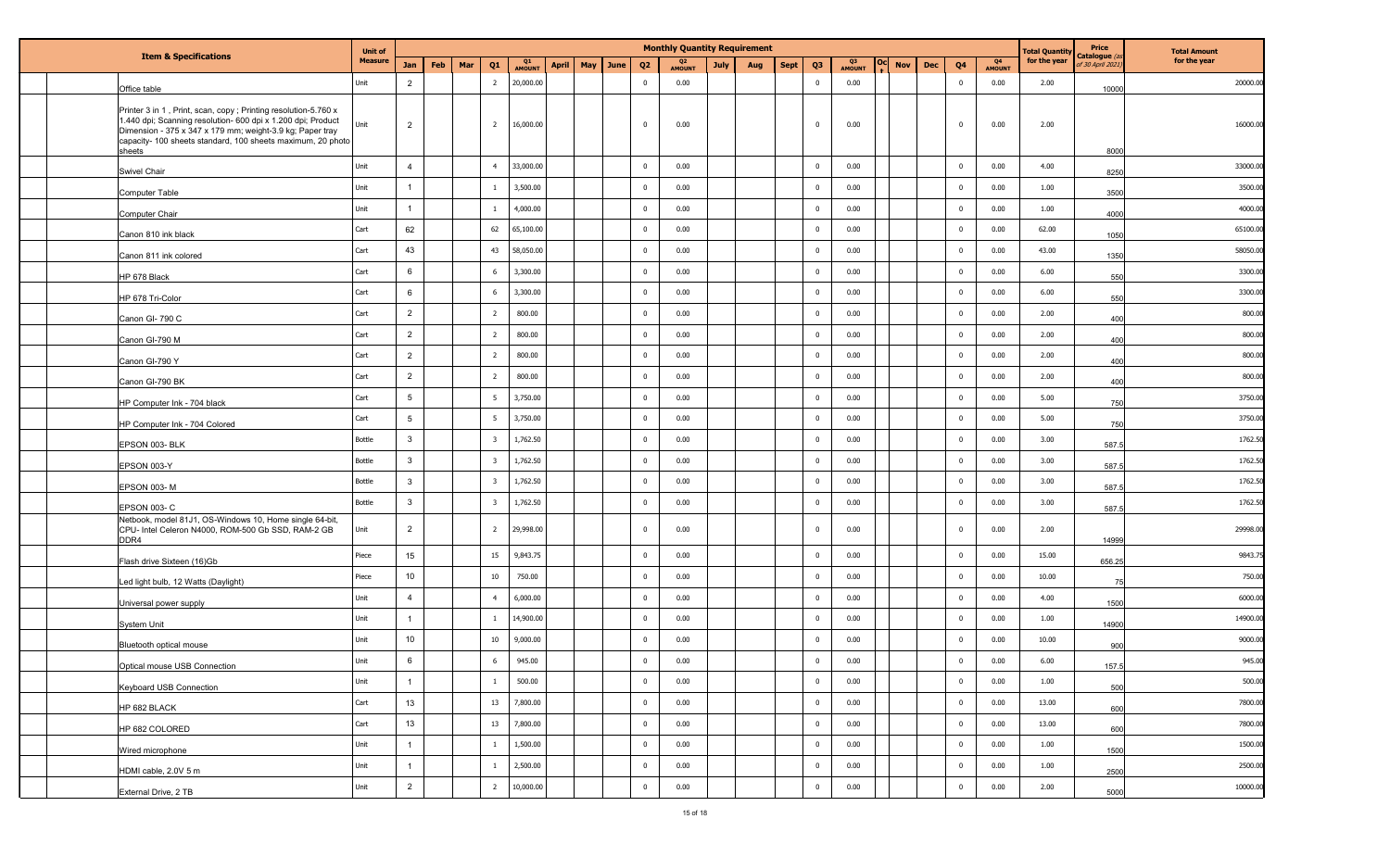|                                                            |                                                                                                                                                                                                                                                            |                |                | <b>Monthly Quantity Requirement</b> |     |                         |                          |              |          |                |                                 |             |     |             |                |                     | <b>Total Quantity</b> | Price      | <b>Total Amount</b>     |                     |              |                                 |              |
|------------------------------------------------------------|------------------------------------------------------------------------------------------------------------------------------------------------------------------------------------------------------------------------------------------------------------|----------------|----------------|-------------------------------------|-----|-------------------------|--------------------------|--------------|----------|----------------|---------------------------------|-------------|-----|-------------|----------------|---------------------|-----------------------|------------|-------------------------|---------------------|--------------|---------------------------------|--------------|
| <b>Item &amp; Specifications</b>                           |                                                                                                                                                                                                                                                            | <b>Measure</b> | Jan            | Feb                                 | Mar | Q1                      | Q <sub>1</sub><br>AMOUNT | <b>April</b> | May June | Q <sub>2</sub> | Q <sub>2</sub><br><b>AMOUNT</b> | <b>July</b> | Aug | <b>Sept</b> | Q <sub>3</sub> | Q3<br><b>AMOUNT</b> | <b>Nov</b>            | <b>Dec</b> | Q <sub>4</sub>          | Q4<br><b>AMOUNT</b> | for the year | Catalogue (a<br>F 30 April 202. | for the year |
| Office table                                               |                                                                                                                                                                                                                                                            | Unit           | $\overline{2}$ |                                     |     | $\overline{2}$          | 20,000.00                |              |          | $\Omega$       | 0.00                            |             |     |             | $\bf{0}$       | 0.00                |                       |            | $\overline{\mathbf{0}}$ | 0.00                | 2.00         | 10000                           | 20000.00     |
| sheets                                                     | Printer 3 in 1, Print, scan, copy; Printing resolution-5.760 x<br>1.440 dpi; Scanning resolution- 600 dpi x 1.200 dpi; Product<br>Dimension - 375 x 347 x 179 mm; weight-3.9 kg; Paper tray<br>capacity- 100 sheets standard, 100 sheets maximum, 20 photo | Unit           | $\overline{2}$ |                                     |     | $\overline{2}$          | 16,000.00                |              |          | $\mathbf{0}$   | 0.00                            |             |     |             | $\bf{0}$       | 0.00                |                       |            | $\mathbf{0}$            | 0.00                | 2.00         | 8000                            | 16000.0      |
| <b>Swivel Chair</b>                                        |                                                                                                                                                                                                                                                            | Unit           | $\overline{4}$ |                                     |     | $\overline{4}$          | 33,000.00                |              |          | $\Omega$       | 0.00                            |             |     |             | $\mathbf 0$    | 0.00                |                       |            | $\overline{0}$          | 0.00                | 4.00         | 8250                            | 33000.0      |
| <b>Computer Table</b>                                      |                                                                                                                                                                                                                                                            | Unit           |                |                                     |     | 1                       | 3,500.00                 |              |          | $\mathbf 0$    | 0.00                            |             |     |             | $\pmb{0}$      | 0.00                |                       |            | $\overline{\mathbf{0}}$ | 0.00                | 1.00         | 3500                            | 3500.00      |
| Computer Chair                                             |                                                                                                                                                                                                                                                            | Unit           | -1             |                                     |     | 1                       | 4,000.00                 |              |          | $\overline{0}$ | 0.00                            |             |     |             | $\mathbf 0$    | 0.00                |                       |            | $\mathbf 0$             | 0.00                | 1.00         | 4000                            | 4000.00      |
| Canon 810 ink black                                        |                                                                                                                                                                                                                                                            | Cart           | 62             |                                     |     | 62                      | 65,100.00                |              |          | $\mathbf 0$    | 0.00                            |             |     |             | $\mathbf 0$    | 0.00                |                       |            | $\overline{\mathbf{0}}$ | 0.00                | 62.00        | 1050                            | 65100.0      |
| Canon 811 ink colored                                      |                                                                                                                                                                                                                                                            | Cart           | 43             |                                     |     | 43                      | 58,050.00                |              |          | $\mathbf 0$    | 0.00                            |             |     |             | $\mathbf 0$    | 0.00                |                       |            | $\mathbf 0$             | 0.00                | 43.00        | 1350                            | 58050.00     |
| HP 678 Black                                               |                                                                                                                                                                                                                                                            | Cart           | 6              |                                     |     | 6                       | 3,300.00                 |              |          | $\mathbf 0$    | 0.00                            |             |     |             | $\mathbf 0$    | 0.00                |                       |            | $\mathbf 0$             | 0.00                | 6.00         | 550                             | 3300.0       |
| HP 678 Tri-Color                                           |                                                                                                                                                                                                                                                            | Cart           | 6              |                                     |     | 6                       | 3,300.00                 |              |          | $\mathbf{0}$   | 0.00                            |             |     |             | $\mathbf 0$    | 0.00                |                       |            | $\overline{\mathbf{0}}$ | 0.00                | 6.00         | 550                             | 3300.00      |
| Canon GI-790 C                                             |                                                                                                                                                                                                                                                            | Cart           | $\overline{2}$ |                                     |     | $\overline{2}$          | 800.00                   |              |          | $\mathbf 0$    | 0.00                            |             |     |             | $\mathbf 0$    | 0.00                |                       |            | $\overline{0}$          | 0.00                | 2.00         | 400                             | 800.0        |
| Canon GI-790 M                                             |                                                                                                                                                                                                                                                            | Cart           | $\overline{2}$ |                                     |     | $\overline{2}$          | 800.00                   |              |          | $\overline{0}$ | 0.00                            |             |     |             | $\mathbf 0$    | 0.00                |                       |            | $\overline{\mathbf{0}}$ | 0.00                | 2.00         | 400                             | 800.0        |
| Canon GI-790 Y                                             |                                                                                                                                                                                                                                                            | Cart           | $\overline{2}$ |                                     |     | $\overline{2}$          | 800.00                   |              |          | $\overline{0}$ | 0.00                            |             |     |             | $\mathbf 0$    | 0.00                |                       |            | $\overline{\mathbf{0}}$ | 0.00                | 2.00         | 400                             | 800.0        |
| Canon GI-790 BK                                            |                                                                                                                                                                                                                                                            | Cart           | $\overline{2}$ |                                     |     | $\overline{2}$          | 800.00                   |              |          | $\Omega$       | 0.00                            |             |     |             | $\mathbf 0$    | 0.00                |                       |            | $\overline{\mathbf{0}}$ | 0.00                | 2.00         | 400                             | 800.00       |
| HP Computer Ink - 704 black                                |                                                                                                                                                                                                                                                            | Cart           | 5 <sup>5</sup> |                                     |     | 5                       | 3,750.00                 |              |          | $\overline{0}$ | 0.00                            |             |     |             | $\mathbf 0$    | 0.00                |                       |            | $\mathbf 0$             | 0.00                | 5.00         | 750                             | 3750.00      |
| HP Computer Ink - 704 Colored                              |                                                                                                                                                                                                                                                            | Cart           | 5              |                                     |     | 5                       | 3,750.00                 |              |          | $\mathbf 0$    | 0.00                            |             |     |             | $\mathbf 0$    | 0.00                |                       |            | $\overline{\mathbf{0}}$ | 0.00                | 5.00         | 750                             | 3750.0       |
| EPSON 003-BLK                                              |                                                                                                                                                                                                                                                            | Bottle         | $\mathbf{3}$   |                                     |     | $\overline{\mathbf{3}}$ | 1,762.50                 |              |          | $\Omega$       | 0.00                            |             |     |             | $\mathbf 0$    | 0.00                |                       |            | $\mathbf 0$             | 0.00                | 3.00         | 587.5                           | 1762.5       |
| EPSON 003-Y                                                |                                                                                                                                                                                                                                                            | Bottle         | $\mathbf{3}$   |                                     |     | $\overline{\mathbf{3}}$ | 1,762.50                 |              |          | $\mathbf 0$    | 0.00                            |             |     |             | $\mathbf 0$    | 0.00                |                       |            | $\overline{\mathbf{0}}$ | 0.00                | 3.00         | 587.5                           | 1762.50      |
| EPSON 003-M                                                |                                                                                                                                                                                                                                                            | Bottle         | $\mathbf{3}$   |                                     |     | $\overline{\mathbf{3}}$ | 1,762.50                 |              |          | $\mathbf{0}$   | 0.00                            |             |     |             | $\mathbf 0$    | 0.00                |                       |            | $\mathbf 0$             | 0.00                | 3.00         | 587.                            | 1762.50      |
| EPSON 003-C                                                |                                                                                                                                                                                                                                                            | Bottle         | $\mathbf{3}$   |                                     |     | $\overline{\mathbf{3}}$ | 1,762.50                 |              |          | $\overline{0}$ | 0.00                            |             |     |             | $\mathbf 0$    | 0.00                |                       |            | $\mathbf 0$             | 0.00                | 3.00         | 587.5                           | 1762.50      |
| CPU- Intel Celeron N4000, ROM-500 Gb SSD, RAM-2 GB<br>DDR4 | Netbook, model 81J1, OS-Windows 10, Home single 64-bit,                                                                                                                                                                                                    | Unit           | $\overline{2}$ |                                     |     | $\overline{2}$          | 29,998.00                |              |          | $\Omega$       | 0.00                            |             |     |             | $\bf{0}$       | 0.00                |                       |            | $\overline{0}$          | 0.00                | 2.00         | 14999                           | 29998.00     |
| Flash drive Sixteen (16)Gb                                 |                                                                                                                                                                                                                                                            | Piece          | 15             |                                     |     | 15                      | 9,843.75                 |              |          | $\mathbf{0}$   | 0.00                            |             |     |             | $\mathbf 0$    | 0.00                |                       |            | $\mathbf 0$             | 0.00                | 15.00        | 656.25                          | 9843.7       |
| Led light bulb, 12 Watts (Daylight)                        |                                                                                                                                                                                                                                                            | Piece          | 10             |                                     |     | $10\,$                  | 750.00                   |              |          | $\mathbf 0$    | 0.00                            |             |     |             | $\mathbf 0$    | 0.00                |                       |            | $\overline{\mathbf{0}}$ | 0.00                | 10.00        |                                 | 750.00       |
| Universal power supply                                     |                                                                                                                                                                                                                                                            | Unit           | $\overline{4}$ |                                     |     | $\overline{4}$          | 6,000.00                 |              |          | $\overline{0}$ | 0.00                            |             |     |             | $\mathbf 0$    | 0.00                |                       |            | $\mathbf 0$             | 0.00                | 4.00         | 1500                            | 6000.00      |
| <b>System Unit</b>                                         |                                                                                                                                                                                                                                                            | Unit           | $\overline{1}$ |                                     |     | $\mathbf{1}$            | 14,900.00                |              |          | $\overline{0}$ | 0.00                            |             |     |             | $\mathbf 0$    | 0.00                |                       |            | $\overline{\mathbf{0}}$ | 0.00                | 1.00         | 14900                           | 14900.00     |
| Bluetooth optical mouse                                    |                                                                                                                                                                                                                                                            | Unit           | 10             |                                     |     | $10\,$                  | 9,000.00                 |              |          | $\overline{0}$ | 0.00                            |             |     |             | $\overline{0}$ | 0.00                |                       |            | $\mathbf 0$             | 0.00                | 10.00        | 900                             | 9000.00      |
| Optical mouse USB Connection                               |                                                                                                                                                                                                                                                            | Unit           | 6              |                                     |     | 6                       | 945.00                   |              |          | $\bf{0}$       | 0.00                            |             |     |             | $\overline{0}$ | 0.00                |                       |            | $\mathbf 0$             | $0.00\,$            | 6.00         | 157.5                           | 945.00       |
| Keyboard USB Connection                                    |                                                                                                                                                                                                                                                            | Unit           | $\overline{1}$ |                                     |     | $\mathbf{1}$            | 500.00                   |              |          | $\mathbf 0$    | 0.00                            |             |     |             | $\bf{0}$       | 0.00                |                       |            | $\overline{\mathbf{0}}$ | 0.00                | 1.00         | 500                             | 500.00       |
| HP 682 BLACK                                               |                                                                                                                                                                                                                                                            | Cart           | 13             |                                     |     | 13                      | 7,800.00                 |              |          | $\mathbf 0$    | 0.00                            |             |     |             | $\mathbf 0$    | 0.00                |                       |            | $\overline{0}$          | 0.00                | 13.00        | 600                             | 7800.00      |
| HP 682 COLORED                                             |                                                                                                                                                                                                                                                            | Cart           | $13\,$         |                                     |     | $13\,$                  | 7,800.00                 |              |          | $\bf{0}$       | 0.00                            |             |     |             | $\overline{0}$ | 0.00                |                       |            | $\overline{0}$          | 0.00                | 13.00        | 600                             | 7800.00      |
| Wired microphone                                           |                                                                                                                                                                                                                                                            | Unit           | $\overline{1}$ |                                     |     | $\mathbf{1}$            | 1,500.00                 |              |          | $\mathbf 0$    | 0.00                            |             |     |             | $\mathbf 0$    | 0.00                |                       |            | $\mathbf 0$             | 0.00                | 1.00         | 1500                            | 1500.00      |
| HDMI cable, 2.0V 5 m                                       |                                                                                                                                                                                                                                                            | Unit           | $\overline{1}$ |                                     |     | $\overline{1}$          | 2,500.00                 |              |          | $\mathbf 0$    | 0.00                            |             |     |             | $\overline{0}$ | 0.00                |                       |            | $\overline{0}$          | 0.00                | 1.00         | 2500                            | 2500.00      |
| External Drive, 2 TB                                       |                                                                                                                                                                                                                                                            | Unit           | $\overline{2}$ |                                     |     | $\overline{2}$          | 10,000.00                |              |          | $\mathbf 0$    | 0.00                            |             |     |             | $\overline{0}$ | 0.00                |                       |            | $\overline{0}$          | 0.00                | 2.00         | 5000                            | 10000.00     |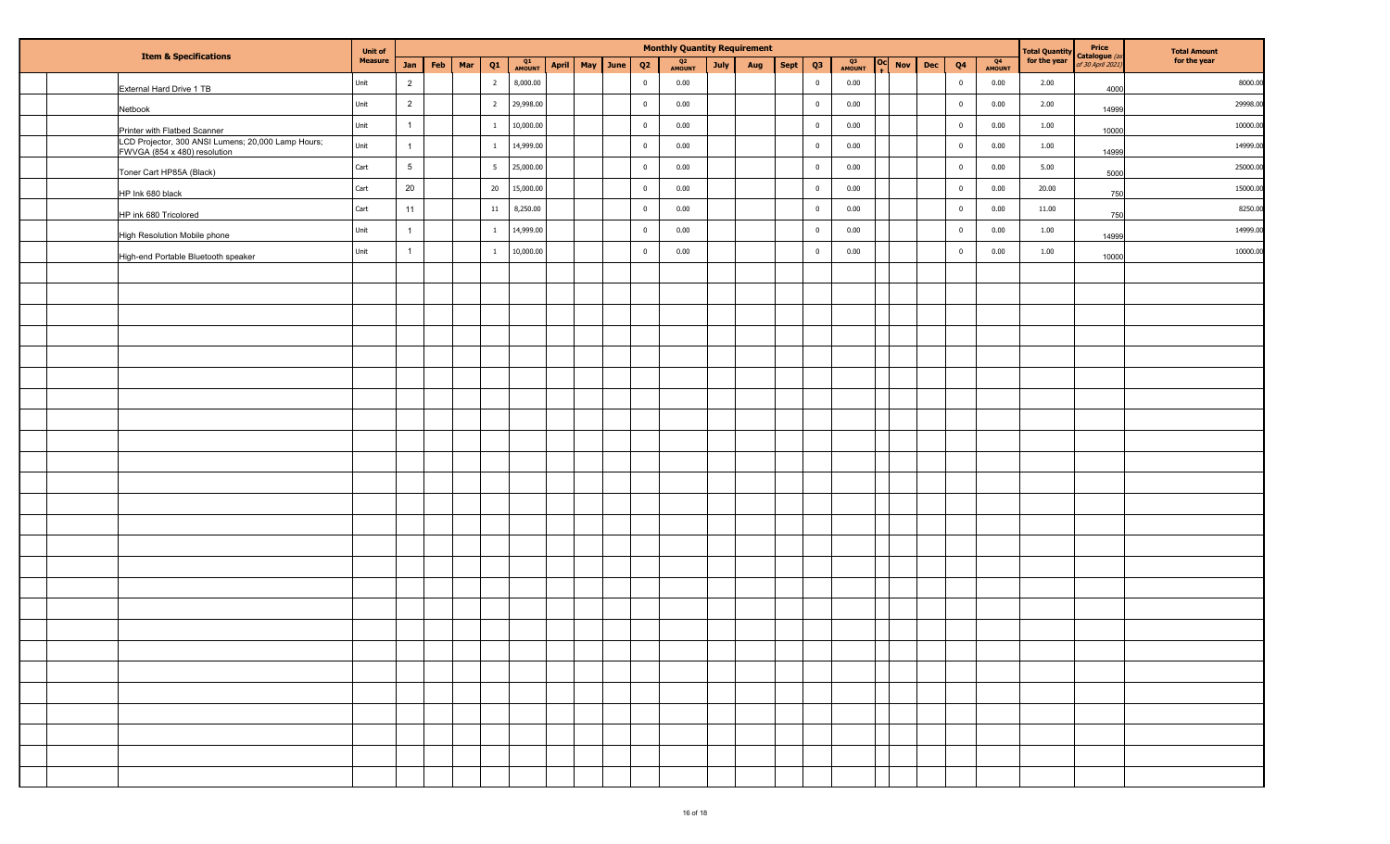|  |                                                                                    | <b>Unit of</b> |                 | <b>Monthly Quantity Requirement</b> |     |                 |              |       |     |      |                         |                          |      |     |             |                |                          | Price               | <b>Total Amount</b> |                |              |                                |                                  |              |
|--|------------------------------------------------------------------------------------|----------------|-----------------|-------------------------------------|-----|-----------------|--------------|-------|-----|------|-------------------------|--------------------------|------|-----|-------------|----------------|--------------------------|---------------------|---------------------|----------------|--------------|--------------------------------|----------------------------------|--------------|
|  | <b>Item &amp; Specifications</b>                                                   | <b>Measure</b> | Jan             | Feb                                 | Mar | Q1              | Q1<br>AMOUNT | April | May | June | Q2                      | Q <sub>2</sub><br>AMOUNT | July | Aug | <b>Sept</b> | $Q3$           | Q <sub>3</sub><br>AMOUNT | l Ocl<br><b>Nov</b> | Dec                 | Q <sub>4</sub> | Q4<br>AMOUNT | Total Quantity<br>for the year | Catalogue (a<br>of 30 April 2021 | for the year |
|  | External Hard Drive 1 TB                                                           | Unit           | $\overline{2}$  |                                     |     | $\overline{2}$  | 8,000.00     |       |     |      | $\overline{0}$          | 0.00                     |      |     |             | $\bf{0}$       | 0.00                     |                     |                     | $\overline{0}$ | 0.00         | 2.00                           | 4000                             | 8000.00      |
|  | Netbook                                                                            | Unit           | $\overline{2}$  |                                     |     | $\overline{2}$  | 29,998.00    |       |     |      | $\overline{\mathbf{0}}$ | 0.00                     |      |     |             | $\overline{0}$ | 0.00                     |                     |                     | $\overline{0}$ | 0.00         | 2.00                           | 14999                            | 29998.00     |
|  | Printer with Flatbed Scanner                                                       | Unit           |                 |                                     |     | $\overline{1}$  | 10,000.00    |       |     |      | $\overline{\mathbf{0}}$ | 0.00                     |      |     |             | $\overline{0}$ | 0.00                     |                     |                     | $\overline{0}$ | 0.00         | 1.00                           | 10000                            | 10000.00     |
|  | LCD Projector, 300 ANSI Lumens; 20,000 Lamp Hours;<br>FWVGA (854 x 480) resolution | Unit           |                 |                                     |     | $\overline{1}$  | 14,999.00    |       |     |      | $\overline{\mathbf{0}}$ | 0.00                     |      |     |             | $\overline{0}$ | 0.00                     |                     |                     | $\overline{0}$ | 0.00         | 1.00                           | 14999                            | 14999.00     |
|  | Toner Cart HP85A (Black)                                                           | Cart           | $5\phantom{.0}$ |                                     |     | $5\overline{5}$ | 25,000.00    |       |     |      | $\overline{\mathbf{0}}$ | 0.00                     |      |     |             | $\overline{0}$ | 0.00                     |                     |                     | $\overline{0}$ | 0.00         | 5.00                           | 5000                             | 25000.0      |
|  | HP Ink 680 black                                                                   | Cart           | 20              |                                     |     | 20              | 15,000.00    |       |     |      | $\overline{\mathbf{0}}$ | 0.00                     |      |     |             | $\overline{0}$ | 0.00                     |                     |                     | $\overline{0}$ | 0.00         | 20.00                          | 750                              | 15000.0      |
|  | HP ink 680 Tricolored                                                              | Cart           | 11              |                                     |     | $11\,$          | 8,250.00     |       |     |      | $\overline{\mathbf{0}}$ | 0.00                     |      |     |             | $\overline{0}$ | 0.00                     |                     |                     | $\overline{0}$ | 0.00         | 11.00                          | 750                              | 8250.0       |
|  | High Resolution Mobile phone                                                       | Unit           | 1               |                                     |     | $\mathbf{1}$    | 14,999.00    |       |     |      | $\overline{\mathbf{0}}$ | 0.00                     |      |     |             | $\overline{0}$ | 0.00                     |                     |                     | $\overline{0}$ | 0.00         | 1.00                           | 14999                            | 14999.0      |
|  | High-end Portable Bluetooth speaker                                                | Unit           | $\mathbf{1}$    |                                     |     | $\mathbf{1}$    | 10,000.00    |       |     |      | $\overline{\mathbf{0}}$ | 0.00                     |      |     |             | $\overline{0}$ | 0.00                     |                     |                     | $\overline{0}$ | 0.00         | 1.00                           | 10000                            | 10000.00     |
|  |                                                                                    |                |                 |                                     |     |                 |              |       |     |      |                         |                          |      |     |             |                |                          |                     |                     |                |              |                                |                                  |              |
|  |                                                                                    |                |                 |                                     |     |                 |              |       |     |      |                         |                          |      |     |             |                |                          |                     |                     |                |              |                                |                                  |              |
|  |                                                                                    |                |                 |                                     |     |                 |              |       |     |      |                         |                          |      |     |             |                |                          |                     |                     |                |              |                                |                                  |              |
|  |                                                                                    |                |                 |                                     |     |                 |              |       |     |      |                         |                          |      |     |             |                |                          |                     |                     |                |              |                                |                                  |              |
|  |                                                                                    |                |                 |                                     |     |                 |              |       |     |      |                         |                          |      |     |             |                |                          |                     |                     |                |              |                                |                                  |              |
|  |                                                                                    |                |                 |                                     |     |                 |              |       |     |      |                         |                          |      |     |             |                |                          |                     |                     |                |              |                                |                                  |              |
|  |                                                                                    |                |                 |                                     |     |                 |              |       |     |      |                         |                          |      |     |             |                |                          |                     |                     |                |              |                                |                                  |              |
|  |                                                                                    |                |                 |                                     |     |                 |              |       |     |      |                         |                          |      |     |             |                |                          |                     |                     |                |              |                                |                                  |              |
|  |                                                                                    |                |                 |                                     |     |                 |              |       |     |      |                         |                          |      |     |             |                |                          |                     |                     |                |              |                                |                                  |              |
|  |                                                                                    |                |                 |                                     |     |                 |              |       |     |      |                         |                          |      |     |             |                |                          |                     |                     |                |              |                                |                                  |              |
|  |                                                                                    |                |                 |                                     |     |                 |              |       |     |      |                         |                          |      |     |             |                |                          |                     |                     |                |              |                                |                                  |              |
|  |                                                                                    |                |                 |                                     |     |                 |              |       |     |      |                         |                          |      |     |             |                |                          |                     |                     |                |              |                                |                                  |              |
|  |                                                                                    |                |                 |                                     |     |                 |              |       |     |      |                         |                          |      |     |             |                |                          |                     |                     |                |              |                                |                                  |              |
|  |                                                                                    |                |                 |                                     |     |                 |              |       |     |      |                         |                          |      |     |             |                |                          |                     |                     |                |              |                                |                                  |              |
|  |                                                                                    |                |                 |                                     |     |                 |              |       |     |      |                         |                          |      |     |             |                |                          |                     |                     |                |              |                                |                                  |              |
|  |                                                                                    |                |                 |                                     |     |                 |              |       |     |      |                         |                          |      |     |             |                |                          |                     |                     |                |              |                                |                                  |              |
|  |                                                                                    |                |                 |                                     |     |                 |              |       |     |      |                         |                          |      |     |             |                |                          |                     |                     |                |              |                                |                                  |              |
|  |                                                                                    |                |                 |                                     |     |                 |              |       |     |      |                         |                          |      |     |             |                |                          |                     |                     |                |              |                                |                                  |              |
|  |                                                                                    |                |                 |                                     |     |                 |              |       |     |      |                         |                          |      |     |             |                |                          |                     |                     |                |              |                                |                                  |              |
|  |                                                                                    |                |                 |                                     |     |                 |              |       |     |      |                         |                          |      |     |             |                |                          |                     |                     |                |              |                                |                                  |              |
|  |                                                                                    |                |                 |                                     |     |                 |              |       |     |      |                         |                          |      |     |             |                |                          |                     |                     |                |              |                                |                                  |              |
|  |                                                                                    |                |                 |                                     |     |                 |              |       |     |      |                         |                          |      |     |             |                |                          |                     |                     |                |              |                                |                                  |              |
|  |                                                                                    |                |                 |                                     |     |                 |              |       |     |      |                         |                          |      |     |             |                |                          |                     |                     |                |              |                                |                                  |              |
|  |                                                                                    |                |                 |                                     |     |                 |              |       |     |      |                         |                          |      |     |             |                |                          |                     |                     |                |              |                                |                                  |              |
|  |                                                                                    |                |                 |                                     |     |                 |              |       |     |      |                         |                          |      |     |             |                |                          |                     |                     |                |              |                                |                                  |              |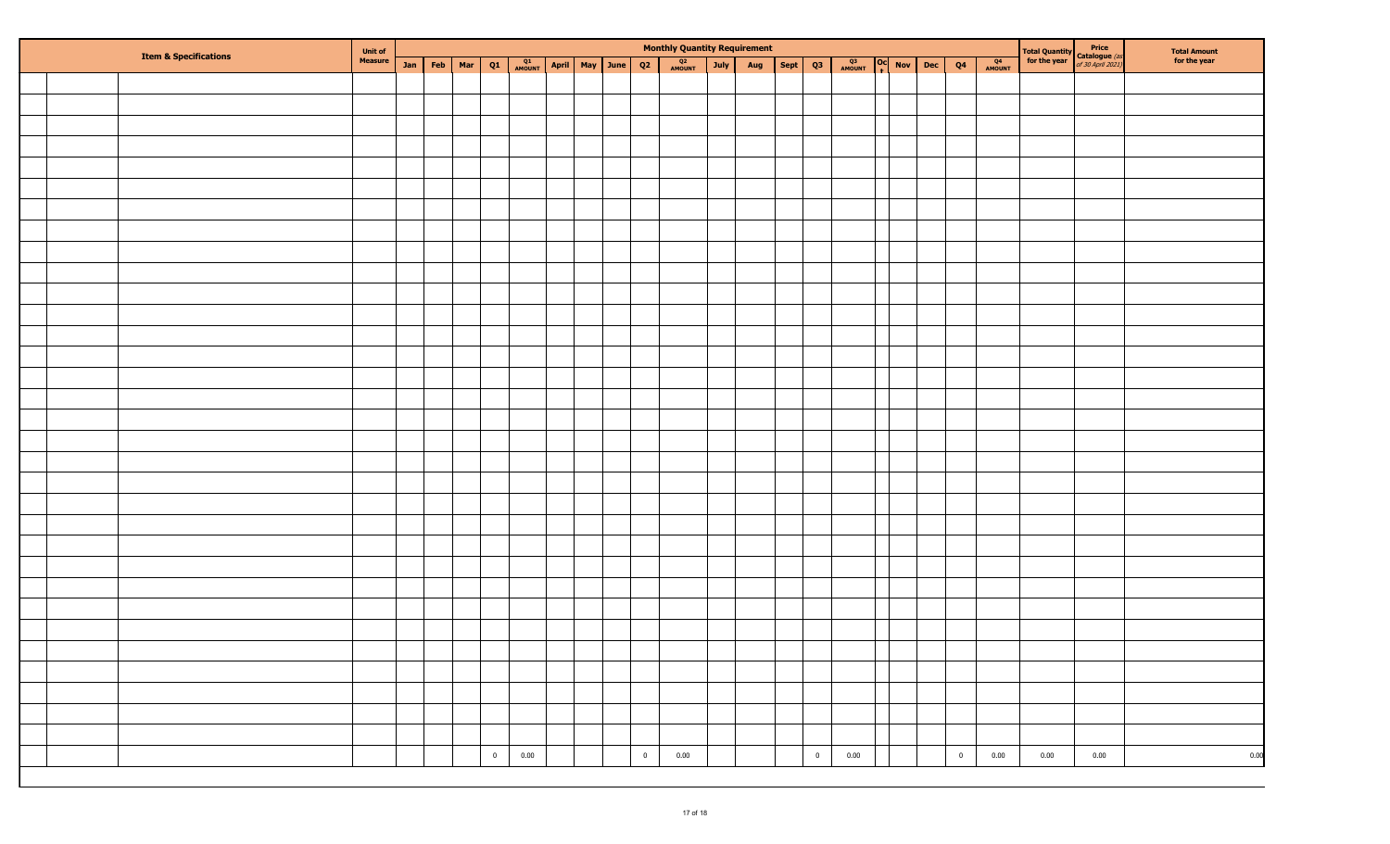|  | <b>Item &amp; Specifications</b> | <b>Unit of<br/>Measure</b> |  |                 |             |                              |  |                | <b>Monthly Quantity Requirement</b> |      |     |             |              |               |                         |              |      | <b>Total Quantity</b><br><b>Catalogue</b> (as<br><b>for the year</b> of 30 April 2021) | Total Amount<br>for the year |
|--|----------------------------------|----------------------------|--|-----------------|-------------|------------------------------|--|----------------|-------------------------------------|------|-----|-------------|--------------|---------------|-------------------------|--------------|------|----------------------------------------------------------------------------------------|------------------------------|
|  |                                  |                            |  | Jan   Feb   Mar | Q1          | <b>AMOUNT April May June</b> |  | Q2             | Q <sub>2</sub><br>AMOUNT            | July | Aug | Sept Q3     | Q3<br>AMOUNT | Oc Nov Dec Q4 |                         | Q4<br>AMOUNT |      |                                                                                        |                              |
|  |                                  |                            |  |                 |             |                              |  |                |                                     |      |     |             |              |               |                         |              |      |                                                                                        |                              |
|  |                                  |                            |  |                 |             |                              |  |                |                                     |      |     |             |              |               |                         |              |      |                                                                                        |                              |
|  |                                  |                            |  |                 |             |                              |  |                |                                     |      |     |             |              |               |                         |              |      |                                                                                        |                              |
|  |                                  |                            |  |                 |             |                              |  |                |                                     |      |     |             |              |               |                         |              |      |                                                                                        |                              |
|  |                                  |                            |  |                 |             |                              |  |                |                                     |      |     |             |              |               |                         |              |      |                                                                                        |                              |
|  |                                  |                            |  |                 |             |                              |  |                |                                     |      |     |             |              |               |                         |              |      |                                                                                        |                              |
|  |                                  |                            |  |                 |             |                              |  |                |                                     |      |     |             |              |               |                         |              |      |                                                                                        |                              |
|  |                                  |                            |  |                 |             |                              |  |                |                                     |      |     |             |              |               |                         |              |      |                                                                                        |                              |
|  |                                  |                            |  |                 |             |                              |  |                |                                     |      |     |             |              |               |                         |              |      |                                                                                        |                              |
|  |                                  |                            |  |                 |             |                              |  |                |                                     |      |     |             |              |               |                         |              |      |                                                                                        |                              |
|  |                                  |                            |  |                 |             |                              |  |                |                                     |      |     |             |              |               |                         |              |      |                                                                                        |                              |
|  |                                  |                            |  |                 |             |                              |  |                |                                     |      |     |             |              |               |                         |              |      |                                                                                        |                              |
|  |                                  |                            |  |                 |             |                              |  |                |                                     |      |     |             |              |               |                         |              |      |                                                                                        |                              |
|  |                                  |                            |  |                 |             |                              |  |                |                                     |      |     |             |              |               |                         |              |      |                                                                                        |                              |
|  |                                  |                            |  |                 |             |                              |  |                |                                     |      |     |             |              |               |                         |              |      |                                                                                        |                              |
|  |                                  |                            |  |                 |             |                              |  |                |                                     |      |     |             |              |               |                         |              |      |                                                                                        |                              |
|  |                                  |                            |  |                 |             |                              |  |                |                                     |      |     |             |              |               |                         |              |      |                                                                                        |                              |
|  |                                  |                            |  |                 |             |                              |  |                |                                     |      |     |             |              |               |                         |              |      |                                                                                        |                              |
|  |                                  |                            |  |                 |             |                              |  |                |                                     |      |     |             |              |               |                         |              |      |                                                                                        |                              |
|  |                                  |                            |  |                 |             |                              |  |                |                                     |      |     |             |              |               |                         |              |      |                                                                                        |                              |
|  |                                  |                            |  |                 |             |                              |  |                |                                     |      |     |             |              |               |                         |              |      |                                                                                        |                              |
|  |                                  |                            |  |                 |             |                              |  |                |                                     |      |     |             |              |               |                         |              |      |                                                                                        |                              |
|  |                                  |                            |  |                 |             |                              |  |                |                                     |      |     |             |              |               |                         |              |      |                                                                                        |                              |
|  |                                  |                            |  |                 |             |                              |  |                |                                     |      |     |             |              |               |                         |              |      |                                                                                        |                              |
|  |                                  |                            |  |                 |             |                              |  |                |                                     |      |     |             |              |               |                         |              |      |                                                                                        |                              |
|  |                                  |                            |  |                 |             |                              |  |                |                                     |      |     |             |              |               |                         |              |      |                                                                                        |                              |
|  |                                  |                            |  |                 |             |                              |  |                |                                     |      |     |             |              |               |                         |              |      |                                                                                        |                              |
|  |                                  |                            |  |                 |             |                              |  |                |                                     |      |     |             |              |               |                         |              |      |                                                                                        |                              |
|  |                                  |                            |  |                 |             |                              |  |                |                                     |      |     |             |              |               |                         |              |      |                                                                                        |                              |
|  |                                  |                            |  |                 |             |                              |  |                |                                     |      |     |             |              |               |                         |              |      |                                                                                        |                              |
|  |                                  |                            |  |                 |             |                              |  |                |                                     |      |     |             |              |               |                         |              |      |                                                                                        |                              |
|  |                                  |                            |  |                 |             |                              |  |                |                                     |      |     |             |              |               |                         |              |      |                                                                                        |                              |
|  |                                  |                            |  |                 |             |                              |  |                |                                     |      |     |             |              |               |                         |              |      |                                                                                        |                              |
|  |                                  |                            |  |                 | $\mathbf 0$ | $0.00\,$                     |  | $\overline{0}$ | 0.00                                |      |     | $\mathbf 0$ | 0.00         |               | $\overline{\mathbf{0}}$ | 0.00         | 0.00 | 0.00                                                                                   | 0.00                         |
|  |                                  |                            |  |                 |             |                              |  |                |                                     |      |     |             |              |               |                         |              |      |                                                                                        |                              |